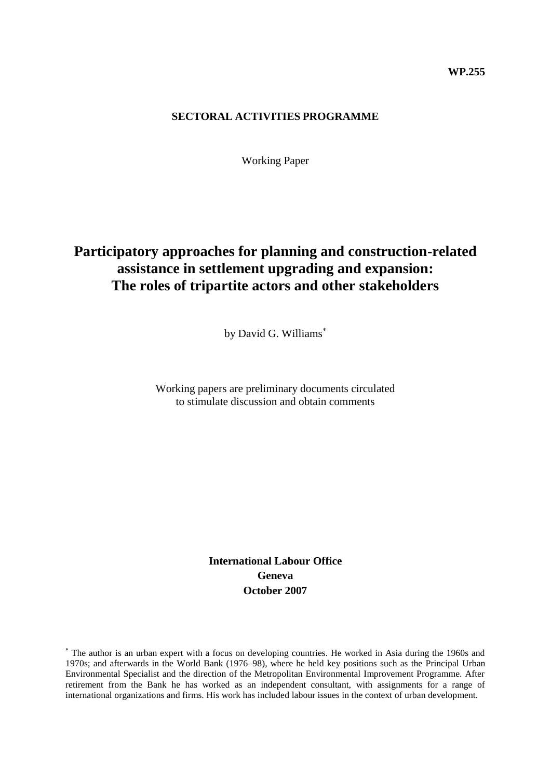### **SECTORAL ACTIVITIES PROGRAMME**

Working Paper

# **Participatory approaches for planning and construction-related assistance in settlement upgrading and expansion: The roles of tripartite actors and other stakeholders**

by David G. Williams

Working papers are preliminary documents circulated to stimulate discussion and obtain comments

> **International Labour Office Geneva October 2007**

The author is an urban expert with a focus on developing countries. He worked in Asia during the 1960s and 1970s; and afterwards in the World Bank (1976–98), where he held key positions such as the Principal Urban Environmental Specialist and the direction of the Metropolitan Environmental Improvement Programme. After retirement from the Bank he has worked as an independent consultant, with assignments for a range of international organizations and firms. His work has included labour issues in the context of urban development.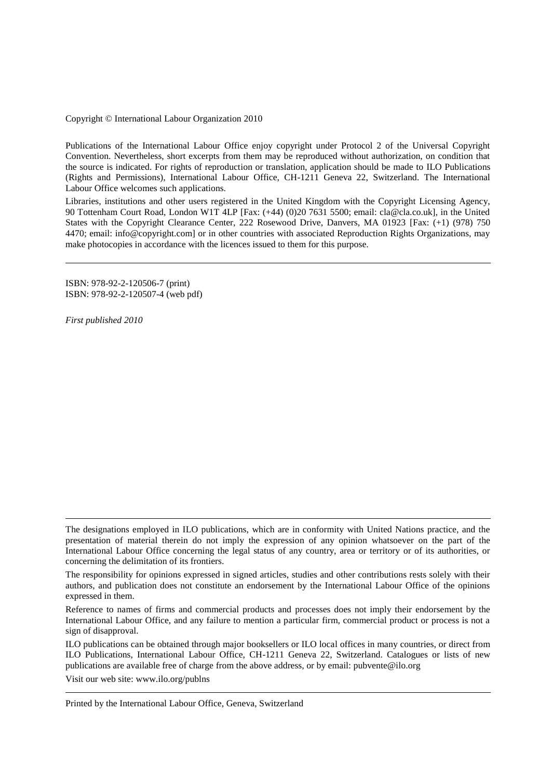Copyright © International Labour Organization 2010

Publications of the International Labour Office enjoy copyright under Protocol 2 of the Universal Copyright Convention. Nevertheless, short excerpts from them may be reproduced without authorization, on condition that the source is indicated. For rights of reproduction or translation, application should be made to ILO Publications (Rights and Permissions), International Labour Office, CH-1211 Geneva 22, Switzerland. The International Labour Office welcomes such applications.

Libraries, institutions and other users registered in the United Kingdom with the Copyright Licensing Agency, 90 Tottenham Court Road, London W1T 4LP [Fax: (+44) (0)20 7631 5500; email: cla@cla.co.uk], in the United States with the Copyright Clearance Center, 222 Rosewood Drive, Danvers, MA 01923 [Fax: (+1) (978) 750 4470; email: info@copyright.com] or in other countries with associated Reproduction Rights Organizations, may make photocopies in accordance with the licences issued to them for this purpose.

ISBN: 978-92-2-120506-7 (print) ISBN: 978-92-2-120507-4 (web pdf)

*First published 2010*

Visit our web site: [www.ilo.org/publns](http://www.ilo.org/publns)

Printed by the International Labour Office, Geneva, Switzerland

The designations employed in ILO publications, which are in conformity with United Nations practice, and the presentation of material therein do not imply the expression of any opinion whatsoever on the part of the International Labour Office concerning the legal status of any country, area or territory or of its authorities, or concerning the delimitation of its frontiers.

The responsibility for opinions expressed in signed articles, studies and other contributions rests solely with their authors, and publication does not constitute an endorsement by the International Labour Office of the opinions expressed in them.

Reference to names of firms and commercial products and processes does not imply their endorsement by the International Labour Office, and any failure to mention a particular firm, commercial product or process is not a sign of disapproval.

ILO publications can be obtained through major booksellers or ILO local offices in many countries, or direct from ILO Publications, International Labour Office, CH-1211 Geneva 22, Switzerland. Catalogues or lists of new publications are available free of charge from the above address, or by email: pubvente@ilo.org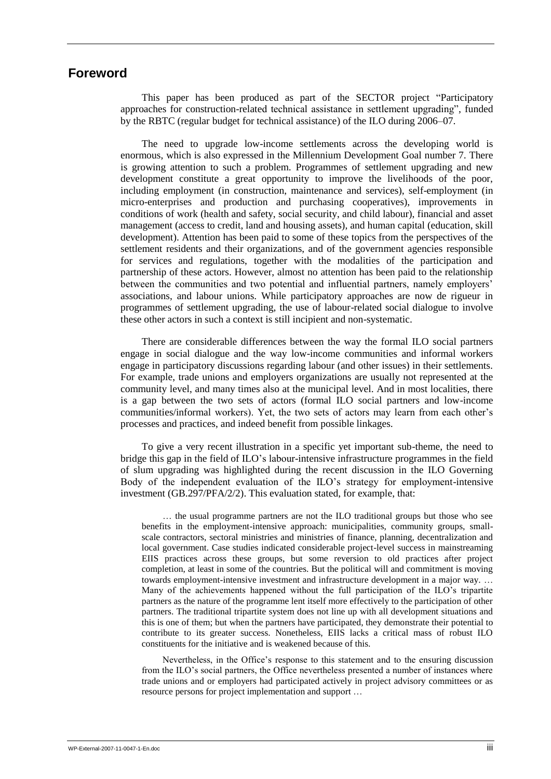## <span id="page-2-0"></span>**Foreword**

This paper has been produced as part of the SECTOR project "Participatory approaches for construction-related technical assistance in settlement upgrading", funded by the RBTC (regular budget for technical assistance) of the ILO during 2006–07.

The need to upgrade low-income settlements across the developing world is enormous, which is also expressed in the Millennium Development Goal number 7. There is growing attention to such a problem. Programmes of settlement upgrading and new development constitute a great opportunity to improve the livelihoods of the poor, including employment (in construction, maintenance and services), self-employment (in micro-enterprises and production and purchasing cooperatives), improvements in conditions of work (health and safety, social security, and child labour), financial and asset management (access to credit, land and housing assets), and human capital (education, skill development). Attention has been paid to some of these topics from the perspectives of the settlement residents and their organizations, and of the government agencies responsible for services and regulations, together with the modalities of the participation and partnership of these actors. However, almost no attention has been paid to the relationship between the communities and two potential and influential partners, namely employers' associations, and labour unions. While participatory approaches are now de rigueur in programmes of settlement upgrading, the use of labour-related social dialogue to involve these other actors in such a context is still incipient and non-systematic.

There are considerable differences between the way the formal ILO social partners engage in social dialogue and the way low-income communities and informal workers engage in participatory discussions regarding labour (and other issues) in their settlements. For example, trade unions and employers organizations are usually not represented at the community level, and many times also at the municipal level. And in most localities, there is a gap between the two sets of actors (formal ILO social partners and low-income communities/informal workers). Yet, the two sets of actors may learn from each other"s processes and practices, and indeed benefit from possible linkages.

To give a very recent illustration in a specific yet important sub-theme, the need to bridge this gap in the field of ILO"s labour-intensive infrastructure programmes in the field of slum upgrading was highlighted during the recent discussion in the ILO Governing Body of the independent evaluation of the ILO"s strategy for employment-intensive investment (GB.297/PFA/2/2). This evaluation stated, for example, that:

… the usual programme partners are not the ILO traditional groups but those who see benefits in the employment-intensive approach: municipalities, community groups, smallscale contractors, sectoral ministries and ministries of finance, planning, decentralization and local government. Case studies indicated considerable project-level success in mainstreaming EIIS practices across these groups, but some reversion to old practices after project completion, at least in some of the countries. But the political will and commitment is moving towards employment-intensive investment and infrastructure development in a major way. … Many of the achievements happened without the full participation of the ILO"s tripartite partners as the nature of the programme lent itself more effectively to the participation of other partners. The traditional tripartite system does not line up with all development situations and this is one of them; but when the partners have participated, they demonstrate their potential to contribute to its greater success. Nonetheless, EIIS lacks a critical mass of robust ILO constituents for the initiative and is weakened because of this.

Nevertheless, in the Office"s response to this statement and to the ensuring discussion from the ILO"s social partners, the Office nevertheless presented a number of instances where trade unions and or employers had participated actively in project advisory committees or as resource persons for project implementation and support …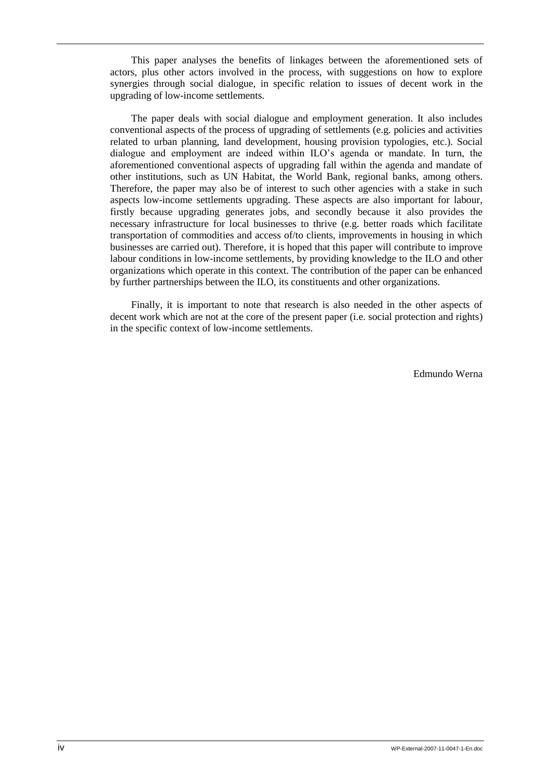This paper analyses the benefits of linkages between the aforementioned sets of actors, plus other actors involved in the process, with suggestions on how to explore synergies through social dialogue, in specific relation to issues of decent work in the upgrading of low-income settlements.

The paper deals with social dialogue and employment generation. It also includes conventional aspects of the process of upgrading of settlements (e.g. policies and activities related to urban planning, land development, housing provision typologies, etc.). Social dialogue and employment are indeed within ILO"s agenda or mandate. In turn, the aforementioned conventional aspects of upgrading fall within the agenda and mandate of other institutions, such as UN Habitat, the World Bank, regional banks, among others. Therefore, the paper may also be of interest to such other agencies with a stake in such aspects low-income settlements upgrading. These aspects are also important for labour, firstly because upgrading generates jobs, and secondly because it also provides the necessary infrastructure for local businesses to thrive (e.g. better roads which facilitate transportation of commodities and access of/to clients, improvements in housing in which businesses are carried out). Therefore, it is hoped that this paper will contribute to improve labour conditions in low-income settlements, by providing knowledge to the ILO and other organizations which operate in this context. The contribution of the paper can be enhanced by further partnerships between the ILO, its constituents and other organizations.

Finally, it is important to note that research is also needed in the other aspects of decent work which are not at the core of the present paper (i.e. social protection and rights) in the specific context of low-income settlements.

Edmundo Werna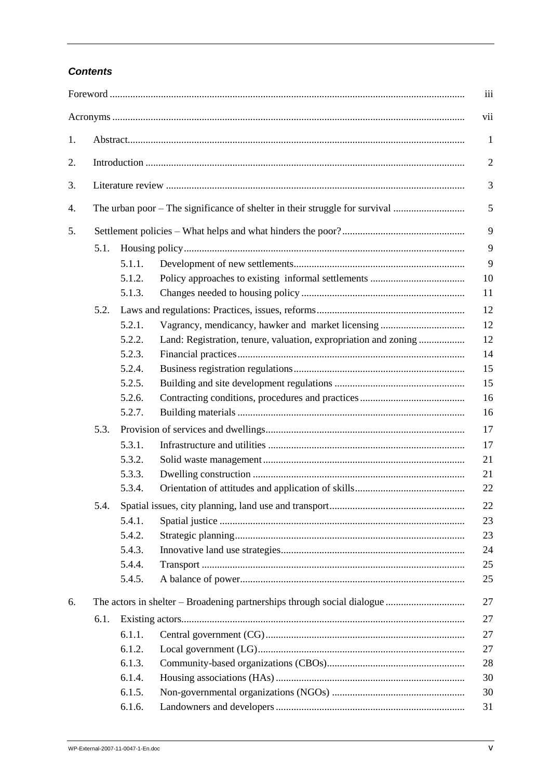## **Contents**

|    |      |        |                                                                             | iii            |  |  |  |  |  |  |  |  |
|----|------|--------|-----------------------------------------------------------------------------|----------------|--|--|--|--|--|--|--|--|
|    |      |        |                                                                             | vii            |  |  |  |  |  |  |  |  |
| 1. |      |        |                                                                             | $\mathbf{1}$   |  |  |  |  |  |  |  |  |
| 2. |      |        |                                                                             |                |  |  |  |  |  |  |  |  |
| 3. |      |        |                                                                             | 3              |  |  |  |  |  |  |  |  |
| 4. |      |        | The urban poor – The significance of shelter in their struggle for survival | $\mathfrak{S}$ |  |  |  |  |  |  |  |  |
| 5. |      |        |                                                                             |                |  |  |  |  |  |  |  |  |
|    | 5.1. |        |                                                                             | 9              |  |  |  |  |  |  |  |  |
|    |      | 5.1.1. |                                                                             | 9              |  |  |  |  |  |  |  |  |
|    |      | 5.1.2. |                                                                             | 10             |  |  |  |  |  |  |  |  |
|    |      | 5.1.3. |                                                                             | 11             |  |  |  |  |  |  |  |  |
|    | 5.2. |        |                                                                             | 12             |  |  |  |  |  |  |  |  |
|    |      | 5.2.1. | Vagrancy, mendicancy, hawker and market licensing                           | 12             |  |  |  |  |  |  |  |  |
|    |      | 5.2.2. | Land: Registration, tenure, valuation, expropriation and zoning             | 12             |  |  |  |  |  |  |  |  |
|    |      | 5.2.3. |                                                                             | 14             |  |  |  |  |  |  |  |  |
|    |      | 5.2.4. |                                                                             | 15             |  |  |  |  |  |  |  |  |
|    |      | 5.2.5. |                                                                             | 15             |  |  |  |  |  |  |  |  |
|    |      | 5.2.6. |                                                                             | 16             |  |  |  |  |  |  |  |  |
|    |      | 5.2.7. |                                                                             | 16             |  |  |  |  |  |  |  |  |
|    |      |        |                                                                             |                |  |  |  |  |  |  |  |  |
|    | 5.3. |        |                                                                             | 17             |  |  |  |  |  |  |  |  |
|    |      | 5.3.1. |                                                                             | 17             |  |  |  |  |  |  |  |  |
|    |      | 5.3.2. |                                                                             | 21             |  |  |  |  |  |  |  |  |
|    |      | 5.3.3. |                                                                             | 21             |  |  |  |  |  |  |  |  |
|    |      | 5.3.4. |                                                                             | 22             |  |  |  |  |  |  |  |  |
|    | 5.4. |        |                                                                             | 22             |  |  |  |  |  |  |  |  |
|    |      | 5.4.1. |                                                                             | 23             |  |  |  |  |  |  |  |  |
|    |      | 5.4.2. |                                                                             | 23             |  |  |  |  |  |  |  |  |
|    |      | 5.4.3. |                                                                             | 24             |  |  |  |  |  |  |  |  |
|    |      | 5.4.4. |                                                                             | 25             |  |  |  |  |  |  |  |  |
|    |      | 5.4.5. |                                                                             | 25             |  |  |  |  |  |  |  |  |
| 6. |      |        |                                                                             | 27             |  |  |  |  |  |  |  |  |
|    | 6.1. |        |                                                                             | 27             |  |  |  |  |  |  |  |  |
|    |      | 6.1.1. |                                                                             | 27             |  |  |  |  |  |  |  |  |
|    |      | 6.1.2. |                                                                             | 27             |  |  |  |  |  |  |  |  |
|    |      | 6.1.3. |                                                                             | 28             |  |  |  |  |  |  |  |  |
|    |      | 6.1.4. |                                                                             | 30             |  |  |  |  |  |  |  |  |
|    |      | 6.1.5. |                                                                             | 30             |  |  |  |  |  |  |  |  |
|    |      | 6.1.6. |                                                                             | 31             |  |  |  |  |  |  |  |  |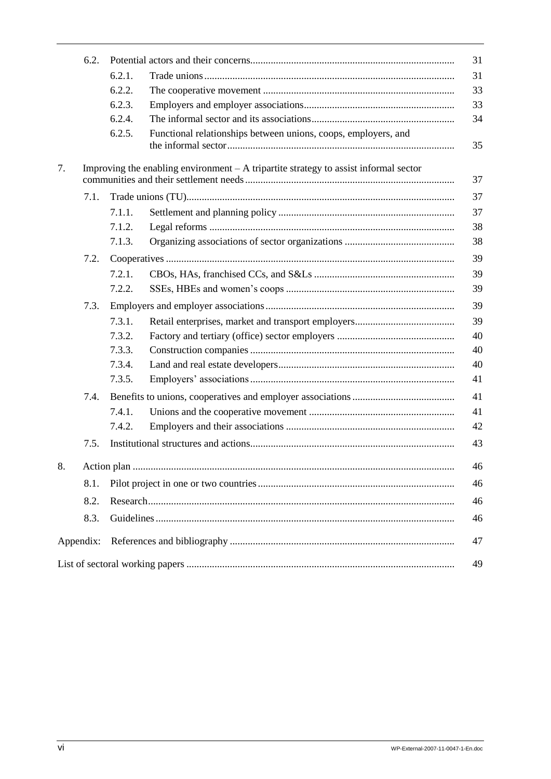|    | 6.2.      |        |                                                                                       | 31 |  |  |  |  |  |
|----|-----------|--------|---------------------------------------------------------------------------------------|----|--|--|--|--|--|
|    |           | 6.2.1. |                                                                                       | 31 |  |  |  |  |  |
|    |           | 6.2.2. |                                                                                       | 33 |  |  |  |  |  |
|    |           | 6.2.3. |                                                                                       | 33 |  |  |  |  |  |
|    |           | 6.2.4. |                                                                                       | 34 |  |  |  |  |  |
|    |           | 6.2.5. | Functional relationships between unions, coops, employers, and                        | 35 |  |  |  |  |  |
| 7. |           |        | Improving the enabling environment $-A$ tripartite strategy to assist informal sector | 37 |  |  |  |  |  |
|    | 7.1.      |        |                                                                                       | 37 |  |  |  |  |  |
|    |           | 7.1.1. |                                                                                       | 37 |  |  |  |  |  |
|    |           | 7.1.2. |                                                                                       | 38 |  |  |  |  |  |
|    |           | 7.1.3. |                                                                                       | 38 |  |  |  |  |  |
|    | 7.2.      |        |                                                                                       | 39 |  |  |  |  |  |
|    |           | 7.2.1. |                                                                                       | 39 |  |  |  |  |  |
|    |           | 7.2.2. |                                                                                       | 39 |  |  |  |  |  |
|    | 7.3.      |        |                                                                                       | 39 |  |  |  |  |  |
|    |           | 7.3.1. |                                                                                       | 39 |  |  |  |  |  |
|    |           | 7.3.2. |                                                                                       | 40 |  |  |  |  |  |
|    |           | 7.3.3. |                                                                                       | 40 |  |  |  |  |  |
|    |           | 7.3.4. |                                                                                       | 40 |  |  |  |  |  |
|    |           | 7.3.5. |                                                                                       | 41 |  |  |  |  |  |
|    | 7.4.      |        |                                                                                       |    |  |  |  |  |  |
|    |           | 7.4.1. |                                                                                       | 41 |  |  |  |  |  |
|    |           | 7.4.2. |                                                                                       | 42 |  |  |  |  |  |
|    | 7.5.      |        |                                                                                       | 43 |  |  |  |  |  |
| 8. |           |        |                                                                                       | 46 |  |  |  |  |  |
|    | 8.1.      |        |                                                                                       | 46 |  |  |  |  |  |
|    | 8.2.      |        |                                                                                       |    |  |  |  |  |  |
|    | 8.3.      |        |                                                                                       | 46 |  |  |  |  |  |
|    | Appendix: |        |                                                                                       | 47 |  |  |  |  |  |
|    |           |        |                                                                                       | 49 |  |  |  |  |  |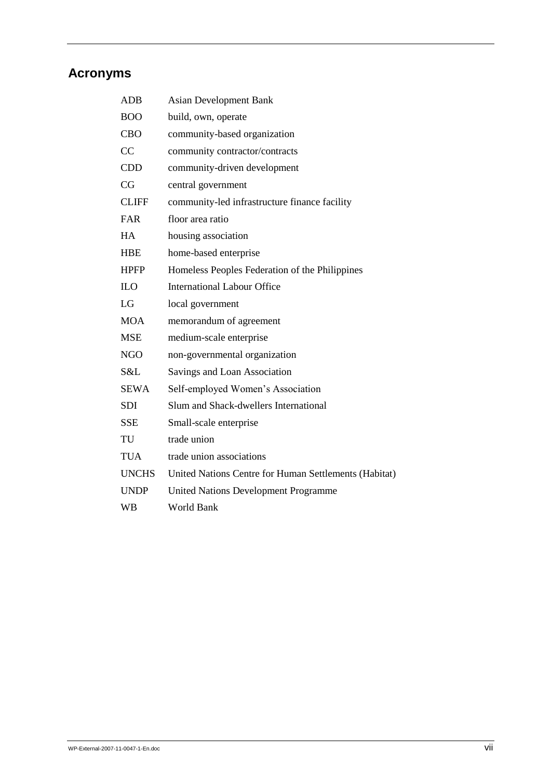# <span id="page-6-0"></span>**Acronyms**

| <b>ADB</b>   | <b>Asian Development Bank</b>                         |
|--------------|-------------------------------------------------------|
| <b>BOO</b>   | build, own, operate                                   |
| <b>CBO</b>   | community-based organization                          |
| CC           | community contractor/contracts                        |
| <b>CDD</b>   | community-driven development                          |
| CG           | central government                                    |
| <b>CLIFF</b> | community-led infrastructure finance facility         |
| <b>FAR</b>   | floor area ratio                                      |
| HA           | housing association                                   |
| <b>HBE</b>   | home-based enterprise                                 |
| <b>HPFP</b>  | Homeless Peoples Federation of the Philippines        |
| <b>ILO</b>   | <b>International Labour Office</b>                    |
| LG           | local government                                      |
| <b>MOA</b>   | memorandum of agreement                               |
| <b>MSE</b>   | medium-scale enterprise                               |
| <b>NGO</b>   | non-governmental organization                         |
| S&L          | Savings and Loan Association                          |
| <b>SEWA</b>  | Self-employed Women's Association                     |
| <b>SDI</b>   | Slum and Shack-dwellers International                 |
| <b>SSE</b>   | Small-scale enterprise                                |
| TU           | trade union                                           |
| TUA          | trade union associations                              |
| <b>UNCHS</b> | United Nations Centre for Human Settlements (Habitat) |
| <b>UNDP</b>  | <b>United Nations Development Programme</b>           |
| <b>WB</b>    | <b>World Bank</b>                                     |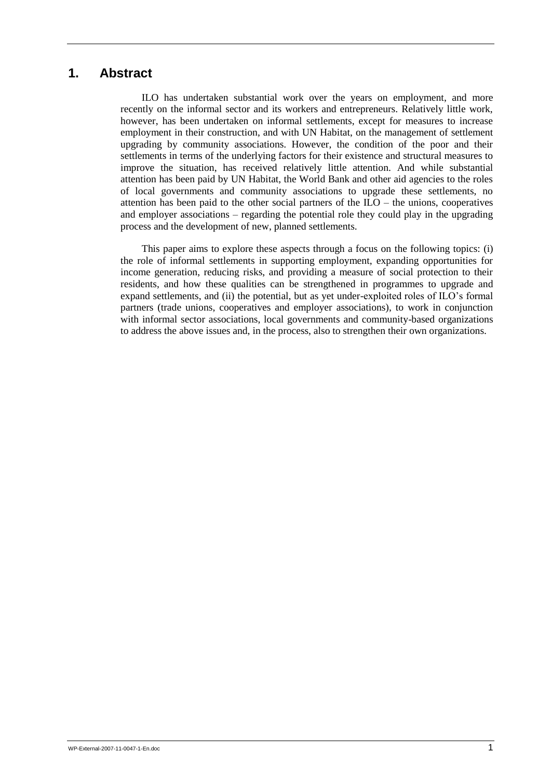## <span id="page-8-0"></span>**1. Abstract**

ILO has undertaken substantial work over the years on employment, and more recently on the informal sector and its workers and entrepreneurs. Relatively little work, however, has been undertaken on informal settlements, except for measures to increase employment in their construction, and with UN Habitat, on the management of settlement upgrading by community associations. However, the condition of the poor and their settlements in terms of the underlying factors for their existence and structural measures to improve the situation, has received relatively little attention. And while substantial attention has been paid by UN Habitat, the World Bank and other aid agencies to the roles of local governments and community associations to upgrade these settlements, no attention has been paid to the other social partners of the  $ILO$  – the unions, cooperatives and employer associations – regarding the potential role they could play in the upgrading process and the development of new, planned settlements.

This paper aims to explore these aspects through a focus on the following topics: (i) the role of informal settlements in supporting employment, expanding opportunities for income generation, reducing risks, and providing a measure of social protection to their residents, and how these qualities can be strengthened in programmes to upgrade and expand settlements, and (ii) the potential, but as yet under-exploited roles of ILO"s formal partners (trade unions, cooperatives and employer associations), to work in conjunction with informal sector associations, local governments and community-based organizations to address the above issues and, in the process, also to strengthen their own organizations.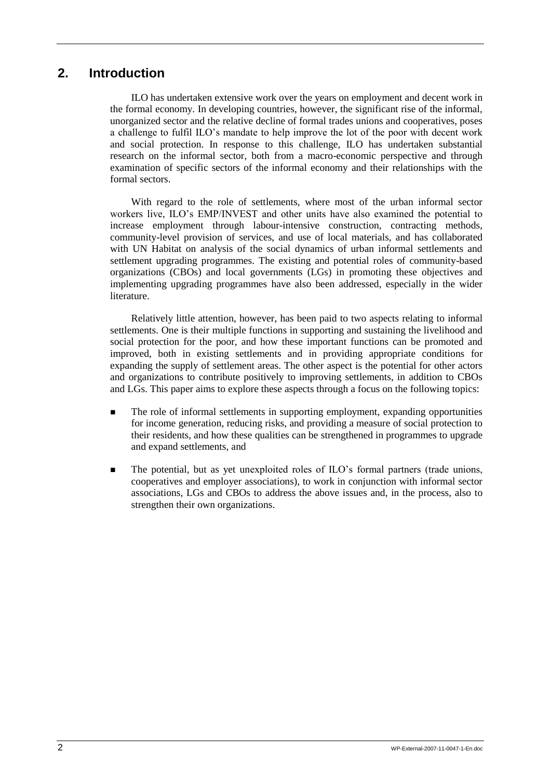## <span id="page-9-0"></span>**2. Introduction**

ILO has undertaken extensive work over the years on employment and decent work in the formal economy. In developing countries, however, the significant rise of the informal, unorganized sector and the relative decline of formal trades unions and cooperatives, poses a challenge to fulfil ILO"s mandate to help improve the lot of the poor with decent work and social protection. In response to this challenge, ILO has undertaken substantial research on the informal sector, both from a macro-economic perspective and through examination of specific sectors of the informal economy and their relationships with the formal sectors.

With regard to the role of settlements, where most of the urban informal sector workers live, ILO"s EMP/INVEST and other units have also examined the potential to increase employment through labour-intensive construction, contracting methods, community-level provision of services, and use of local materials, and has collaborated with UN Habitat on analysis of the social dynamics of urban informal settlements and settlement upgrading programmes. The existing and potential roles of community-based organizations (CBOs) and local governments (LGs) in promoting these objectives and implementing upgrading programmes have also been addressed, especially in the wider literature.

Relatively little attention, however, has been paid to two aspects relating to informal settlements. One is their multiple functions in supporting and sustaining the livelihood and social protection for the poor, and how these important functions can be promoted and improved, both in existing settlements and in providing appropriate conditions for expanding the supply of settlement areas. The other aspect is the potential for other actors and organizations to contribute positively to improving settlements, in addition to CBOs and LGs. This paper aims to explore these aspects through a focus on the following topics:

- The role of informal settlements in supporting employment, expanding opportunities for income generation, reducing risks, and providing a measure of social protection to their residents, and how these qualities can be strengthened in programmes to upgrade and expand settlements, and
- The potential, but as yet unexploited roles of ILO"s formal partners (trade unions, cooperatives and employer associations), to work in conjunction with informal sector associations, LGs and CBOs to address the above issues and, in the process, also to strengthen their own organizations.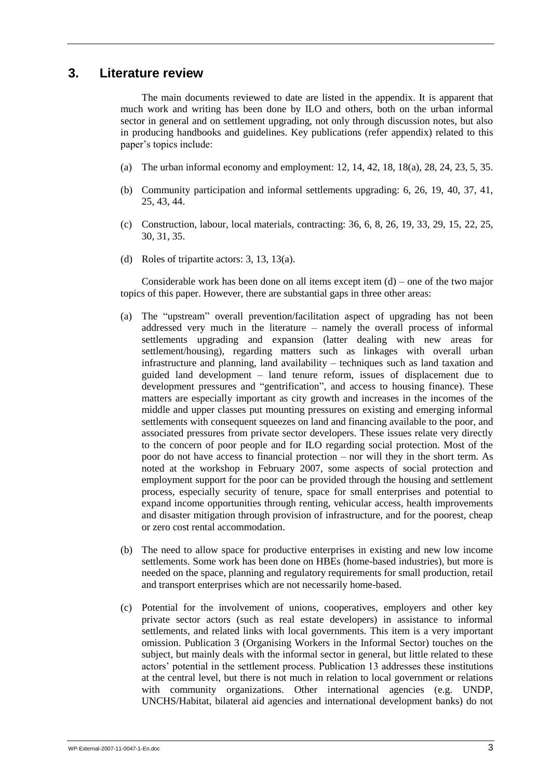## <span id="page-10-0"></span>**3. Literature review**

The main documents reviewed to date are listed in the appendix. It is apparent that much work and writing has been done by ILO and others, both on the urban informal sector in general and on settlement upgrading, not only through discussion notes, but also in producing handbooks and guidelines. Key publications (refer appendix) related to this paper"s topics include:

- (a) The urban informal economy and employment: 12, 14, 42, 18, 18(a), 28, 24, 23, 5, 35.
- (b) Community participation and informal settlements upgrading: 6, 26, 19, 40, 37, 41, 25, 43, 44.
- (c) Construction, labour, local materials, contracting: 36, 6, 8, 26, 19, 33, 29, 15, 22, 25, 30, 31, 35.
- (d) Roles of tripartite actors: 3, 13, 13(a).

Considerable work has been done on all items except item  $(d)$  – one of the two major topics of this paper. However, there are substantial gaps in three other areas:

- (a) The "upstream" overall prevention/facilitation aspect of upgrading has not been addressed very much in the literature – namely the overall process of informal settlements upgrading and expansion (latter dealing with new areas for settlement/housing), regarding matters such as linkages with overall urban infrastructure and planning, land availability – techniques such as land taxation and guided land development – land tenure reform, issues of displacement due to development pressures and "gentrification", and access to housing finance). These matters are especially important as city growth and increases in the incomes of the middle and upper classes put mounting pressures on existing and emerging informal settlements with consequent squeezes on land and financing available to the poor, and associated pressures from private sector developers. These issues relate very directly to the concern of poor people and for ILO regarding social protection. Most of the poor do not have access to financial protection – nor will they in the short term. As noted at the workshop in February 2007, some aspects of social protection and employment support for the poor can be provided through the housing and settlement process, especially security of tenure, space for small enterprises and potential to expand income opportunities through renting, vehicular access, health improvements and disaster mitigation through provision of infrastructure, and for the poorest, cheap or zero cost rental accommodation.
- (b) The need to allow space for productive enterprises in existing and new low income settlements. Some work has been done on HBEs (home-based industries), but more is needed on the space, planning and regulatory requirements for small production, retail and transport enterprises which are not necessarily home-based.
- (c) Potential for the involvement of unions, cooperatives, employers and other key private sector actors (such as real estate developers) in assistance to informal settlements, and related links with local governments. This item is a very important omission. Publication 3 (Organising Workers in the Informal Sector) touches on the subject, but mainly deals with the informal sector in general, but little related to these actors" potential in the settlement process. Publication 13 addresses these institutions at the central level, but there is not much in relation to local government or relations with community organizations. Other international agencies (e.g. UNDP, UNCHS/Habitat, bilateral aid agencies and international development banks) do not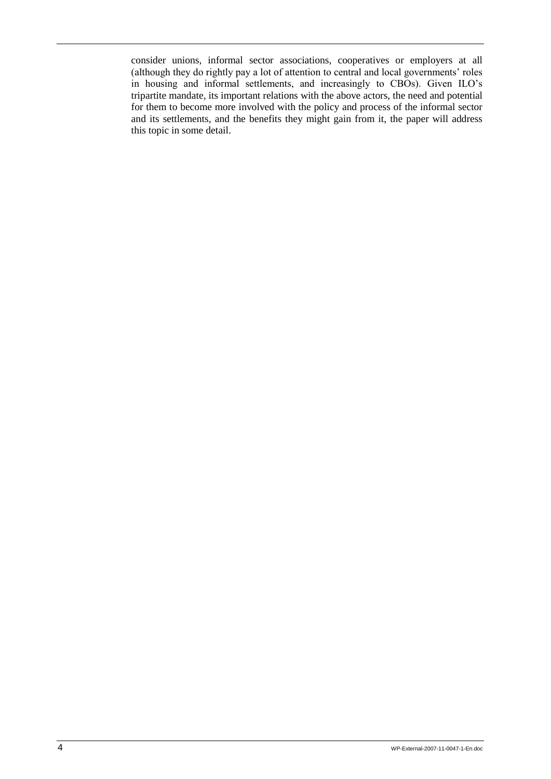consider unions, informal sector associations, cooperatives or employers at all (although they do rightly pay a lot of attention to central and local governments" roles in housing and informal settlements, and increasingly to CBOs). Given ILO"s tripartite mandate, its important relations with the above actors, the need and potential for them to become more involved with the policy and process of the informal sector and its settlements, and the benefits they might gain from it, the paper will address this topic in some detail.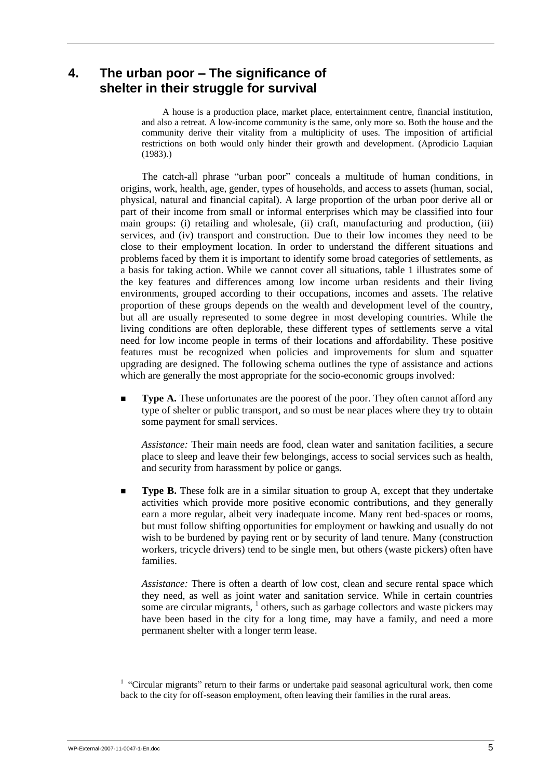## <span id="page-12-0"></span>**4. The urban poor – The significance of shelter in their struggle for survival**

A house is a production place, market place, entertainment centre, financial institution, and also a retreat. A low-income community is the same, only more so. Both the house and the community derive their vitality from a multiplicity of uses. The imposition of artificial restrictions on both would only hinder their growth and development. (Aprodicio Laquian (1983).)

The catch-all phrase "urban poor" conceals a multitude of human conditions, in origins, work, health, age, gender, types of households, and access to assets (human, social, physical, natural and financial capital). A large proportion of the urban poor derive all or part of their income from small or informal enterprises which may be classified into four main groups: (i) retailing and wholesale, (ii) craft, manufacturing and production, (iii) services, and (iv) transport and construction. Due to their low incomes they need to be close to their employment location. In order to understand the different situations and problems faced by them it is important to identify some broad categories of settlements, as a basis for taking action. While we cannot cover all situations, table 1 illustrates some of the key features and differences among low income urban residents and their living environments, grouped according to their occupations, incomes and assets. The relative proportion of these groups depends on the wealth and development level of the country, but all are usually represented to some degree in most developing countries. While the living conditions are often deplorable, these different types of settlements serve a vital need for low income people in terms of their locations and affordability. These positive features must be recognized when policies and improvements for slum and squatter upgrading are designed. The following schema outlines the type of assistance and actions which are generally the most appropriate for the socio-economic groups involved:

**Type A.** These unfortunates are the poorest of the poor. They often cannot afford any type of shelter or public transport, and so must be near places where they try to obtain some payment for small services.

*Assistance:* Their main needs are food, clean water and sanitation facilities, a secure place to sleep and leave their few belongings, access to social services such as health, and security from harassment by police or gangs.

**Type B.** These folk are in a similar situation to group A, except that they undertake activities which provide more positive economic contributions, and they generally earn a more regular, albeit very inadequate income. Many rent bed-spaces or rooms, but must follow shifting opportunities for employment or hawking and usually do not wish to be burdened by paying rent or by security of land tenure. Many (construction workers, tricycle drivers) tend to be single men, but others (waste pickers) often have families.

*Assistance:* There is often a dearth of low cost, clean and secure rental space which they need, as well as joint water and sanitation service. While in certain countries some are circular migrants,  $\frac{1}{1}$  others, such as garbage collectors and waste pickers may have been based in the city for a long time, may have a family, and need a more permanent shelter with a longer term lease.

<sup>&</sup>lt;sup>1</sup> "Circular migrants" return to their farms or undertake paid seasonal agricultural work, then come back to the city for off-season employment, often leaving their families in the rural areas.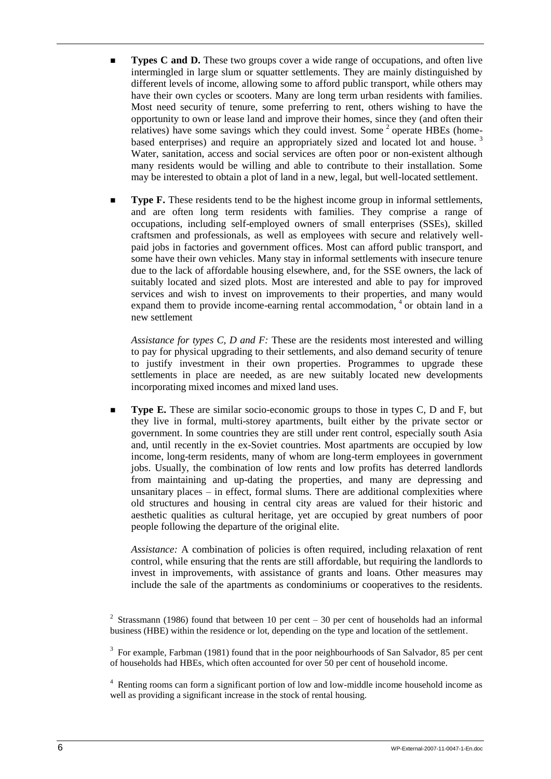- **Types C and D.** These two groups cover a wide range of occupations, and often live intermingled in large slum or squatter settlements. They are mainly distinguished by different levels of income, allowing some to afford public transport, while others may have their own cycles or scooters. Many are long term urban residents with families. Most need security of tenure, some preferring to rent, others wishing to have the opportunity to own or lease land and improve their homes, since they (and often their relatives) have some savings which they could invest. Some <sup>2</sup> operate HBEs (homebased enterprises) and require an appropriately sized and located lot and house.<sup>3</sup> Water, sanitation, access and social services are often poor or non-existent although many residents would be willing and able to contribute to their installation. Some may be interested to obtain a plot of land in a new, legal, but well-located settlement.
- **Type F.** These residents tend to be the highest income group in informal settlements, and are often long term residents with families. They comprise a range of occupations, including self-employed owners of small enterprises (SSEs), skilled craftsmen and professionals, as well as employees with secure and relatively wellpaid jobs in factories and government offices. Most can afford public transport, and some have their own vehicles. Many stay in informal settlements with insecure tenure due to the lack of affordable housing elsewhere, and, for the SSE owners, the lack of suitably located and sized plots. Most are interested and able to pay for improved services and wish to invest on improvements to their properties, and many would expand them to provide income-earning rental accommodation, <sup>4</sup> or obtain land in a new settlement

*Assistance for types C, D and F:* These are the residents most interested and willing to pay for physical upgrading to their settlements, and also demand security of tenure to justify investment in their own properties. Programmes to upgrade these settlements in place are needed, as are new suitably located new developments incorporating mixed incomes and mixed land uses.

 **Type E.** These are similar socio-economic groups to those in types C, D and F, but they live in formal, multi-storey apartments, built either by the private sector or government. In some countries they are still under rent control, especially south Asia and, until recently in the ex-Soviet countries. Most apartments are occupied by low income, long-term residents, many of whom are long-term employees in government jobs. Usually, the combination of low rents and low profits has deterred landlords from maintaining and up-dating the properties, and many are depressing and unsanitary places – in effect, formal slums. There are additional complexities where old structures and housing in central city areas are valued for their historic and aesthetic qualities as cultural heritage, yet are occupied by great numbers of poor people following the departure of the original elite.

*Assistance:* A combination of policies is often required, including relaxation of rent control, while ensuring that the rents are still affordable, but requiring the landlords to invest in improvements, with assistance of grants and loans. Other measures may include the sale of the apartments as condominiums or cooperatives to the residents.

<sup>&</sup>lt;sup>2</sup> Strassmann (1986) found that between 10 per cent – 30 per cent of households had an informal business (HBE) within the residence or lot, depending on the type and location of the settlement.

 $3$  For example, Farbman (1981) found that in the poor neighbourhoods of San Salvador, 85 per cent of households had HBEs, which often accounted for over 50 per cent of household income.

 $4$  Renting rooms can form a significant portion of low and low-middle income household income as well as providing a significant increase in the stock of rental housing.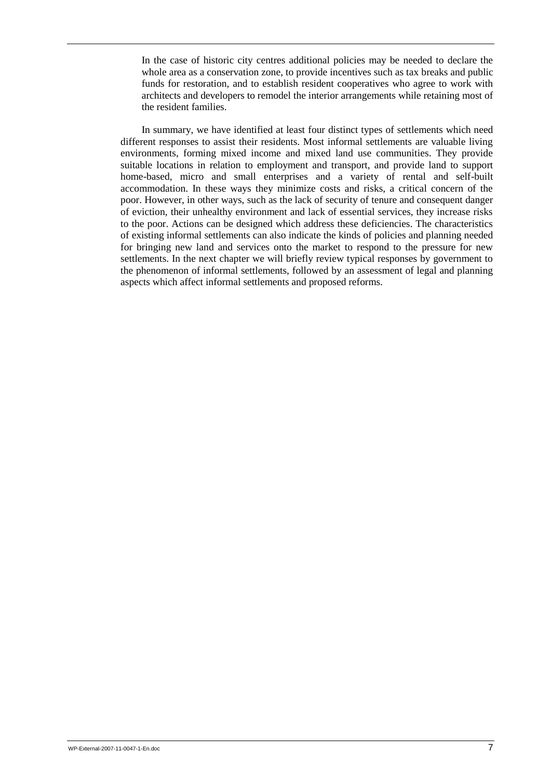In the case of historic city centres additional policies may be needed to declare the whole area as a conservation zone, to provide incentives such as tax breaks and public funds for restoration, and to establish resident cooperatives who agree to work with architects and developers to remodel the interior arrangements while retaining most of the resident families.

In summary, we have identified at least four distinct types of settlements which need different responses to assist their residents. Most informal settlements are valuable living environments, forming mixed income and mixed land use communities. They provide suitable locations in relation to employment and transport, and provide land to support home-based, micro and small enterprises and a variety of rental and self-built accommodation. In these ways they minimize costs and risks, a critical concern of the poor. However, in other ways, such as the lack of security of tenure and consequent danger of eviction, their unhealthy environment and lack of essential services, they increase risks to the poor. Actions can be designed which address these deficiencies. The characteristics of existing informal settlements can also indicate the kinds of policies and planning needed for bringing new land and services onto the market to respond to the pressure for new settlements. In the next chapter we will briefly review typical responses by government to the phenomenon of informal settlements, followed by an assessment of legal and planning aspects which affect informal settlements and proposed reforms.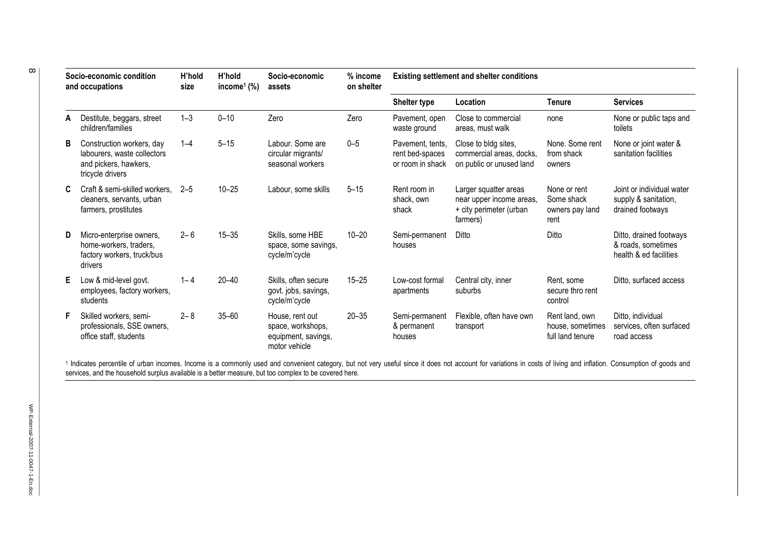| Socio-economic condition<br>and occupations |                                                                                                       | H'hold<br>H'hold<br>% income<br>Socio-economic<br>income <sup>1</sup> $(\%)$<br>on shelter<br>size<br>assets |           | <b>Existing settlement and shelter conditions</b>                            |           |                                                         |                                                                                          |                                                        |                                                                         |
|---------------------------------------------|-------------------------------------------------------------------------------------------------------|--------------------------------------------------------------------------------------------------------------|-----------|------------------------------------------------------------------------------|-----------|---------------------------------------------------------|------------------------------------------------------------------------------------------|--------------------------------------------------------|-------------------------------------------------------------------------|
|                                             |                                                                                                       |                                                                                                              |           |                                                                              |           | Shelter type                                            | Location                                                                                 | <b>Tenure</b>                                          | <b>Services</b>                                                         |
| А                                           | Destitute, beggars, street<br>children/families                                                       | $1 - 3$                                                                                                      | $0 - 10$  | Zero                                                                         | Zero      | Pavement, open<br>waste ground                          | Close to commercial<br>areas, must walk                                                  | none                                                   | None or public taps and<br>toilets                                      |
| B                                           | Construction workers, day<br>labourers, waste collectors<br>and pickers, hawkers,<br>tricycle drivers | $1 - 4$                                                                                                      | $5 - 15$  | Labour. Some are<br>circular migrants/<br>seasonal workers                   | $0 - 5$   | Pavement, tents,<br>rent bed-spaces<br>or room in shack | Close to bldg sites,<br>commercial areas, docks,<br>on public or unused land             | None, Some rent<br>from shack<br>owners                | None or joint water &<br>sanitation facilities                          |
| C.                                          | Craft & semi-skilled workers,<br>cleaners, servants, urban<br>farmers, prostitutes                    | $2 - 5$                                                                                                      | $10 - 25$ | Labour, some skills                                                          | $5 - 15$  | Rent room in<br>shack, own<br>shack                     | Larger squatter areas<br>near upper income areas,<br>+ city perimeter (urban<br>farmers) | None or rent<br>Some shack<br>owners pay land<br>rent  | Joint or individual water<br>supply & sanitation,<br>drained footways   |
| D                                           | Micro-enterprise owners,<br>home-workers, traders,<br>factory workers, truck/bus<br>drivers           | $2 - 6$                                                                                                      | $15 - 35$ | Skills, some HBE<br>space, some savings,<br>cycle/m'cycle                    | $10 - 20$ | Semi-permanent<br>houses                                | Ditto                                                                                    | Ditto                                                  | Ditto, drained footways<br>& roads, sometimes<br>health & ed facilities |
| E.                                          | Low & mid-level govt.<br>employees, factory workers,<br>students                                      | $1 - 4$                                                                                                      | $20 - 40$ | Skills, often secure<br>govt. jobs, savings,<br>cycle/m'cycle                | $15 - 25$ | Low-cost formal<br>apartments                           | Central city, inner<br>suburbs                                                           | Rent. some<br>secure thro rent<br>control              | Ditto, surfaced access                                                  |
| F.                                          | Skilled workers, semi-<br>professionals, SSE owners,<br>office staff, students                        | $2 - 8$                                                                                                      | $35 - 60$ | House, rent out<br>space, workshops,<br>equipment, savings,<br>motor vehicle | $20 - 35$ | Semi-permanent<br>& permanent<br>houses                 | Flexible, often have own<br>transport                                                    | Rent land, own<br>house, sometimes<br>full land tenure | Ditto, individual<br>services, often surfaced<br>road access            |

<sup>1</sup> Indicates percentile of urban incomes. Income is a commonly used and convenient category, but not very useful since it does not account for variations in costs of living and inflation. Consumption of goods and services, and the household surplus available is a better measure, but too complex to be covered here.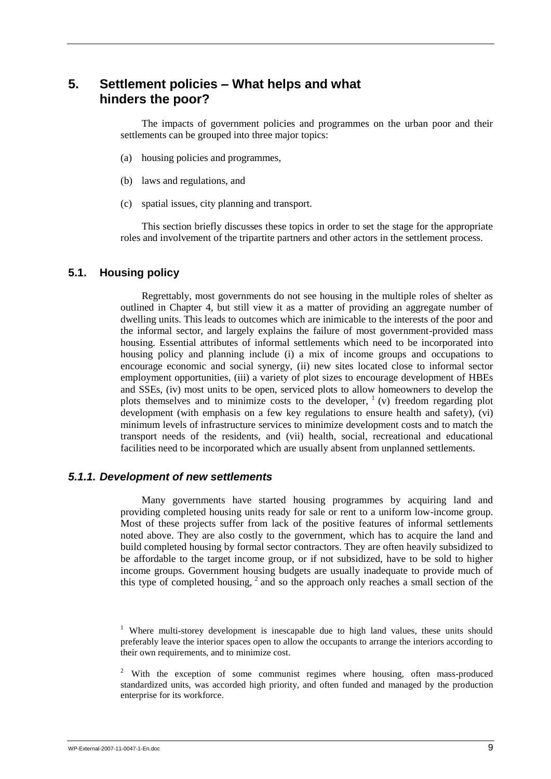## <span id="page-16-0"></span>**5. Settlement policies – What helps and what hinders the poor?**

The impacts of government policies and programmes on the urban poor and their settlements can be grouped into three major topics:

- (a) housing policies and programmes,
- (b) laws and regulations, and
- (c) spatial issues, city planning and transport.

This section briefly discusses these topics in order to set the stage for the appropriate roles and involvement of the tripartite partners and other actors in the settlement process.

## <span id="page-16-1"></span>**5.1. Housing policy**

Regrettably, most governments do not see housing in the multiple roles of shelter as outlined in Chapter 4, but still view it as a matter of providing an aggregate number of dwelling units. This leads to outcomes which are inimicable to the interests of the poor and the informal sector, and largely explains the failure of most government-provided mass housing. Essential attributes of informal settlements which need to be incorporated into housing policy and planning include (i) a mix of income groups and occupations to encourage economic and social synergy, (ii) new sites located close to informal sector employment opportunities, (iii) a variety of plot sizes to encourage development of HBEs and SSEs, (iv) most units to be open, serviced plots to allow homeowners to develop the plots themselves and to minimize costs to the developer,  $($ <sub>V</sub> $)$  freedom regarding plot development (with emphasis on a few key regulations to ensure health and safety), (vi) minimum levels of infrastructure services to minimize development costs and to match the transport needs of the residents, and (vii) health, social, recreational and educational facilities need to be incorporated which are usually absent from unplanned settlements.

## <span id="page-16-2"></span>*5.1.1. Development of new settlements*

Many governments have started housing programmes by acquiring land and providing completed housing units ready for sale or rent to a uniform low-income group. Most of these projects suffer from lack of the positive features of informal settlements noted above. They are also costly to the government, which has to acquire the land and build completed housing by formal sector contractors. They are often heavily subsidized to be affordable to the target income group, or if not subsidized, have to be sold to higher income groups. Government housing budgets are usually inadequate to provide much of this type of completed housing, <sup>2</sup> and so the approach only reaches a small section of the

<sup>1</sup> Where multi-storey development is inescapable due to high land values, these units should preferably leave the interior spaces open to allow the occupants to arrange the interiors according to their own requirements, and to minimize cost.

<sup>&</sup>lt;sup>2</sup> With the exception of some communist regimes where housing, often mass-produced standardized units, was accorded high priority, and often funded and managed by the production enterprise for its workforce.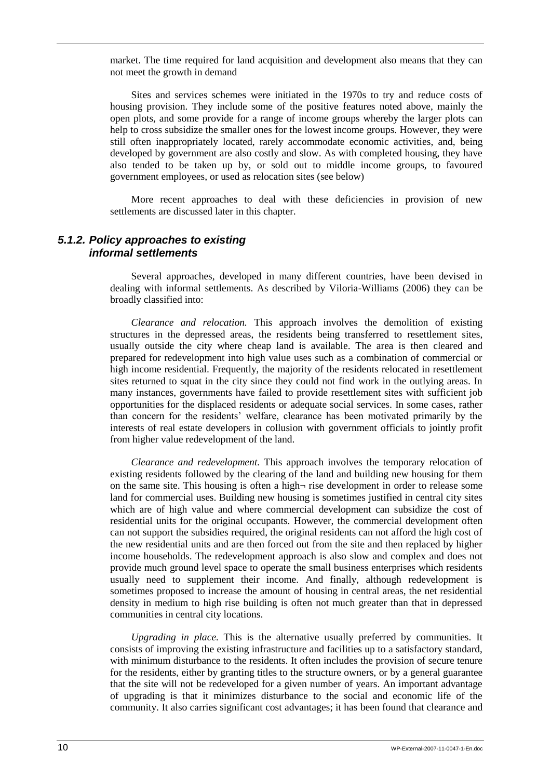market. The time required for land acquisition and development also means that they can not meet the growth in demand

Sites and services schemes were initiated in the 1970s to try and reduce costs of housing provision. They include some of the positive features noted above, mainly the open plots, and some provide for a range of income groups whereby the larger plots can help to cross subsidize the smaller ones for the lowest income groups. However, they were still often inappropriately located, rarely accommodate economic activities, and, being developed by government are also costly and slow. As with completed housing, they have also tended to be taken up by, or sold out to middle income groups, to favoured government employees, or used as relocation sites (see below)

More recent approaches to deal with these deficiencies in provision of new settlements are discussed later in this chapter.

### <span id="page-17-0"></span>*5.1.2. Policy approaches to existing informal settlements*

Several approaches, developed in many different countries, have been devised in dealing with informal settlements. As described by Viloria-Williams (2006) they can be broadly classified into:

*Clearance and relocation.* This approach involves the demolition of existing structures in the depressed areas, the residents being transferred to resettlement sites, usually outside the city where cheap land is available. The area is then cleared and prepared for redevelopment into high value uses such as a combination of commercial or high income residential. Frequently, the majority of the residents relocated in resettlement sites returned to squat in the city since they could not find work in the outlying areas. In many instances, governments have failed to provide resettlement sites with sufficient job opportunities for the displaced residents or adequate social services. In some cases, rather than concern for the residents" welfare, clearance has been motivated primarily by the interests of real estate developers in collusion with government officials to jointly profit from higher value redevelopment of the land.

*Clearance and redevelopment.* This approach involves the temporary relocation of existing residents followed by the clearing of the land and building new housing for them on the same site. This housing is often a high $\neg$  rise development in order to release some land for commercial uses. Building new housing is sometimes justified in central city sites which are of high value and where commercial development can subsidize the cost of residential units for the original occupants. However, the commercial development often can not support the subsidies required, the original residents can not afford the high cost of the new residential units and are then forced out from the site and then replaced by higher income households. The redevelopment approach is also slow and complex and does not provide much ground level space to operate the small business enterprises which residents usually need to supplement their income. And finally, although redevelopment is sometimes proposed to increase the amount of housing in central areas, the net residential density in medium to high rise building is often not much greater than that in depressed communities in central city locations.

*Upgrading in place.* This is the alternative usually preferred by communities. It consists of improving the existing infrastructure and facilities up to a satisfactory standard, with minimum disturbance to the residents. It often includes the provision of secure tenure for the residents, either by granting titles to the structure owners, or by a general guarantee that the site will not be redeveloped for a given number of years. An important advantage of upgrading is that it minimizes disturbance to the social and economic life of the community. It also carries significant cost advantages; it has been found that clearance and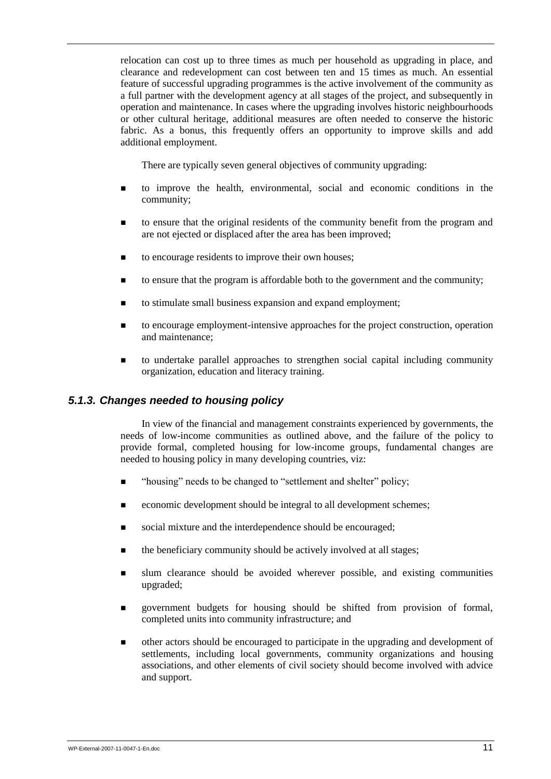relocation can cost up to three times as much per household as upgrading in place, and clearance and redevelopment can cost between ten and 15 times as much. An essential feature of successful upgrading programmes is the active involvement of the community as a full partner with the development agency at all stages of the project, and subsequently in operation and maintenance. In cases where the upgrading involves historic neighbourhoods or other cultural heritage, additional measures are often needed to conserve the historic fabric. As a bonus, this frequently offers an opportunity to improve skills and add additional employment.

There are typically seven general objectives of community upgrading:

- to improve the health, environmental, social and economic conditions in the community;
- to ensure that the original residents of the community benefit from the program and are not ejected or displaced after the area has been improved:
- to encourage residents to improve their own houses;
- to ensure that the program is affordable both to the government and the community;
- to stimulate small business expansion and expand employment;
- to encourage employment-intensive approaches for the project construction, operation and maintenance;
- to undertake parallel approaches to strengthen social capital including community organization, education and literacy training.

## <span id="page-18-0"></span>*5.1.3. Changes needed to housing policy*

In view of the financial and management constraints experienced by governments, the needs of low-income communities as outlined above, and the failure of the policy to provide formal, completed housing for low-income groups, fundamental changes are needed to housing policy in many developing countries, viz:

- "housing" needs to be changed to "settlement and shelter" policy;
- economic development should be integral to all development schemes;
- social mixture and the interdependence should be encouraged;
- the beneficiary community should be actively involved at all stages;
- slum clearance should be avoided wherever possible, and existing communities upgraded;
- government budgets for housing should be shifted from provision of formal, completed units into community infrastructure; and
- other actors should be encouraged to participate in the upgrading and development of settlements, including local governments, community organizations and housing associations, and other elements of civil society should become involved with advice and support.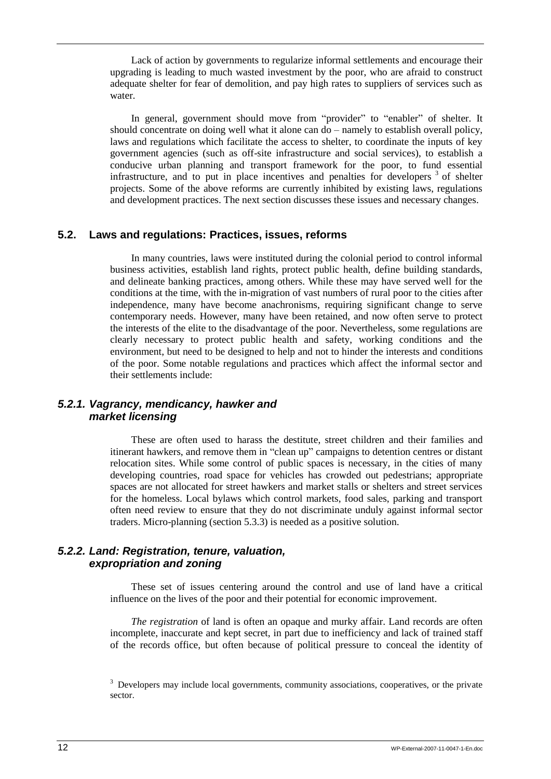Lack of action by governments to regularize informal settlements and encourage their upgrading is leading to much wasted investment by the poor, who are afraid to construct adequate shelter for fear of demolition, and pay high rates to suppliers of services such as water.

In general, government should move from "provider" to "enabler" of shelter. It should concentrate on doing well what it alone can do – namely to establish overall policy, laws and regulations which facilitate the access to shelter, to coordinate the inputs of key government agencies (such as off-site infrastructure and social services), to establish a conducive urban planning and transport framework for the poor, to fund essential infrastructure, and to put in place incentives and penalties for developers  $3$  of shelter projects. Some of the above reforms are currently inhibited by existing laws, regulations and development practices. The next section discusses these issues and necessary changes.

## <span id="page-19-0"></span>**5.2. Laws and regulations: Practices, issues, reforms**

In many countries, laws were instituted during the colonial period to control informal business activities, establish land rights, protect public health, define building standards, and delineate banking practices, among others. While these may have served well for the conditions at the time, with the in-migration of vast numbers of rural poor to the cities after independence, many have become anachronisms, requiring significant change to serve contemporary needs. However, many have been retained, and now often serve to protect the interests of the elite to the disadvantage of the poor. Nevertheless, some regulations are clearly necessary to protect public health and safety, working conditions and the environment, but need to be designed to help and not to hinder the interests and conditions of the poor. Some notable regulations and practices which affect the informal sector and their settlements include:

## <span id="page-19-1"></span>*5.2.1. Vagrancy, mendicancy, hawker and market licensing*

These are often used to harass the destitute, street children and their families and itinerant hawkers, and remove them in "clean up" campaigns to detention centres or distant relocation sites. While some control of public spaces is necessary, in the cities of many developing countries, road space for vehicles has crowded out pedestrians; appropriate spaces are not allocated for street hawkers and market stalls or shelters and street services for the homeless. Local bylaws which control markets, food sales, parking and transport often need review to ensure that they do not discriminate unduly against informal sector traders. Micro-planning (section 5.3.3) is needed as a positive solution.

## <span id="page-19-2"></span>*5.2.2. Land: Registration, tenure, valuation, expropriation and zoning*

These set of issues centering around the control and use of land have a critical influence on the lives of the poor and their potential for economic improvement.

*The registration* of land is often an opaque and murky affair. Land records are often incomplete, inaccurate and kept secret, in part due to inefficiency and lack of trained staff of the records office, but often because of political pressure to conceal the identity of

 $3$  Developers may include local governments, community associations, cooperatives, or the private sector.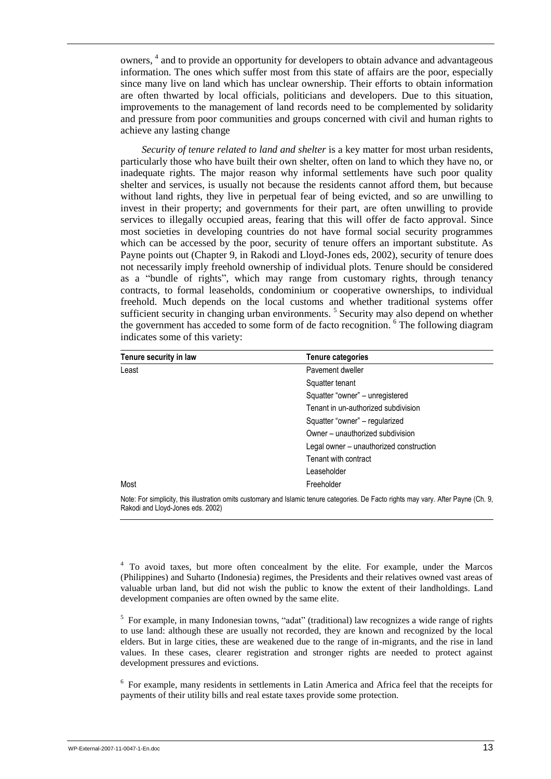owners, 4 and to provide an opportunity for developers to obtain advance and advantageous information. The ones which suffer most from this state of affairs are the poor, especially since many live on land which has unclear ownership. Their efforts to obtain information are often thwarted by local officials, politicians and developers. Due to this situation, improvements to the management of land records need to be complemented by solidarity and pressure from poor communities and groups concerned with civil and human rights to achieve any lasting change

*Security of tenure related to land and shelter* is a key matter for most urban residents, particularly those who have built their own shelter, often on land to which they have no, or inadequate rights. The major reason why informal settlements have such poor quality shelter and services, is usually not because the residents cannot afford them, but because without land rights, they live in perpetual fear of being evicted, and so are unwilling to invest in their property; and governments for their part, are often unwilling to provide services to illegally occupied areas, fearing that this will offer de facto approval. Since most societies in developing countries do not have formal social security programmes which can be accessed by the poor, security of tenure offers an important substitute. As Payne points out (Chapter 9, in Rakodi and Lloyd-Jones eds, 2002), security of tenure does not necessarily imply freehold ownership of individual plots. Tenure should be considered as a "bundle of rights", which may range from customary rights, through tenancy contracts, to formal leaseholds, condominium or cooperative ownerships, to individual freehold. Much depends on the local customs and whether traditional systems offer sufficient security in changing urban environments.<sup>5</sup> Security may also depend on whether the government has acceded to some form of de facto recognition. <sup>6</sup> The following diagram indicates some of this variety:

| Tenure security in law | Tenure categories                       |
|------------------------|-----------------------------------------|
| Least                  | Pavement dweller                        |
|                        | Squatter tenant                         |
|                        | Squatter "owner" - unregistered         |
|                        | Tenant in un-authorized subdivision     |
|                        | Squatter "owner" - regularized          |
|                        | Owner – unauthorized subdivision        |
|                        | Legal owner – unauthorized construction |
|                        | Tenant with contract                    |
|                        | Leaseholder                             |
| Most                   | Freeholder                              |
|                        |                                         |

Note: For simplicity, this illustration omits customary and Islamic tenure categories. De Facto rights may vary. After Payne (Ch. 9, Rakodi and Lloyd-Jones eds. 2002)

<sup>4</sup> To avoid taxes, but more often concealment by the elite. For example, under the Marcos (Philippines) and Suharto (Indonesia) regimes, the Presidents and their relatives owned vast areas of valuable urban land, but did not wish the public to know the extent of their landholdings. Land development companies are often owned by the same elite.

<sup>5</sup> For example, in many Indonesian towns, "adat" (traditional) law recognizes a wide range of rights to use land: although these are usually not recorded, they are known and recognized by the local elders. But in large cities, these are weakened due to the range of in-migrants, and the rise in land values. In these cases, clearer registration and stronger rights are needed to protect against development pressures and evictions.

<sup>6</sup> For example, many residents in settlements in Latin America and Africa feel that the receipts for payments of their utility bills and real estate taxes provide some protection.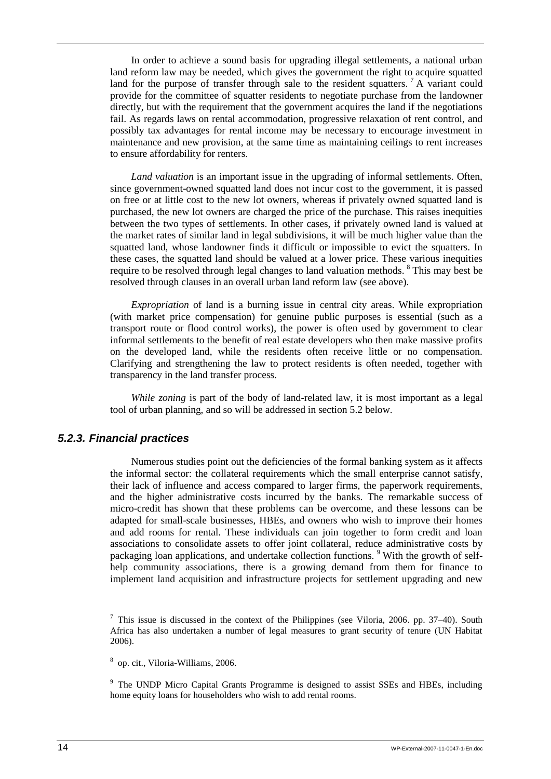In order to achieve a sound basis for upgrading illegal settlements, a national urban land reform law may be needed, which gives the government the right to acquire squatted land for the purpose of transfer through sale to the resident squatters.<sup>7</sup> A variant could provide for the committee of squatter residents to negotiate purchase from the landowner directly, but with the requirement that the government acquires the land if the negotiations fail. As regards laws on rental accommodation, progressive relaxation of rent control, and possibly tax advantages for rental income may be necessary to encourage investment in maintenance and new provision, at the same time as maintaining ceilings to rent increases to ensure affordability for renters.

*Land valuation* is an important issue in the upgrading of informal settlements. Often, since government-owned squatted land does not incur cost to the government, it is passed on free or at little cost to the new lot owners, whereas if privately owned squatted land is purchased, the new lot owners are charged the price of the purchase. This raises inequities between the two types of settlements. In other cases, if privately owned land is valued at the market rates of similar land in legal subdivisions, it will be much higher value than the squatted land, whose landowner finds it difficult or impossible to evict the squatters. In these cases, the squatted land should be valued at a lower price. These various inequities require to be resolved through legal changes to land valuation methods. <sup>8</sup> This may best be resolved through clauses in an overall urban land reform law (see above).

*Expropriation* of land is a burning issue in central city areas. While expropriation (with market price compensation) for genuine public purposes is essential (such as a transport route or flood control works), the power is often used by government to clear informal settlements to the benefit of real estate developers who then make massive profits on the developed land, while the residents often receive little or no compensation. Clarifying and strengthening the law to protect residents is often needed, together with transparency in the land transfer process.

*While zoning* is part of the body of land-related law, it is most important as a legal tool of urban planning, and so will be addressed in section 5.2 below.

## <span id="page-21-0"></span>*5.2.3. Financial practices*

Numerous studies point out the deficiencies of the formal banking system as it affects the informal sector: the collateral requirements which the small enterprise cannot satisfy, their lack of influence and access compared to larger firms, the paperwork requirements, and the higher administrative costs incurred by the banks. The remarkable success of micro-credit has shown that these problems can be overcome, and these lessons can be adapted for small-scale businesses, HBEs, and owners who wish to improve their homes and add rooms for rental. These individuals can join together to form credit and loan associations to consolidate assets to offer joint collateral, reduce administrative costs by packaging loan applications, and undertake collection functions. <sup>9</sup> With the growth of selfhelp community associations, there is a growing demand from them for finance to implement land acquisition and infrastructure projects for settlement upgrading and new

8 op. cit., Viloria-Williams, 2006.

<sup>9</sup> The UNDP Micro Capital Grants Programme is designed to assist SSEs and HBEs, including home equity loans for householders who wish to add rental rooms.

<sup>&</sup>lt;sup>7</sup> This issue is discussed in the context of the Philippines (see Viloria, 2006. pp. 37–40). South Africa has also undertaken a number of legal measures to grant security of tenure (UN Habitat 2006).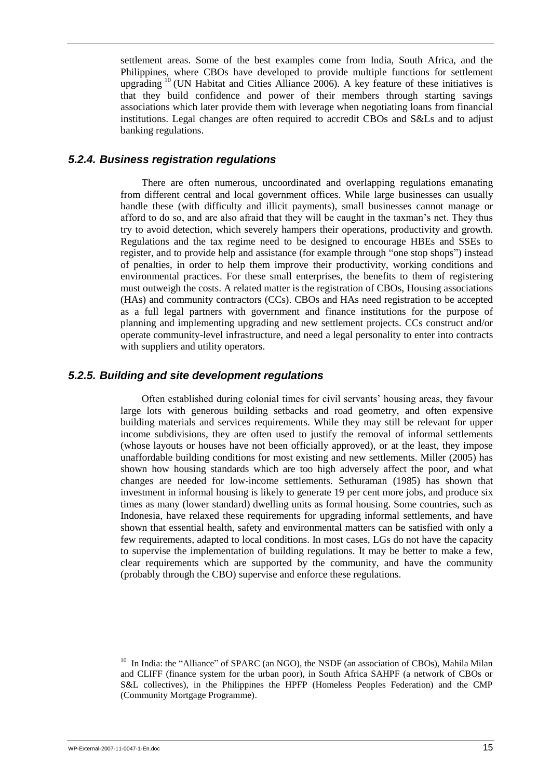settlement areas. Some of the best examples come from India, South Africa, and the Philippines, where CBOs have developed to provide multiple functions for settlement upgrading <sup>10</sup> (UN Habitat and Cities Alliance 2006). A key feature of these initiatives is that they build confidence and power of their members through starting savings associations which later provide them with leverage when negotiating loans from financial institutions. Legal changes are often required to accredit CBOs and S&Ls and to adjust banking regulations.

## <span id="page-22-0"></span>*5.2.4. Business registration regulations*

There are often numerous, uncoordinated and overlapping regulations emanating from different central and local government offices. While large businesses can usually handle these (with difficulty and illicit payments), small businesses cannot manage or afford to do so, and are also afraid that they will be caught in the taxman"s net. They thus try to avoid detection, which severely hampers their operations, productivity and growth. Regulations and the tax regime need to be designed to encourage HBEs and SSEs to register, and to provide help and assistance (for example through "one stop shops") instead of penalties, in order to help them improve their productivity, working conditions and environmental practices. For these small enterprises, the benefits to them of registering must outweigh the costs. A related matter is the registration of CBOs, Housing associations (HAs) and community contractors (CCs). CBOs and HAs need registration to be accepted as a full legal partners with government and finance institutions for the purpose of planning and implementing upgrading and new settlement projects. CCs construct and/or operate community-level infrastructure, and need a legal personality to enter into contracts with suppliers and utility operators.

### <span id="page-22-1"></span>*5.2.5. Building and site development regulations*

Often established during colonial times for civil servants" housing areas, they favour large lots with generous building setbacks and road geometry, and often expensive building materials and services requirements. While they may still be relevant for upper income subdivisions, they are often used to justify the removal of informal settlements (whose layouts or houses have not been officially approved), or at the least, they impose unaffordable building conditions for most existing and new settlements. Miller (2005) has shown how housing standards which are too high adversely affect the poor, and what changes are needed for low-income settlements. Sethuraman (1985) has shown that investment in informal housing is likely to generate 19 per cent more jobs, and produce six times as many (lower standard) dwelling units as formal housing. Some countries, such as Indonesia, have relaxed these requirements for upgrading informal settlements, and have shown that essential health, safety and environmental matters can be satisfied with only a few requirements, adapted to local conditions. In most cases, LGs do not have the capacity to supervise the implementation of building regulations. It may be better to make a few, clear requirements which are supported by the community, and have the community (probably through the CBO) supervise and enforce these regulations.

 $10$  In India: the "Alliance" of SPARC (an NGO), the NSDF (an association of CBOs), Mahila Milan and CLIFF (finance system for the urban poor), in South Africa SAHPF (a network of CBOs or S&L collectives), in the Philippines the HPFP (Homeless Peoples Federation) and the CMP (Community Mortgage Programme).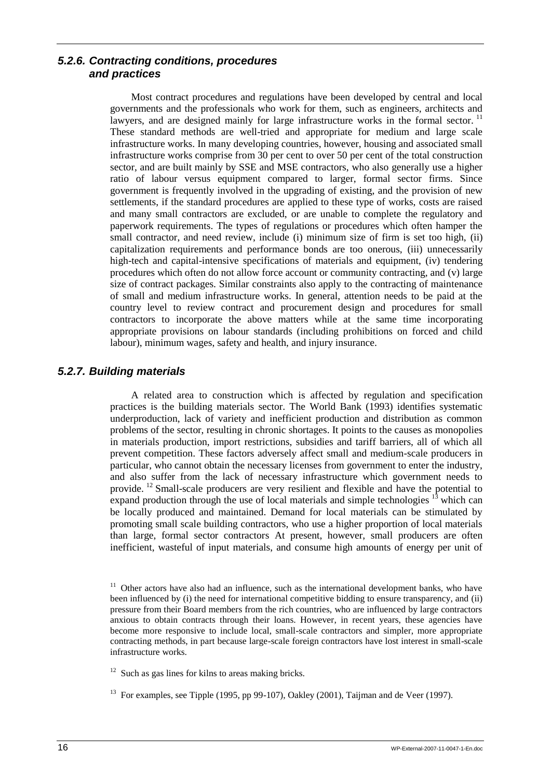## <span id="page-23-0"></span>*5.2.6. Contracting conditions, procedures and practices*

Most contract procedures and regulations have been developed by central and local governments and the professionals who work for them, such as engineers, architects and lawyers, and are designed mainly for large infrastructure works in the formal sector.<sup>11</sup> These standard methods are well-tried and appropriate for medium and large scale infrastructure works. In many developing countries, however, housing and associated small infrastructure works comprise from 30 per cent to over 50 per cent of the total construction sector, and are built mainly by SSE and MSE contractors, who also generally use a higher ratio of labour versus equipment compared to larger, formal sector firms. Since government is frequently involved in the upgrading of existing, and the provision of new settlements, if the standard procedures are applied to these type of works, costs are raised and many small contractors are excluded, or are unable to complete the regulatory and paperwork requirements. The types of regulations or procedures which often hamper the small contractor, and need review, include (i) minimum size of firm is set too high, (ii) capitalization requirements and performance bonds are too onerous, (iii) unnecessarily high-tech and capital-intensive specifications of materials and equipment, (iv) tendering procedures which often do not allow force account or community contracting, and (v) large size of contract packages. Similar constraints also apply to the contracting of maintenance of small and medium infrastructure works. In general, attention needs to be paid at the country level to review contract and procurement design and procedures for small contractors to incorporate the above matters while at the same time incorporating appropriate provisions on labour standards (including prohibitions on forced and child labour), minimum wages, safety and health, and injury insurance.

## <span id="page-23-1"></span>*5.2.7. Building materials*

A related area to construction which is affected by regulation and specification practices is the building materials sector. The World Bank (1993) identifies systematic underproduction, lack of variety and inefficient production and distribution as common problems of the sector, resulting in chronic shortages. It points to the causes as monopolies in materials production, import restrictions, subsidies and tariff barriers, all of which all prevent competition. These factors adversely affect small and medium-scale producers in particular, who cannot obtain the necessary licenses from government to enter the industry, and also suffer from the lack of necessary infrastructure which government needs to provide. <sup>12</sup> Small-scale producers are very resilient and flexible and have the potential to expand production through the use of local materials and simple technologies  $^{13}$  which can be locally produced and maintained. Demand for local materials can be stimulated by promoting small scale building contractors, who use a higher proportion of local materials than large, formal sector contractors At present, however, small producers are often inefficient, wasteful of input materials, and consume high amounts of energy per unit of

 $11$  Other actors have also had an influence, such as the international development banks, who have been influenced by (i) the need for international competitive bidding to ensure transparency, and (ii) pressure from their Board members from the rich countries, who are influenced by large contractors anxious to obtain contracts through their loans. However, in recent years, these agencies have become more responsive to include local, small-scale contractors and simpler, more appropriate contracting methods, in part because large-scale foreign contractors have lost interest in small-scale infrastructure works.

 $12$  Such as gas lines for kilns to areas making bricks.

<sup>&</sup>lt;sup>13</sup> For examples, see Tipple (1995, pp 99-107), Oakley (2001), Taijman and de Veer (1997).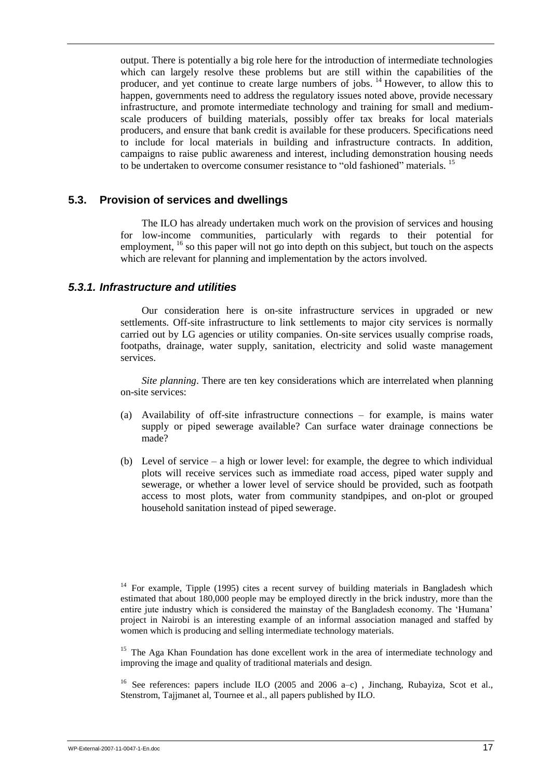output. There is potentially a big role here for the introduction of intermediate technologies which can largely resolve these problems but are still within the capabilities of the producer, and yet continue to create large numbers of jobs. <sup>14</sup> However, to allow this to happen, governments need to address the regulatory issues noted above, provide necessary infrastructure, and promote intermediate technology and training for small and mediumscale producers of building materials, possibly offer tax breaks for local materials producers, and ensure that bank credit is available for these producers. Specifications need to include for local materials in building and infrastructure contracts. In addition, campaigns to raise public awareness and interest, including demonstration housing needs to be undertaken to overcome consumer resistance to "old fashioned" materials. <sup>15</sup>

### <span id="page-24-0"></span>**5.3. Provision of services and dwellings**

The ILO has already undertaken much work on the provision of services and housing for low-income communities, particularly with regards to their potential for employment, <sup>16</sup> so this paper will not go into depth on this subject, but touch on the aspects which are relevant for planning and implementation by the actors involved.

### <span id="page-24-1"></span>*5.3.1. Infrastructure and utilities*

Our consideration here is on-site infrastructure services in upgraded or new settlements. Off-site infrastructure to link settlements to major city services is normally carried out by LG agencies or utility companies. On-site services usually comprise roads, footpaths, drainage, water supply, sanitation, electricity and solid waste management services.

*Site planning*. There are ten key considerations which are interrelated when planning on-site services:

- (a) Availability of off-site infrastructure connections for example, is mains water supply or piped sewerage available? Can surface water drainage connections be made?
- (b) Level of service a high or lower level: for example, the degree to which individual plots will receive services such as immediate road access, piped water supply and sewerage, or whether a lower level of service should be provided, such as footpath access to most plots, water from community standpipes, and on-plot or grouped household sanitation instead of piped sewerage.

<sup>15</sup> The Aga Khan Foundation has done excellent work in the area of intermediate technology and improving the image and quality of traditional materials and design.

<sup>16</sup> See references: papers include ILO (2005 and 2006 a–c), Jinchang, Rubayiza, Scot et al., Stenstrom, Tajjmanet al, Tournee et al., all papers published by ILO.

<sup>&</sup>lt;sup>14</sup> For example, Tipple (1995) cites a recent survey of building materials in Bangladesh which estimated that about 180,000 people may be employed directly in the brick industry, more than the entire jute industry which is considered the mainstay of the Bangladesh economy. The "Humana" project in Nairobi is an interesting example of an informal association managed and staffed by women which is producing and selling intermediate technology materials.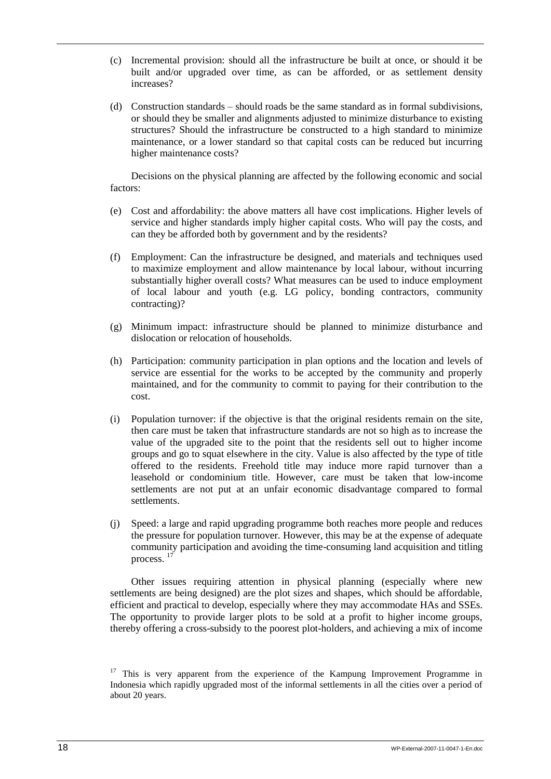- (c) Incremental provision: should all the infrastructure be built at once, or should it be built and/or upgraded over time, as can be afforded, or as settlement density increases?
- (d) Construction standards should roads be the same standard as in formal subdivisions, or should they be smaller and alignments adjusted to minimize disturbance to existing structures? Should the infrastructure be constructed to a high standard to minimize maintenance, or a lower standard so that capital costs can be reduced but incurring higher maintenance costs?

Decisions on the physical planning are affected by the following economic and social factors:

- (e) Cost and affordability: the above matters all have cost implications. Higher levels of service and higher standards imply higher capital costs. Who will pay the costs, and can they be afforded both by government and by the residents?
- (f) Employment: Can the infrastructure be designed, and materials and techniques used to maximize employment and allow maintenance by local labour, without incurring substantially higher overall costs? What measures can be used to induce employment of local labour and youth (e.g. LG policy, bonding contractors, community contracting)?
- (g) Minimum impact: infrastructure should be planned to minimize disturbance and dislocation or relocation of households.
- (h) Participation: community participation in plan options and the location and levels of service are essential for the works to be accepted by the community and properly maintained, and for the community to commit to paying for their contribution to the cost.
- (i) Population turnover: if the objective is that the original residents remain on the site, then care must be taken that infrastructure standards are not so high as to increase the value of the upgraded site to the point that the residents sell out to higher income groups and go to squat elsewhere in the city. Value is also affected by the type of title offered to the residents. Freehold title may induce more rapid turnover than a leasehold or condominium title. However, care must be taken that low-income settlements are not put at an unfair economic disadvantage compared to formal settlements.
- (j) Speed: a large and rapid upgrading programme both reaches more people and reduces the pressure for population turnover. However, this may be at the expense of adequate community participation and avoiding the time-consuming land acquisition and titling process. 17

Other issues requiring attention in physical planning (especially where new settlements are being designed) are the plot sizes and shapes, which should be affordable, efficient and practical to develop, especially where they may accommodate HAs and SSEs. The opportunity to provide larger plots to be sold at a profit to higher income groups, thereby offering a cross-subsidy to the poorest plot-holders, and achieving a mix of income

<sup>&</sup>lt;sup>17</sup> This is very apparent from the experience of the Kampung Improvement Programme in Indonesia which rapidly upgraded most of the informal settlements in all the cities over a period of about 20 years.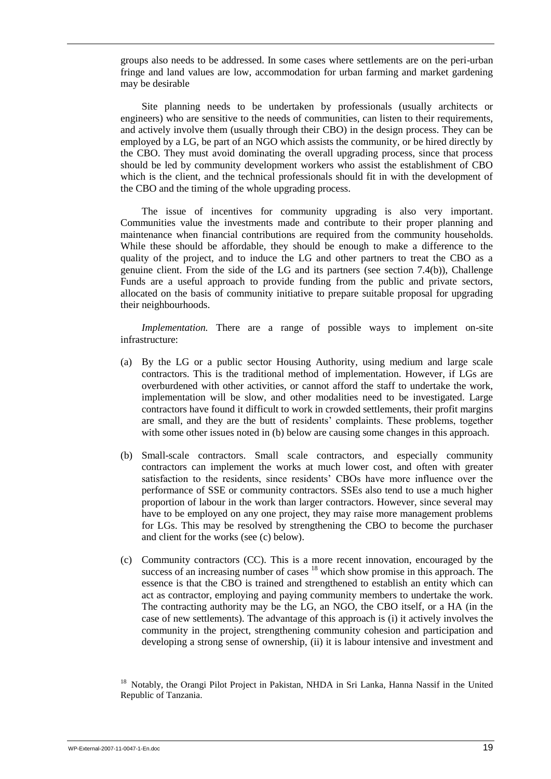groups also needs to be addressed. In some cases where settlements are on the peri-urban fringe and land values are low, accommodation for urban farming and market gardening may be desirable

Site planning needs to be undertaken by professionals (usually architects or engineers) who are sensitive to the needs of communities, can listen to their requirements, and actively involve them (usually through their CBO) in the design process. They can be employed by a LG, be part of an NGO which assists the community, or be hired directly by the CBO. They must avoid dominating the overall upgrading process, since that process should be led by community development workers who assist the establishment of CBO which is the client, and the technical professionals should fit in with the development of the CBO and the timing of the whole upgrading process.

The issue of incentives for community upgrading is also very important. Communities value the investments made and contribute to their proper planning and maintenance when financial contributions are required from the community households. While these should be affordable, they should be enough to make a difference to the quality of the project, and to induce the LG and other partners to treat the CBO as a genuine client. From the side of the LG and its partners (see section 7.4(b)), Challenge Funds are a useful approach to provide funding from the public and private sectors, allocated on the basis of community initiative to prepare suitable proposal for upgrading their neighbourhoods.

*Implementation.* There are a range of possible ways to implement on-site infrastructure:

- (a) By the LG or a public sector Housing Authority, using medium and large scale contractors. This is the traditional method of implementation. However, if LGs are overburdened with other activities, or cannot afford the staff to undertake the work, implementation will be slow, and other modalities need to be investigated. Large contractors have found it difficult to work in crowded settlements, their profit margins are small, and they are the butt of residents" complaints. These problems, together with some other issues noted in (b) below are causing some changes in this approach.
- (b) Small-scale contractors. Small scale contractors, and especially community contractors can implement the works at much lower cost, and often with greater satisfaction to the residents, since residents' CBOs have more influence over the performance of SSE or community contractors. SSEs also tend to use a much higher proportion of labour in the work than larger contractors. However, since several may have to be employed on any one project, they may raise more management problems for LGs. This may be resolved by strengthening the CBO to become the purchaser and client for the works (see (c) below).
- (c) Community contractors (CC). This is a more recent innovation, encouraged by the success of an increasing number of cases <sup>18</sup> which show promise in this approach. The essence is that the CBO is trained and strengthened to establish an entity which can act as contractor, employing and paying community members to undertake the work. The contracting authority may be the LG, an NGO, the CBO itself, or a HA (in the case of new settlements). The advantage of this approach is (i) it actively involves the community in the project, strengthening community cohesion and participation and developing a strong sense of ownership, (ii) it is labour intensive and investment and

<sup>&</sup>lt;sup>18</sup> Notably, the Orangi Pilot Project in Pakistan, NHDA in Sri Lanka, Hanna Nassif in the United Republic of Tanzania.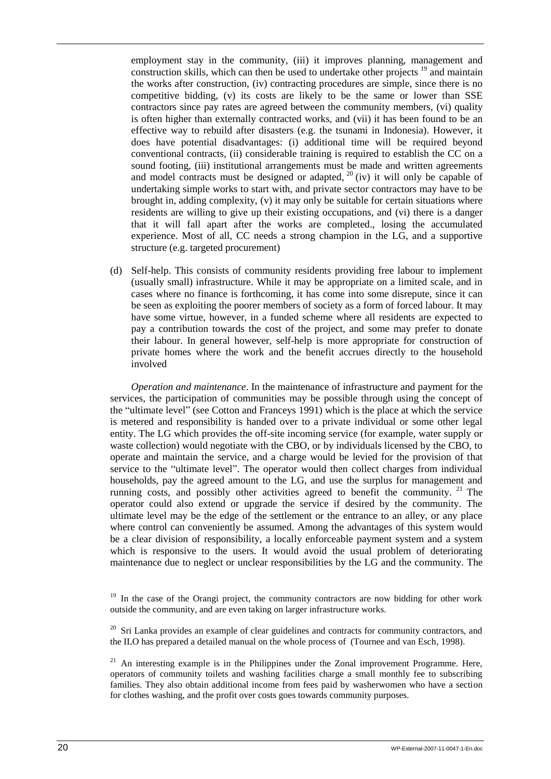employment stay in the community, (iii) it improves planning, management and construction skills, which can then be used to undertake other projects <sup>19</sup> and maintain the works after construction, (iv) contracting procedures are simple, since there is no competitive bidding, (v) its costs are likely to be the same or lower than SSE contractors since pay rates are agreed between the community members, (vi) quality is often higher than externally contracted works, and (vii) it has been found to be an effective way to rebuild after disasters (e.g. the tsunami in Indonesia). However, it does have potential disadvantages: (i) additional time will be required beyond conventional contracts, (ii) considerable training is required to establish the CC on a sound footing, (iii) institutional arrangements must be made and written agreements and model contracts must be designed or adapted,  $20$  (iv) it will only be capable of undertaking simple works to start with, and private sector contractors may have to be brought in, adding complexity, (v) it may only be suitable for certain situations where residents are willing to give up their existing occupations, and (vi) there is a danger that it will fall apart after the works are completed., losing the accumulated experience. Most of all, CC needs a strong champion in the LG, and a supportive structure (e.g. targeted procurement)

(d) Self-help. This consists of community residents providing free labour to implement (usually small) infrastructure. While it may be appropriate on a limited scale, and in cases where no finance is forthcoming, it has come into some disrepute, since it can be seen as exploiting the poorer members of society as a form of forced labour. It may have some virtue, however, in a funded scheme where all residents are expected to pay a contribution towards the cost of the project, and some may prefer to donate their labour. In general however, self-help is more appropriate for construction of private homes where the work and the benefit accrues directly to the household involved

*Operation and maintenance*. In the maintenance of infrastructure and payment for the services, the participation of communities may be possible through using the concept of the "ultimate level" (see Cotton and Franceys 1991) which is the place at which the service is metered and responsibility is handed over to a private individual or some other legal entity. The LG which provides the off-site incoming service (for example, water supply or waste collection) would negotiate with the CBO, or by individuals licensed by the CBO, to operate and maintain the service, and a charge would be levied for the provision of that service to the "ultimate level". The operator would then collect charges from individual households, pay the agreed amount to the LG, and use the surplus for management and running costs, and possibly other activities agreed to benefit the community. <sup>21</sup> The operator could also extend or upgrade the service if desired by the community. The ultimate level may be the edge of the settlement or the entrance to an alley, or any place where control can conveniently be assumed. Among the advantages of this system would be a clear division of responsibility, a locally enforceable payment system and a system which is responsive to the users. It would avoid the usual problem of deteriorating maintenance due to neglect or unclear responsibilities by the LG and the community. The

 $19$  In the case of the Orangi project, the community contractors are now bidding for other work outside the community, and are even taking on larger infrastructure works.

 $20\,$  Sri Lanka provides an example of clear guidelines and contracts for community contractors, and the ILO has prepared a detailed manual on the whole process of (Tournee and van Esch, 1998).

 $21$  An interesting example is in the Philippines under the Zonal improvement Programme. Here, operators of community toilets and washing facilities charge a small monthly fee to subscribing families. They also obtain additional income from fees paid by washerwomen who have a section for clothes washing, and the profit over costs goes towards community purposes.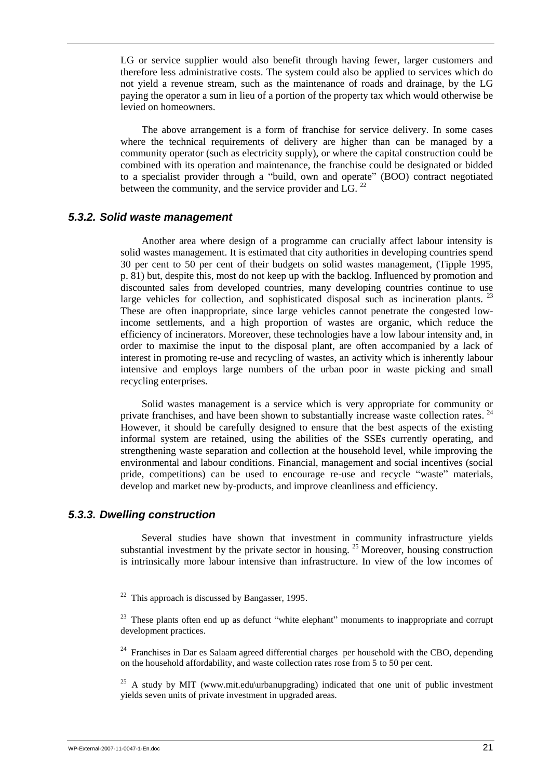LG or service supplier would also benefit through having fewer, larger customers and therefore less administrative costs. The system could also be applied to services which do not yield a revenue stream, such as the maintenance of roads and drainage, by the LG paying the operator a sum in lieu of a portion of the property tax which would otherwise be levied on homeowners.

The above arrangement is a form of franchise for service delivery. In some cases where the technical requirements of delivery are higher than can be managed by a community operator (such as electricity supply), or where the capital construction could be combined with its operation and maintenance, the franchise could be designated or bidded to a specialist provider through a "build, own and operate" (BOO) contract negotiated between the community, and the service provider and  $\overline{\text{LG}}$ . <sup>22</sup>

### <span id="page-28-0"></span>*5.3.2. Solid waste management*

Another area where design of a programme can crucially affect labour intensity is solid wastes management. It is estimated that city authorities in developing countries spend 30 per cent to 50 per cent of their budgets on solid wastes management, (Tipple 1995, p. 81) but, despite this, most do not keep up with the backlog. Influenced by promotion and discounted sales from developed countries, many developing countries continue to use large vehicles for collection, and sophisticated disposal such as incineration plants.  $^{23}$ These are often inappropriate, since large vehicles cannot penetrate the congested lowincome settlements, and a high proportion of wastes are organic, which reduce the efficiency of incinerators. Moreover, these technologies have a low labour intensity and, in order to maximise the input to the disposal plant, are often accompanied by a lack of interest in promoting re-use and recycling of wastes, an activity which is inherently labour intensive and employs large numbers of the urban poor in waste picking and small recycling enterprises.

Solid wastes management is a service which is very appropriate for community or private franchises, and have been shown to substantially increase waste collection rates.<sup>24</sup> However, it should be carefully designed to ensure that the best aspects of the existing informal system are retained, using the abilities of the SSEs currently operating, and strengthening waste separation and collection at the household level, while improving the environmental and labour conditions. Financial, management and social incentives (social pride, competitions) can be used to encourage re-use and recycle "waste" materials, develop and market new by-products, and improve cleanliness and efficiency.

## <span id="page-28-1"></span>*5.3.3. Dwelling construction*

Several studies have shown that investment in community infrastructure yields substantial investment by the private sector in housing.<sup>25</sup> Moreover, housing construction is intrinsically more labour intensive than infrastructure. In view of the low incomes of

 $22$  This approach is discussed by Bangasser, 1995.

 $23$  These plants often end up as defunct "white elephant" monuments to inappropriate and corrupt development practices.

 $24$  Franchises in Dar es Salaam agreed differential charges per household with the CBO, depending on the household affordability, and waste collection rates rose from 5 to 50 per cent.

<sup>25</sup> A study by MIT (www.mit.edu\urbanupgrading) indicated that one unit of public investment yields seven units of private investment in upgraded areas.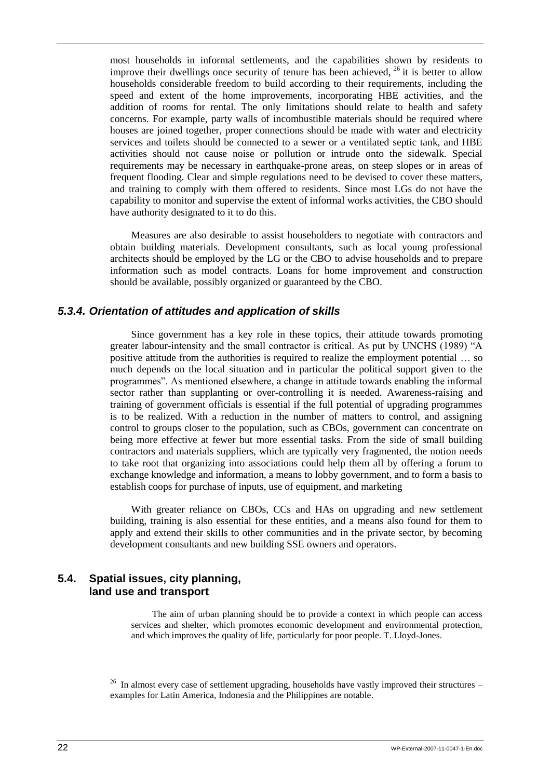most households in informal settlements, and the capabilities shown by residents to improve their dwellings once security of tenure has been achieved,  $^{26}$  it is better to allow households considerable freedom to build according to their requirements, including the speed and extent of the home improvements, incorporating HBE activities, and the addition of rooms for rental. The only limitations should relate to health and safety concerns. For example, party walls of incombustible materials should be required where houses are joined together, proper connections should be made with water and electricity services and toilets should be connected to a sewer or a ventilated septic tank, and HBE activities should not cause noise or pollution or intrude onto the sidewalk. Special requirements may be necessary in earthquake-prone areas, on steep slopes or in areas of frequent flooding. Clear and simple regulations need to be devised to cover these matters, and training to comply with them offered to residents. Since most LGs do not have the capability to monitor and supervise the extent of informal works activities, the CBO should have authority designated to it to do this.

Measures are also desirable to assist householders to negotiate with contractors and obtain building materials. Development consultants, such as local young professional architects should be employed by the LG or the CBO to advise households and to prepare information such as model contracts. Loans for home improvement and construction should be available, possibly organized or guaranteed by the CBO.

## <span id="page-29-0"></span>*5.3.4. Orientation of attitudes and application of skills*

Since government has a key role in these topics, their attitude towards promoting greater labour-intensity and the small contractor is critical. As put by UNCHS (1989) "A positive attitude from the authorities is required to realize the employment potential … so much depends on the local situation and in particular the political support given to the programmes". As mentioned elsewhere, a change in attitude towards enabling the informal sector rather than supplanting or over-controlling it is needed. Awareness-raising and training of government officials is essential if the full potential of upgrading programmes is to be realized. With a reduction in the number of matters to control, and assigning control to groups closer to the population, such as CBOs, government can concentrate on being more effective at fewer but more essential tasks. From the side of small building contractors and materials suppliers, which are typically very fragmented, the notion needs to take root that organizing into associations could help them all by offering a forum to exchange knowledge and information, a means to lobby government, and to form a basis to establish coops for purchase of inputs, use of equipment, and marketing

With greater reliance on CBOs, CCs and HAs on upgrading and new settlement building, training is also essential for these entities, and a means also found for them to apply and extend their skills to other communities and in the private sector, by becoming development consultants and new building SSE owners and operators.

## <span id="page-29-1"></span>**5.4. Spatial issues, city planning, land use and transport**

The aim of urban planning should be to provide a context in which people can access services and shelter, which promotes economic development and environmental protection, and which improves the quality of life, particularly for poor people. T. Lloyd-Jones.

<sup>26</sup> In almost every case of settlement upgrading, households have vastly improved their structures – examples for Latin America, Indonesia and the Philippines are notable.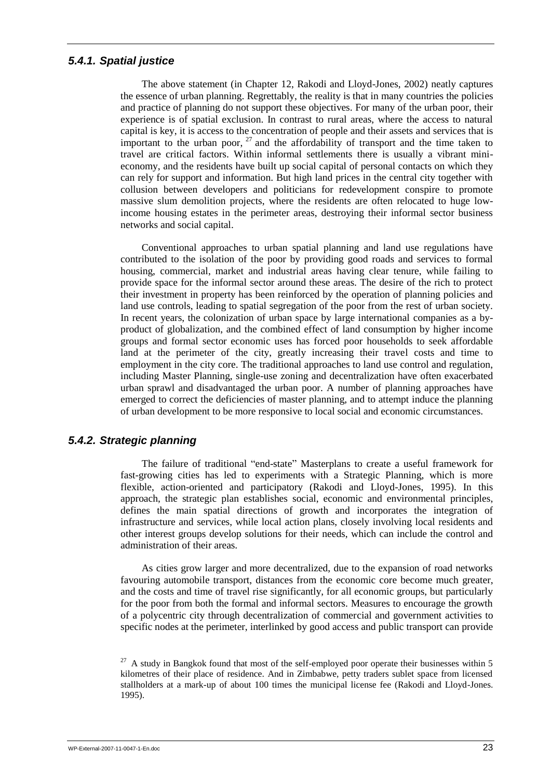### <span id="page-30-0"></span>*5.4.1. Spatial justice*

The above statement (in Chapter 12, Rakodi and Lloyd-Jones, 2002) neatly captures the essence of urban planning. Regrettably, the reality is that in many countries the policies and practice of planning do not support these objectives. For many of the urban poor, their experience is of spatial exclusion. In contrast to rural areas, where the access to natural capital is key, it is access to the concentration of people and their assets and services that is important to the urban poor,  $27$  and the affordability of transport and the time taken to travel are critical factors. Within informal settlements there is usually a vibrant minieconomy, and the residents have built up social capital of personal contacts on which they can rely for support and information. But high land prices in the central city together with collusion between developers and politicians for redevelopment conspire to promote massive slum demolition projects, where the residents are often relocated to huge lowincome housing estates in the perimeter areas, destroying their informal sector business networks and social capital.

Conventional approaches to urban spatial planning and land use regulations have contributed to the isolation of the poor by providing good roads and services to formal housing, commercial, market and industrial areas having clear tenure, while failing to provide space for the informal sector around these areas. The desire of the rich to protect their investment in property has been reinforced by the operation of planning policies and land use controls, leading to spatial segregation of the poor from the rest of urban society. In recent years, the colonization of urban space by large international companies as a byproduct of globalization, and the combined effect of land consumption by higher income groups and formal sector economic uses has forced poor households to seek affordable land at the perimeter of the city, greatly increasing their travel costs and time to employment in the city core. The traditional approaches to land use control and regulation, including Master Planning, single-use zoning and decentralization have often exacerbated urban sprawl and disadvantaged the urban poor. A number of planning approaches have emerged to correct the deficiencies of master planning, and to attempt induce the planning of urban development to be more responsive to local social and economic circumstances.

## <span id="page-30-1"></span>*5.4.2. Strategic planning*

The failure of traditional "end-state" Masterplans to create a useful framework for fast-growing cities has led to experiments with a Strategic Planning, which is more flexible, action-oriented and participatory (Rakodi and Lloyd-Jones, 1995). In this approach, the strategic plan establishes social, economic and environmental principles, defines the main spatial directions of growth and incorporates the integration of infrastructure and services, while local action plans, closely involving local residents and other interest groups develop solutions for their needs, which can include the control and administration of their areas.

As cities grow larger and more decentralized, due to the expansion of road networks favouring automobile transport, distances from the economic core become much greater, and the costs and time of travel rise significantly, for all economic groups, but particularly for the poor from both the formal and informal sectors. Measures to encourage the growth of a polycentric city through decentralization of commercial and government activities to specific nodes at the perimeter, interlinked by good access and public transport can provide

 $27$  A study in Bangkok found that most of the self-employed poor operate their businesses within 5 kilometres of their place of residence. And in Zimbabwe, petty traders sublet space from licensed stallholders at a mark-up of about 100 times the municipal license fee (Rakodi and Lloyd-Jones. 1995).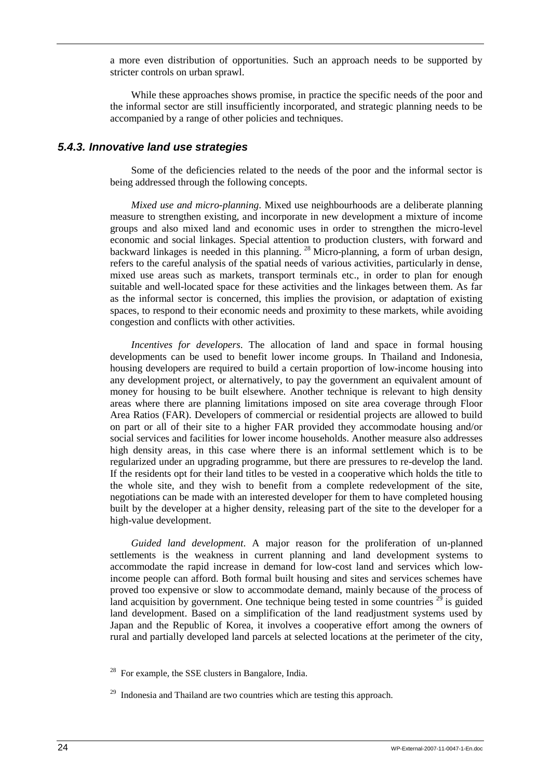a more even distribution of opportunities. Such an approach needs to be supported by stricter controls on urban sprawl.

While these approaches shows promise, in practice the specific needs of the poor and the informal sector are still insufficiently incorporated, and strategic planning needs to be accompanied by a range of other policies and techniques.

### <span id="page-31-0"></span>*5.4.3. Innovative land use strategies*

Some of the deficiencies related to the needs of the poor and the informal sector is being addressed through the following concepts.

*Mixed use and micro-planning*. Mixed use neighbourhoods are a deliberate planning measure to strengthen existing, and incorporate in new development a mixture of income groups and also mixed land and economic uses in order to strengthen the micro-level economic and social linkages. Special attention to production clusters, with forward and backward linkages is needed in this planning. <sup>28</sup> Micro-planning, a form of urban design, refers to the careful analysis of the spatial needs of various activities, particularly in dense, mixed use areas such as markets, transport terminals etc., in order to plan for enough suitable and well-located space for these activities and the linkages between them. As far as the informal sector is concerned, this implies the provision, or adaptation of existing spaces, to respond to their economic needs and proximity to these markets, while avoiding congestion and conflicts with other activities.

*Incentives for developers*. The allocation of land and space in formal housing developments can be used to benefit lower income groups. In Thailand and Indonesia, housing developers are required to build a certain proportion of low-income housing into any development project, or alternatively, to pay the government an equivalent amount of money for housing to be built elsewhere. Another technique is relevant to high density areas where there are planning limitations imposed on site area coverage through Floor Area Ratios (FAR). Developers of commercial or residential projects are allowed to build on part or all of their site to a higher FAR provided they accommodate housing and/or social services and facilities for lower income households. Another measure also addresses high density areas, in this case where there is an informal settlement which is to be regularized under an upgrading programme, but there are pressures to re-develop the land. If the residents opt for their land titles to be vested in a cooperative which holds the title to the whole site, and they wish to benefit from a complete redevelopment of the site, negotiations can be made with an interested developer for them to have completed housing built by the developer at a higher density, releasing part of the site to the developer for a high-value development.

*Guided land development*. A major reason for the proliferation of un-planned settlements is the weakness in current planning and land development systems to accommodate the rapid increase in demand for low-cost land and services which lowincome people can afford. Both formal built housing and sites and services schemes have proved too expensive or slow to accommodate demand, mainly because of the process of land acquisition by government. One technique being tested in some countries  $2^9$  is guided land development. Based on a simplification of the land readjustment systems used by Japan and the Republic of Korea, it involves a cooperative effort among the owners of rural and partially developed land parcels at selected locations at the perimeter of the city,

 $28$  For example, the SSE clusters in Bangalore, India.

<sup>&</sup>lt;sup>29</sup> Indonesia and Thailand are two countries which are testing this approach.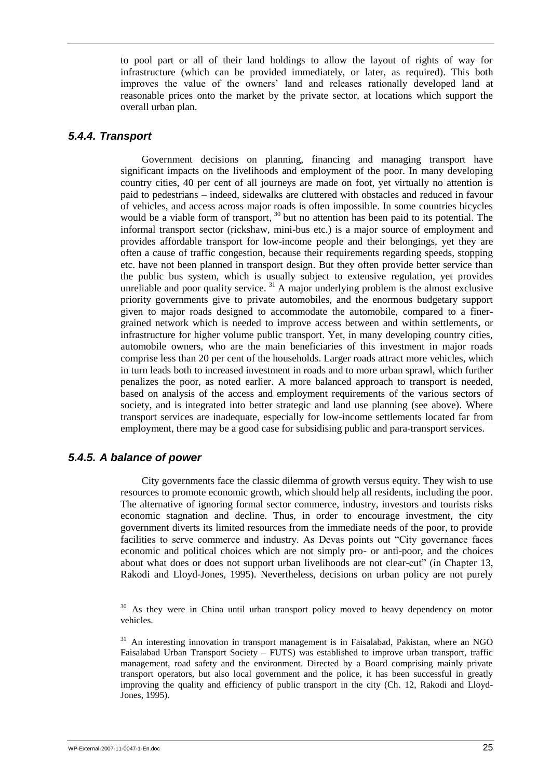to pool part or all of their land holdings to allow the layout of rights of way for infrastructure (which can be provided immediately, or later, as required). This both improves the value of the owners" land and releases rationally developed land at reasonable prices onto the market by the private sector, at locations which support the overall urban plan.

## <span id="page-32-0"></span>*5.4.4. Transport*

Government decisions on planning, financing and managing transport have significant impacts on the livelihoods and employment of the poor. In many developing country cities, 40 per cent of all journeys are made on foot, yet virtually no attention is paid to pedestrians – indeed, sidewalks are cluttered with obstacles and reduced in favour of vehicles, and access across major roads is often impossible. In some countries bicycles would be a viable form of transport,  $30$  but no attention has been paid to its potential. The informal transport sector (rickshaw, mini-bus etc.) is a major source of employment and provides affordable transport for low-income people and their belongings, yet they are often a cause of traffic congestion, because their requirements regarding speeds, stopping etc. have not been planned in transport design. But they often provide better service than the public bus system, which is usually subject to extensive regulation, yet provides unreliable and poor quality service.  $31$  A major underlying problem is the almost exclusive priority governments give to private automobiles, and the enormous budgetary support given to major roads designed to accommodate the automobile, compared to a finergrained network which is needed to improve access between and within settlements, or infrastructure for higher volume public transport. Yet, in many developing country cities, automobile owners, who are the main beneficiaries of this investment in major roads comprise less than 20 per cent of the households. Larger roads attract more vehicles, which in turn leads both to increased investment in roads and to more urban sprawl, which further penalizes the poor, as noted earlier. A more balanced approach to transport is needed, based on analysis of the access and employment requirements of the various sectors of society, and is integrated into better strategic and land use planning (see above). Where transport services are inadequate, especially for low-income settlements located far from employment, there may be a good case for subsidising public and para-transport services.

## <span id="page-32-1"></span>*5.4.5. A balance of power*

City governments face the classic dilemma of growth versus equity. They wish to use resources to promote economic growth, which should help all residents, including the poor. The alternative of ignoring formal sector commerce, industry, investors and tourists risks economic stagnation and decline. Thus, in order to encourage investment, the city government diverts its limited resources from the immediate needs of the poor, to provide facilities to serve commerce and industry. As Devas points out "City governance faces economic and political choices which are not simply pro- or anti-poor, and the choices about what does or does not support urban livelihoods are not clear-cut" (in Chapter 13, Rakodi and Lloyd-Jones, 1995). Nevertheless, decisions on urban policy are not purely

<sup>&</sup>lt;sup>30</sup> As they were in China until urban transport policy moved to heavy dependency on motor vehicles.

<sup>&</sup>lt;sup>31</sup> An interesting innovation in transport management is in Faisalabad, Pakistan, where an NGO Faisalabad Urban Transport Society – FUTS) was established to improve urban transport, traffic management, road safety and the environment. Directed by a Board comprising mainly private transport operators, but also local government and the police, it has been successful in greatly improving the quality and efficiency of public transport in the city (Ch. 12, Rakodi and Lloyd-Jones, 1995).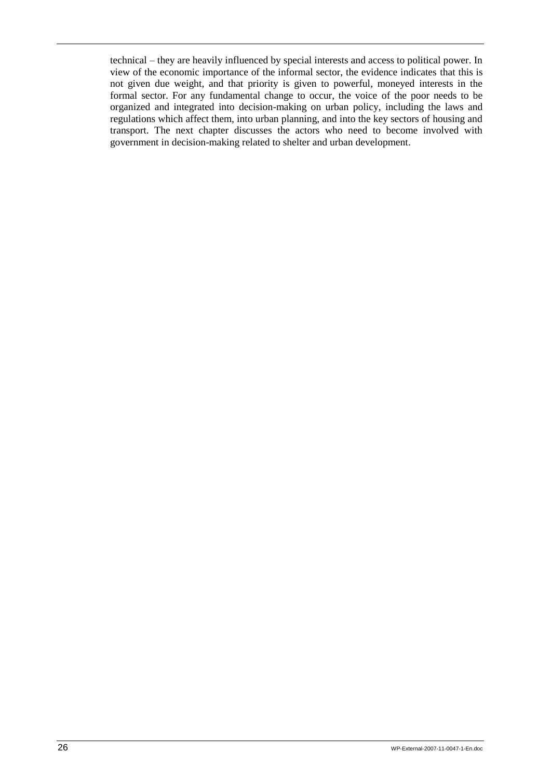technical – they are heavily influenced by special interests and access to political power. In view of the economic importance of the informal sector, the evidence indicates that this is not given due weight, and that priority is given to powerful, moneyed interests in the formal sector. For any fundamental change to occur, the voice of the poor needs to be organized and integrated into decision-making on urban policy, including the laws and regulations which affect them, into urban planning, and into the key sectors of housing and transport. The next chapter discusses the actors who need to become involved with government in decision-making related to shelter and urban development.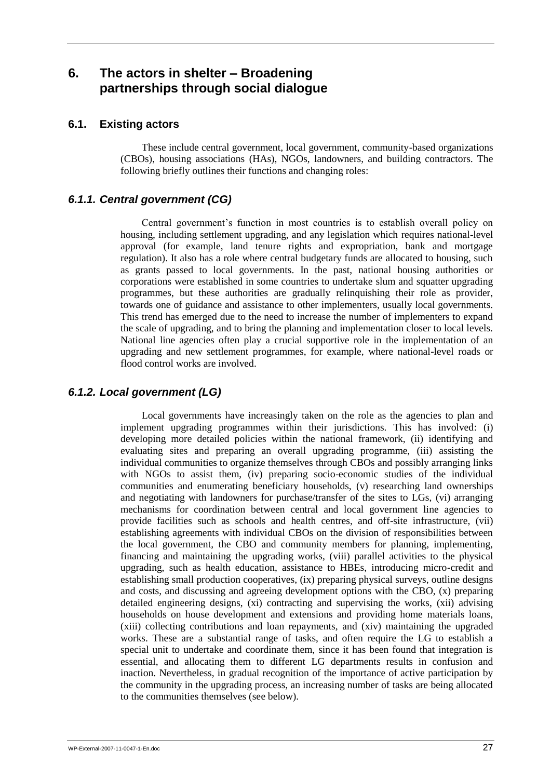## <span id="page-34-0"></span>**6. The actors in shelter – Broadening partnerships through social dialogue**

## <span id="page-34-1"></span>**6.1. Existing actors**

These include central government, local government, community-based organizations (CBOs), housing associations (HAs), NGOs, landowners, and building contractors. The following briefly outlines their functions and changing roles:

## <span id="page-34-2"></span>*6.1.1. Central government (CG)*

Central government"s function in most countries is to establish overall policy on housing, including settlement upgrading, and any legislation which requires national-level approval (for example, land tenure rights and expropriation, bank and mortgage regulation). It also has a role where central budgetary funds are allocated to housing, such as grants passed to local governments. In the past, national housing authorities or corporations were established in some countries to undertake slum and squatter upgrading programmes, but these authorities are gradually relinquishing their role as provider, towards one of guidance and assistance to other implementers, usually local governments. This trend has emerged due to the need to increase the number of implementers to expand the scale of upgrading, and to bring the planning and implementation closer to local levels. National line agencies often play a crucial supportive role in the implementation of an upgrading and new settlement programmes, for example, where national-level roads or flood control works are involved.

## <span id="page-34-3"></span>*6.1.2. Local government (LG)*

Local governments have increasingly taken on the role as the agencies to plan and implement upgrading programmes within their jurisdictions. This has involved: (i) developing more detailed policies within the national framework, (ii) identifying and evaluating sites and preparing an overall upgrading programme, (iii) assisting the individual communities to organize themselves through CBOs and possibly arranging links with NGOs to assist them, (iv) preparing socio-economic studies of the individual communities and enumerating beneficiary households, (v) researching land ownerships and negotiating with landowners for purchase/transfer of the sites to LGs, (vi) arranging mechanisms for coordination between central and local government line agencies to provide facilities such as schools and health centres, and off-site infrastructure, (vii) establishing agreements with individual CBOs on the division of responsibilities between the local government, the CBO and community members for planning, implementing, financing and maintaining the upgrading works, (viii) parallel activities to the physical upgrading, such as health education, assistance to HBEs, introducing micro-credit and establishing small production cooperatives, (ix) preparing physical surveys, outline designs and costs, and discussing and agreeing development options with the CBO, (x) preparing detailed engineering designs, (xi) contracting and supervising the works, (xii) advising households on house development and extensions and providing home materials loans, (xiii) collecting contributions and loan repayments, and (xiv) maintaining the upgraded works. These are a substantial range of tasks, and often require the LG to establish a special unit to undertake and coordinate them, since it has been found that integration is essential, and allocating them to different LG departments results in confusion and inaction. Nevertheless, in gradual recognition of the importance of active participation by the community in the upgrading process, an increasing number of tasks are being allocated to the communities themselves (see below).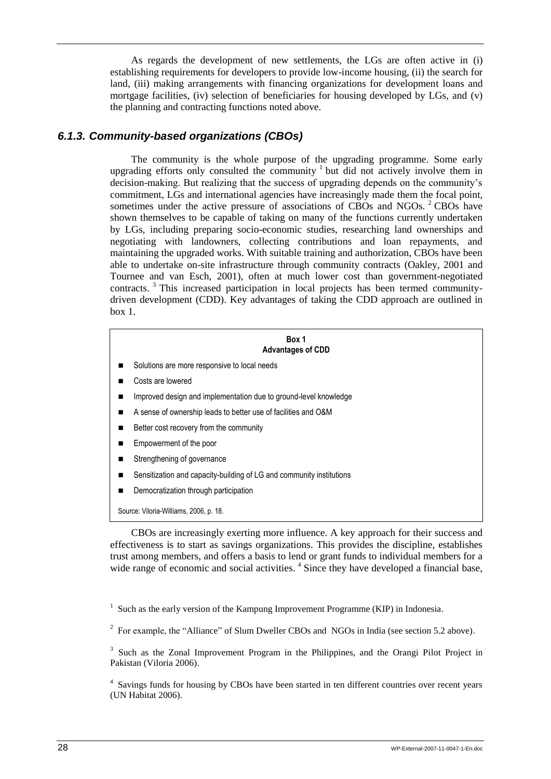As regards the development of new settlements, the LGs are often active in (i) establishing requirements for developers to provide low-income housing, (ii) the search for land, (iii) making arrangements with financing organizations for development loans and mortgage facilities, (iv) selection of beneficiaries for housing developed by LGs, and (v) the planning and contracting functions noted above.

## <span id="page-35-0"></span>*6.1.3. Community-based organizations (CBOs)*

The community is the whole purpose of the upgrading programme. Some early upgrading efforts only consulted the community  $1$  but did not actively involve them in decision-making. But realizing that the success of upgrading depends on the community's commitment, LGs and international agencies have increasingly made them the focal point, sometimes under the active pressure of associations of CBOs and NGOs.  $2^{\circ}$ CBOs have shown themselves to be capable of taking on many of the functions currently undertaken by LGs, including preparing socio-economic studies, researching land ownerships and negotiating with landowners, collecting contributions and loan repayments, and maintaining the upgraded works. With suitable training and authorization, CBOs have been able to undertake on-site infrastructure through community contracts (Oakley, 2001 and Tournee and van Esch, 2001), often at much lower cost than government-negotiated contracts. <sup>3</sup> This increased participation in local projects has been termed communitydriven development (CDD). Key advantages of taking the CDD approach are outlined in  $box 1$ 

#### **Box 1 Advantages of CDD**

- Solutions are more responsive to local needs
- Costs are lowered
- **IMPROVED ASSET 2018** Implementation due to ground-level knowledge
- A sense of ownership leads to better use of facilities and O&M
- Better cost recovery from the community
- **Empowerment of the poor**
- Strengthening of governance
- Sensitization and capacity-building of LG and community institutions
- Democratization through participation

Source: Viloria-Williams, 2006, p. 18.

CBOs are increasingly exerting more influence. A key approach for their success and effectiveness is to start as savings organizations. This provides the discipline, establishes trust among members, and offers a basis to lend or grant funds to individual members for a wide range of economic and social activities.<sup>4</sup> Since they have developed a financial base,

<sup>&</sup>lt;sup>1</sup> Such as the early version of the Kampung Improvement Programme (KIP) in Indonesia.

<sup>&</sup>lt;sup>2</sup> For example, the "Alliance" of Slum Dweller CBOs and NGOs in India (see section 5.2 above).

<sup>&</sup>lt;sup>3</sup> Such as the Zonal Improvement Program in the Philippines, and the Orangi Pilot Project in Pakistan (Viloria 2006).

<sup>&</sup>lt;sup>4</sup> Savings funds for housing by CBOs have been started in ten different countries over recent years (UN Habitat 2006).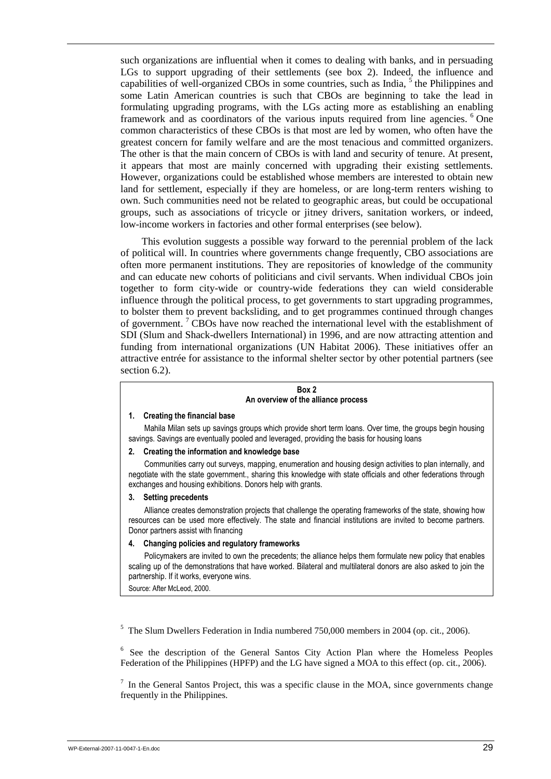such organizations are influential when it comes to dealing with banks, and in persuading LGs to support upgrading of their settlements (see box 2). Indeed, the influence and capabilities of well-organized CBOs in some countries, such as India, <sup>5</sup> the Philippines and some Latin American countries is such that CBOs are beginning to take the lead in formulating upgrading programs, with the LGs acting more as establishing an enabling framework and as coordinators of the various inputs required from line agencies. <sup>6</sup> One common characteristics of these CBOs is that most are led by women, who often have the greatest concern for family welfare and are the most tenacious and committed organizers. The other is that the main concern of CBOs is with land and security of tenure. At present, it appears that most are mainly concerned with upgrading their existing settlements. However, organizations could be established whose members are interested to obtain new land for settlement, especially if they are homeless, or are long-term renters wishing to own. Such communities need not be related to geographic areas, but could be occupational groups, such as associations of tricycle or jitney drivers, sanitation workers, or indeed, low-income workers in factories and other formal enterprises (see below).

This evolution suggests a possible way forward to the perennial problem of the lack of political will. In countries where governments change frequently, CBO associations are often more permanent institutions. They are repositories of knowledge of the community and can educate new cohorts of politicians and civil servants. When individual CBOs join together to form city-wide or country-wide federations they can wield considerable influence through the political process, to get governments to start upgrading programmes, to bolster them to prevent backsliding, and to get programmes continued through changes of government.<sup>7</sup> CBOs have now reached the international level with the establishment of SDI (Slum and Shack-dwellers International) in 1996, and are now attracting attention and funding from international organizations (UN Habitat 2006). These initiatives offer an attractive entrée for assistance to the informal shelter sector by other potential partners (see section 6.2).

#### **Box 2 An overview of the alliance process**

#### **1. Creating the financial base**

Mahila Milan sets up savings groups which provide short term loans. Over time, the groups begin housing savings. Savings are eventually pooled and leveraged, providing the basis for housing loans

#### **2. Creating the information and knowledge base**

Communities carry out surveys, mapping, enumeration and housing design activities to plan internally, and negotiate with the state government., sharing this knowledge with state officials and other federations through exchanges and housing exhibitions. Donors help with grants.

#### **3. Setting precedents**

Alliance creates demonstration projects that challenge the operating frameworks of the state, showing how resources can be used more effectively. The state and financial institutions are invited to become partners. Donor partners assist with financing

### **4. Changing policies and regulatory frameworks**

Policymakers are invited to own the precedents; the alliance helps them formulate new policy that enables scaling up of the demonstrations that have worked. Bilateral and multilateral donors are also asked to join the partnership. If it works, everyone wins.

Source: After McLeod, 2000.

<sup>5</sup> The Slum Dwellers Federation in India numbered 750,000 members in 2004 (op. cit., 2006).

<sup>6</sup> See the description of the General Santos City Action Plan where the Homeless Peoples Federation of the Philippines (HPFP) and the LG have signed a MOA to this effect (op. cit., 2006).

 $<sup>7</sup>$  In the General Santos Project, this was a specific clause in the MOA, since governments change</sup> frequently in the Philippines.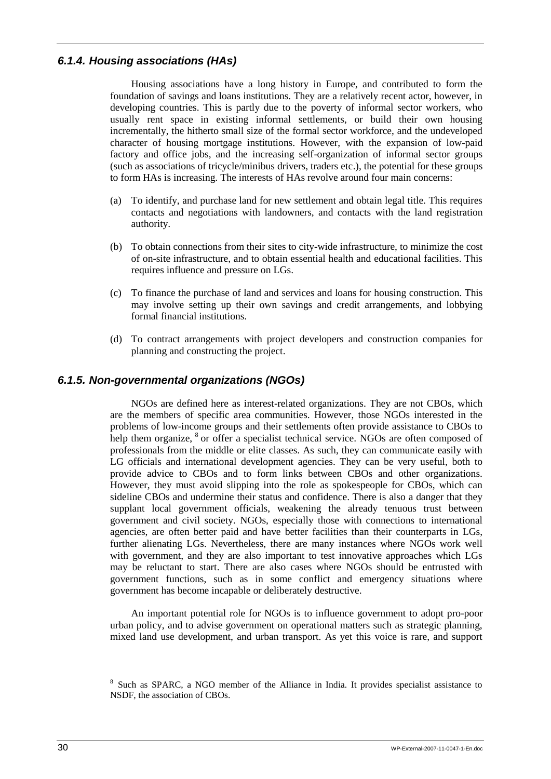## <span id="page-37-0"></span>*6.1.4. Housing associations (HAs)*

Housing associations have a long history in Europe, and contributed to form the foundation of savings and loans institutions. They are a relatively recent actor, however, in developing countries. This is partly due to the poverty of informal sector workers, who usually rent space in existing informal settlements, or build their own housing incrementally, the hitherto small size of the formal sector workforce, and the undeveloped character of housing mortgage institutions. However, with the expansion of low-paid factory and office jobs, and the increasing self-organization of informal sector groups (such as associations of tricycle/minibus drivers, traders etc.), the potential for these groups to form HAs is increasing. The interests of HAs revolve around four main concerns:

- (a) To identify, and purchase land for new settlement and obtain legal title. This requires contacts and negotiations with landowners, and contacts with the land registration authority.
- (b) To obtain connections from their sites to city-wide infrastructure, to minimize the cost of on-site infrastructure, and to obtain essential health and educational facilities. This requires influence and pressure on LGs.
- (c) To finance the purchase of land and services and loans for housing construction. This may involve setting up their own savings and credit arrangements, and lobbying formal financial institutions.
- (d) To contract arrangements with project developers and construction companies for planning and constructing the project.

## <span id="page-37-1"></span>*6.1.5. Non-governmental organizations (NGOs)*

NGOs are defined here as interest-related organizations. They are not CBOs, which are the members of specific area communities. However, those NGOs interested in the problems of low-income groups and their settlements often provide assistance to CBOs to help them organize,  $8$  or offer a specialist technical service. NGOs are often composed of professionals from the middle or elite classes. As such, they can communicate easily with LG officials and international development agencies. They can be very useful, both to provide advice to CBOs and to form links between CBOs and other organizations. However, they must avoid slipping into the role as spokespeople for CBOs, which can sideline CBOs and undermine their status and confidence. There is also a danger that they supplant local government officials, weakening the already tenuous trust between government and civil society. NGOs, especially those with connections to international agencies, are often better paid and have better facilities than their counterparts in LGs, further alienating LGs. Nevertheless, there are many instances where NGOs work well with government, and they are also important to test innovative approaches which LGs may be reluctant to start. There are also cases where NGOs should be entrusted with government functions, such as in some conflict and emergency situations where government has become incapable or deliberately destructive.

An important potential role for NGOs is to influence government to adopt pro-poor urban policy, and to advise government on operational matters such as strategic planning, mixed land use development, and urban transport. As yet this voice is rare, and support

<sup>&</sup>lt;sup>8</sup> Such as SPARC, a NGO member of the Alliance in India. It provides specialist assistance to NSDF, the association of CBOs.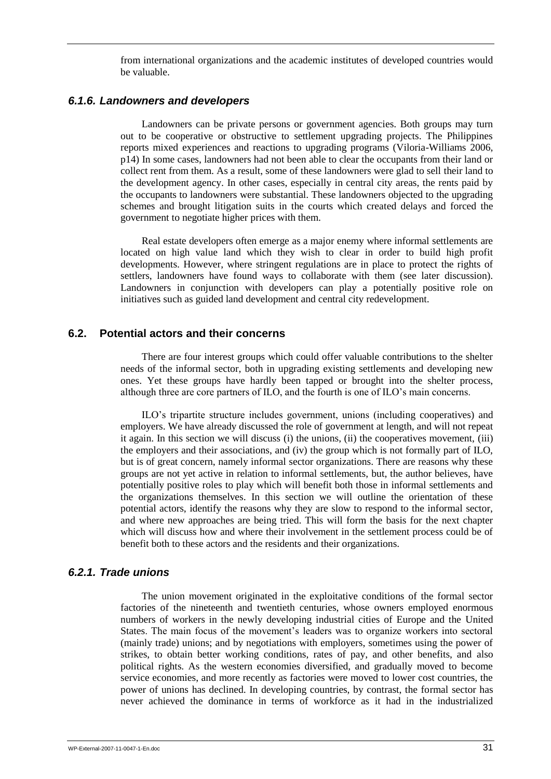from international organizations and the academic institutes of developed countries would be valuable.

### <span id="page-38-0"></span>*6.1.6. Landowners and developers*

Landowners can be private persons or government agencies. Both groups may turn out to be cooperative or obstructive to settlement upgrading projects. The Philippines reports mixed experiences and reactions to upgrading programs (Viloria-Williams 2006, p14) In some cases, landowners had not been able to clear the occupants from their land or collect rent from them. As a result, some of these landowners were glad to sell their land to the development agency. In other cases, especially in central city areas, the rents paid by the occupants to landowners were substantial. These landowners objected to the upgrading schemes and brought litigation suits in the courts which created delays and forced the government to negotiate higher prices with them.

Real estate developers often emerge as a major enemy where informal settlements are located on high value land which they wish to clear in order to build high profit developments. However, where stringent regulations are in place to protect the rights of settlers, landowners have found ways to collaborate with them (see later discussion). Landowners in conjunction with developers can play a potentially positive role on initiatives such as guided land development and central city redevelopment.

## <span id="page-38-1"></span>**6.2. Potential actors and their concerns**

There are four interest groups which could offer valuable contributions to the shelter needs of the informal sector, both in upgrading existing settlements and developing new ones. Yet these groups have hardly been tapped or brought into the shelter process, although three are core partners of ILO, and the fourth is one of ILO"s main concerns.

ILO"s tripartite structure includes government, unions (including cooperatives) and employers. We have already discussed the role of government at length, and will not repeat it again. In this section we will discuss (i) the unions, (ii) the cooperatives movement, (iii) the employers and their associations, and (iv) the group which is not formally part of ILO, but is of great concern, namely informal sector organizations. There are reasons why these groups are not yet active in relation to informal settlements, but, the author believes, have potentially positive roles to play which will benefit both those in informal settlements and the organizations themselves. In this section we will outline the orientation of these potential actors, identify the reasons why they are slow to respond to the informal sector, and where new approaches are being tried. This will form the basis for the next chapter which will discuss how and where their involvement in the settlement process could be of benefit both to these actors and the residents and their organizations.

## <span id="page-38-2"></span>*6.2.1. Trade unions*

The union movement originated in the exploitative conditions of the formal sector factories of the nineteenth and twentieth centuries, whose owners employed enormous numbers of workers in the newly developing industrial cities of Europe and the United States. The main focus of the movement"s leaders was to organize workers into sectoral (mainly trade) unions; and by negotiations with employers, sometimes using the power of strikes, to obtain better working conditions, rates of pay, and other benefits, and also political rights. As the western economies diversified, and gradually moved to become service economies, and more recently as factories were moved to lower cost countries, the power of unions has declined. In developing countries, by contrast, the formal sector has never achieved the dominance in terms of workforce as it had in the industrialized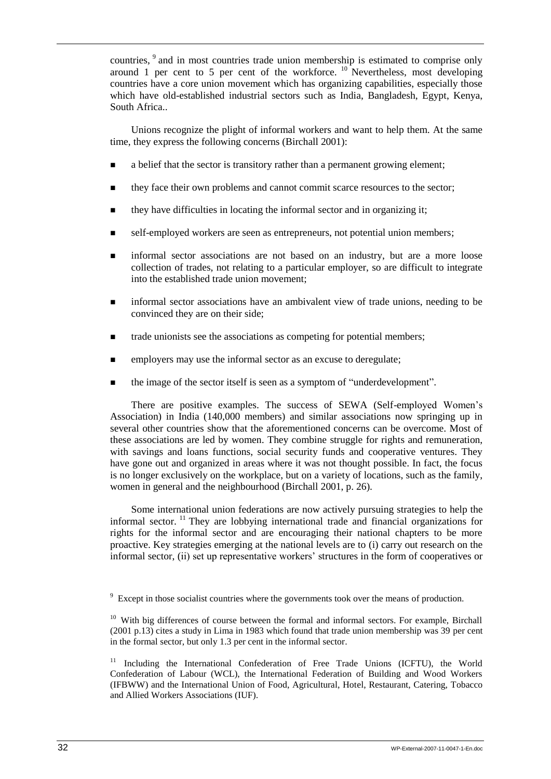countries, <sup>9</sup> and in most countries trade union membership is estimated to comprise only around 1 per cent to 5 per cent of the workforce.  $10$  Nevertheless, most developing countries have a core union movement which has organizing capabilities, especially those which have old-established industrial sectors such as India, Bangladesh, Egypt, Kenya, South Africa..

Unions recognize the plight of informal workers and want to help them. At the same time, they express the following concerns (Birchall 2001):

- a belief that the sector is transitory rather than a permanent growing element;
- **they face their own problems and cannot commit scarce resources to the sector;**
- they have difficulties in locating the informal sector and in organizing it;
- self-employed workers are seen as entrepreneurs, not potential union members;
- informal sector associations are not based on an industry, but are a more loose collection of trades, not relating to a particular employer, so are difficult to integrate into the established trade union movement;
- informal sector associations have an ambivalent view of trade unions, needing to be convinced they are on their side;
- trade unionists see the associations as competing for potential members;
- **EXECUTE:** employers may use the informal sector as an excuse to deregulate;
- the image of the sector itself is seen as a symptom of "underdevelopment".

There are positive examples. The success of SEWA (Self-employed Women"s Association) in India (140,000 members) and similar associations now springing up in several other countries show that the aforementioned concerns can be overcome. Most of these associations are led by women. They combine struggle for rights and remuneration, with savings and loans functions, social security funds and cooperative ventures. They have gone out and organized in areas where it was not thought possible. In fact, the focus is no longer exclusively on the workplace, but on a variety of locations, such as the family, women in general and the neighbourhood (Birchall 2001, p. 26).

Some international union federations are now actively pursuing strategies to help the informal sector. <sup>11</sup> They are lobbying international trade and financial organizations for rights for the informal sector and are encouraging their national chapters to be more proactive. Key strategies emerging at the national levels are to (i) carry out research on the informal sector, (ii) set up representative workers' structures in the form of cooperatives or

 $9\textdegree$  Except in those socialist countries where the governments took over the means of production.

 $10$  With big differences of course between the formal and informal sectors. For example, Birchall (2001 p.13) cites a study in Lima in 1983 which found that trade union membership was 39 per cent in the formal sector, but only 1.3 per cent in the informal sector.

<sup>&</sup>lt;sup>11</sup> Including the International Confederation of Free Trade Unions (ICFTU), the World Confederation of Labour (WCL), the International Federation of Building and Wood Workers (IFBWW) and the International Union of Food, Agricultural, Hotel, Restaurant, Catering, Tobacco and Allied Workers Associations (IUF).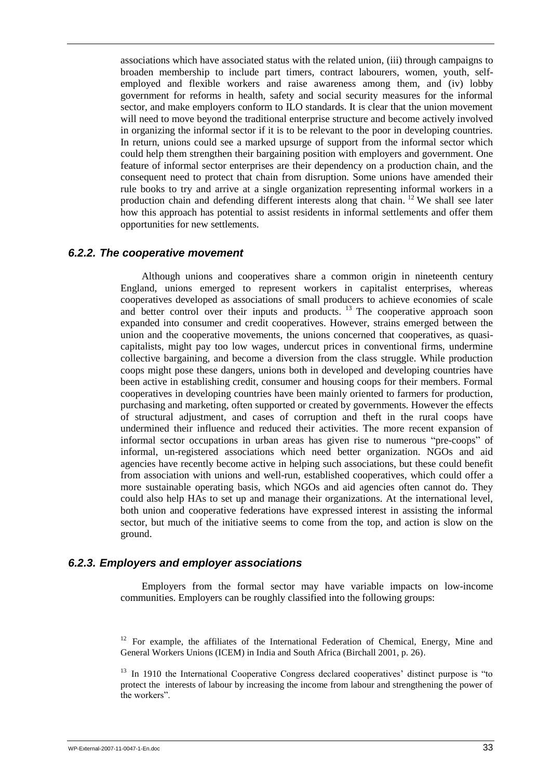associations which have associated status with the related union, (iii) through campaigns to broaden membership to include part timers, contract labourers, women, youth, selfemployed and flexible workers and raise awareness among them, and (iv) lobby government for reforms in health, safety and social security measures for the informal sector, and make employers conform to ILO standards. It is clear that the union movement will need to move beyond the traditional enterprise structure and become actively involved in organizing the informal sector if it is to be relevant to the poor in developing countries. In return, unions could see a marked upsurge of support from the informal sector which could help them strengthen their bargaining position with employers and government. One feature of informal sector enterprises are their dependency on a production chain, and the consequent need to protect that chain from disruption. Some unions have amended their rule books to try and arrive at a single organization representing informal workers in a production chain and defending different interests along that chain. <sup>12</sup> We shall see later how this approach has potential to assist residents in informal settlements and offer them opportunities for new settlements.

### <span id="page-40-0"></span>*6.2.2. The cooperative movement*

Although unions and cooperatives share a common origin in nineteenth century England, unions emerged to represent workers in capitalist enterprises, whereas cooperatives developed as associations of small producers to achieve economies of scale and better control over their inputs and products.<sup>13</sup> The cooperative approach soon expanded into consumer and credit cooperatives. However, strains emerged between the union and the cooperative movements, the unions concerned that cooperatives, as quasicapitalists, might pay too low wages, undercut prices in conventional firms, undermine collective bargaining, and become a diversion from the class struggle. While production coops might pose these dangers, unions both in developed and developing countries have been active in establishing credit, consumer and housing coops for their members. Formal cooperatives in developing countries have been mainly oriented to farmers for production, purchasing and marketing, often supported or created by governments. However the effects of structural adjustment, and cases of corruption and theft in the rural coops have undermined their influence and reduced their activities. The more recent expansion of informal sector occupations in urban areas has given rise to numerous "pre-coops" of informal, un-registered associations which need better organization. NGOs and aid agencies have recently become active in helping such associations, but these could benefit from association with unions and well-run, established cooperatives, which could offer a more sustainable operating basis, which NGOs and aid agencies often cannot do. They could also help HAs to set up and manage their organizations. At the international level, both union and cooperative federations have expressed interest in assisting the informal sector, but much of the initiative seems to come from the top, and action is slow on the ground.

### <span id="page-40-1"></span>*6.2.3. Employers and employer associations*

Employers from the formal sector may have variable impacts on low-income communities. Employers can be roughly classified into the following groups:

 $12$  For example, the affiliates of the International Federation of Chemical, Energy, Mine and General Workers Unions (ICEM) in India and South Africa (Birchall 2001, p. 26).

 $13$  In 1910 the International Cooperative Congress declared cooperatives' distinct purpose is "to" protect the interests of labour by increasing the income from labour and strengthening the power of the workers".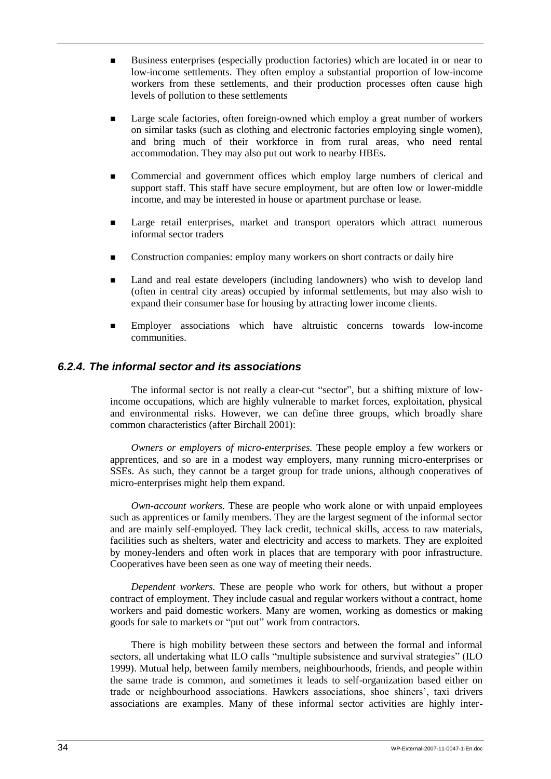- Business enterprises (especially production factories) which are located in or near to low-income settlements. They often employ a substantial proportion of low-income workers from these settlements, and their production processes often cause high levels of pollution to these settlements
- Large scale factories, often foreign-owned which employ a great number of workers on similar tasks (such as clothing and electronic factories employing single women), and bring much of their workforce in from rural areas, who need rental accommodation. They may also put out work to nearby HBEs.
- **EXECOMMERGERY COMMERGERY COMMERGERY COMMERGERY COMMERGERY COMMERGERY COMMERGERY COMMERGERY COMMERGERY COMMERGERY COMMERGERY COMMERGERY COMMERGERY COMMERCERY COMMERCERY COMMERCERY COMMERCERY COMMERCERY COMMERCERY COMMERCER** support staff. This staff have secure employment, but are often low or lower-middle income, and may be interested in house or apartment purchase or lease.
- **Example 1** Large retail enterprises, market and transport operators which attract numerous informal sector traders
- **EXECONSTRUCTER CONSTRUCTER CONSTRUCTER CONSTRUCTER CONSTRUCTER CONSTRUCTER CONSTRUCTER CONSTRUCTER CONSTRUCTER CONSTRUCTER CONSTRUCTER CONSTRUCTER CONSTRUCTED CONSTRUCTED CONSTRUCTED CONSTRUCTED CONSTRUCTED CONSTRUCTED CO**
- Land and real estate developers (including landowners) who wish to develop land (often in central city areas) occupied by informal settlements, but may also wish to expand their consumer base for housing by attracting lower income clients.
- Employer associations which have altruistic concerns towards low-income communities.

## <span id="page-41-0"></span>*6.2.4. The informal sector and its associations*

The informal sector is not really a clear-cut "sector", but a shifting mixture of lowincome occupations, which are highly vulnerable to market forces, exploitation, physical and environmental risks. However, we can define three groups, which broadly share common characteristics (after Birchall 2001):

*Owners or employers of micro-enterprises.* These people employ a few workers or apprentices, and so are in a modest way employers, many running micro-enterprises or SSEs. As such, they cannot be a target group for trade unions, although cooperatives of micro-enterprises might help them expand.

*Own-account workers.* These are people who work alone or with unpaid employees such as apprentices or family members. They are the largest segment of the informal sector and are mainly self-employed. They lack credit, technical skills, access to raw materials, facilities such as shelters, water and electricity and access to markets. They are exploited by money-lenders and often work in places that are temporary with poor infrastructure. Cooperatives have been seen as one way of meeting their needs.

*Dependent workers.* These are people who work for others, but without a proper contract of employment. They include casual and regular workers without a contract, home workers and paid domestic workers. Many are women, working as domestics or making goods for sale to markets or "put out" work from contractors.

There is high mobility between these sectors and between the formal and informal sectors, all undertaking what ILO calls "multiple subsistence and survival strategies" (ILO 1999). Mutual help, between family members, neighbourhoods, friends, and people within the same trade is common, and sometimes it leads to self-organization based either on trade or neighbourhood associations. Hawkers associations, shoe shiners", taxi drivers associations are examples. Many of these informal sector activities are highly inter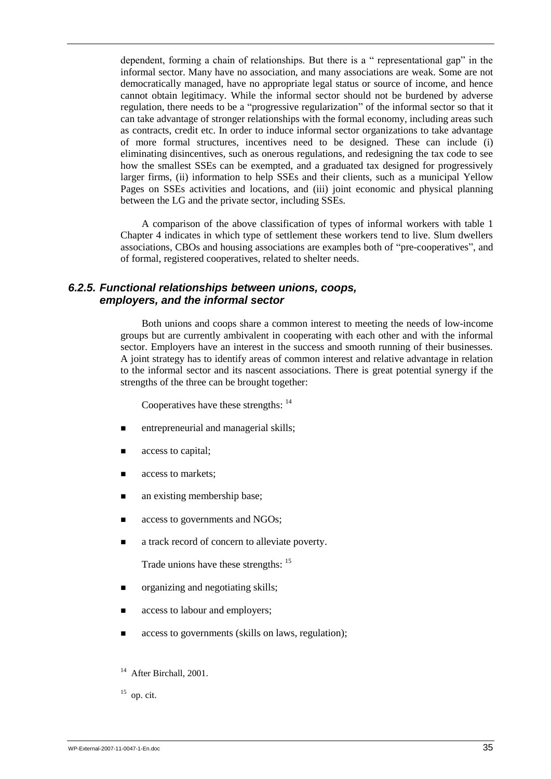dependent, forming a chain of relationships. But there is a " representational gap" in the informal sector. Many have no association, and many associations are weak. Some are not democratically managed, have no appropriate legal status or source of income, and hence cannot obtain legitimacy. While the informal sector should not be burdened by adverse regulation, there needs to be a "progressive regularization" of the informal sector so that it can take advantage of stronger relationships with the formal economy, including areas such as contracts, credit etc. In order to induce informal sector organizations to take advantage of more formal structures, incentives need to be designed. These can include (i) eliminating disincentives, such as onerous regulations, and redesigning the tax code to see how the smallest SSEs can be exempted, and a graduated tax designed for progressively larger firms, (ii) information to help SSEs and their clients, such as a municipal Yellow Pages on SSEs activities and locations, and (iii) joint economic and physical planning between the LG and the private sector, including SSEs.

A comparison of the above classification of types of informal workers with table 1 Chapter 4 indicates in which type of settlement these workers tend to live. Slum dwellers associations, CBOs and housing associations are examples both of "pre-cooperatives", and of formal, registered cooperatives, related to shelter needs.

## <span id="page-42-0"></span>*6.2.5. Functional relationships between unions, coops, employers, and the informal sector*

Both unions and coops share a common interest to meeting the needs of low-income groups but are currently ambivalent in cooperating with each other and with the informal sector. Employers have an interest in the success and smooth running of their businesses. A joint strategy has to identify areas of common interest and relative advantage in relation to the informal sector and its nascent associations. There is great potential synergy if the strengths of the three can be brought together:

Cooperatives have these strengths: <sup>14</sup>

- entrepreneurial and managerial skills;
- access to capital;
- access to markets;
- an existing membership base;
- access to governments and NGOs;
- a track record of concern to alleviate poverty.

Trade unions have these strengths: <sup>15</sup>

- organizing and negotiating skills;
- access to labour and employers;
- access to governments (skills on laws, regulation);
- <sup>14</sup> After Birchall, 2001.
- $15$  op. cit.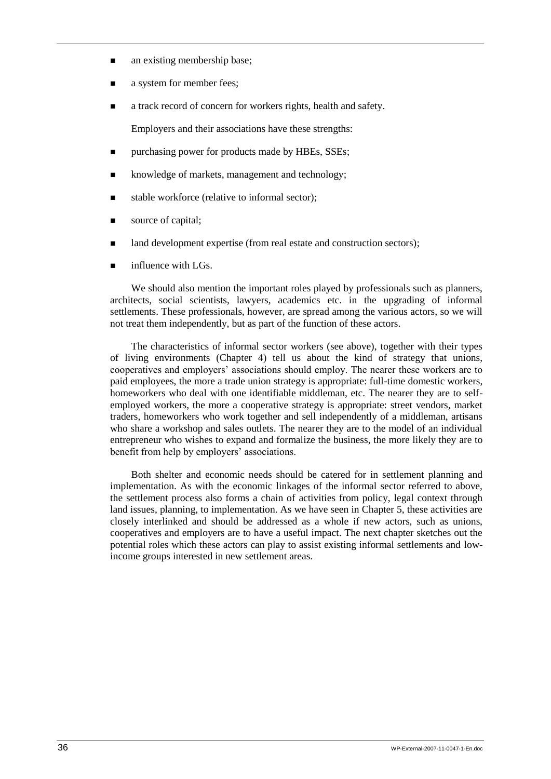- **a** an existing membership base;
- a system for member fees;
- **a** track record of concern for workers rights, health and safety.

Employers and their associations have these strengths:

- **purchasing power for products made by HBEs, SSEs;**
- knowledge of markets, management and technology;
- stable workforce (relative to informal sector);
- source of capital;
- I and development expertise (from real estate and construction sectors);
- $\blacksquare$  influence with LGs.

We should also mention the important roles played by professionals such as planners, architects, social scientists, lawyers, academics etc. in the upgrading of informal settlements. These professionals, however, are spread among the various actors, so we will not treat them independently, but as part of the function of these actors.

The characteristics of informal sector workers (see above), together with their types of living environments (Chapter 4) tell us about the kind of strategy that unions, cooperatives and employers" associations should employ. The nearer these workers are to paid employees, the more a trade union strategy is appropriate: full-time domestic workers, homeworkers who deal with one identifiable middleman, etc. The nearer they are to selfemployed workers, the more a cooperative strategy is appropriate: street vendors, market traders, homeworkers who work together and sell independently of a middleman, artisans who share a workshop and sales outlets. The nearer they are to the model of an individual entrepreneur who wishes to expand and formalize the business, the more likely they are to benefit from help by employers' associations.

Both shelter and economic needs should be catered for in settlement planning and implementation. As with the economic linkages of the informal sector referred to above, the settlement process also forms a chain of activities from policy, legal context through land issues, planning, to implementation. As we have seen in Chapter 5, these activities are closely interlinked and should be addressed as a whole if new actors, such as unions, cooperatives and employers are to have a useful impact. The next chapter sketches out the potential roles which these actors can play to assist existing informal settlements and lowincome groups interested in new settlement areas.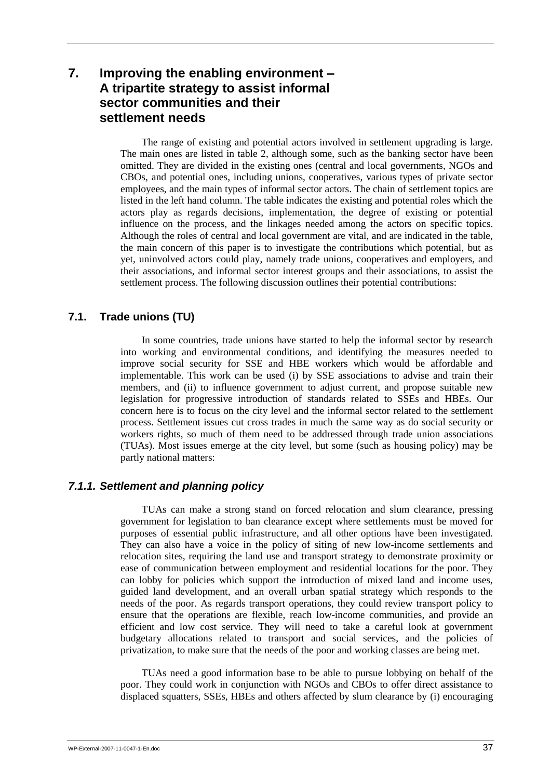## <span id="page-44-0"></span>**7. Improving the enabling environment – A tripartite strategy to assist informal sector communities and their settlement needs**

The range of existing and potential actors involved in settlement upgrading is large. The main ones are listed in table 2, although some, such as the banking sector have been omitted. They are divided in the existing ones (central and local governments, NGOs and CBOs, and potential ones, including unions, cooperatives, various types of private sector employees, and the main types of informal sector actors. The chain of settlement topics are listed in the left hand column. The table indicates the existing and potential roles which the actors play as regards decisions, implementation, the degree of existing or potential influence on the process, and the linkages needed among the actors on specific topics. Although the roles of central and local government are vital, and are indicated in the table, the main concern of this paper is to investigate the contributions which potential, but as yet, uninvolved actors could play, namely trade unions, cooperatives and employers, and their associations, and informal sector interest groups and their associations, to assist the settlement process. The following discussion outlines their potential contributions:

## <span id="page-44-1"></span>**7.1. Trade unions (TU)**

In some countries, trade unions have started to help the informal sector by research into working and environmental conditions, and identifying the measures needed to improve social security for SSE and HBE workers which would be affordable and implementable. This work can be used (i) by SSE associations to advise and train their members, and (ii) to influence government to adjust current, and propose suitable new legislation for progressive introduction of standards related to SSEs and HBEs. Our concern here is to focus on the city level and the informal sector related to the settlement process. Settlement issues cut cross trades in much the same way as do social security or workers rights, so much of them need to be addressed through trade union associations (TUAs). Most issues emerge at the city level, but some (such as housing policy) may be partly national matters:

## <span id="page-44-2"></span>*7.1.1. Settlement and planning policy*

TUAs can make a strong stand on forced relocation and slum clearance, pressing government for legislation to ban clearance except where settlements must be moved for purposes of essential public infrastructure, and all other options have been investigated. They can also have a voice in the policy of siting of new low-income settlements and relocation sites, requiring the land use and transport strategy to demonstrate proximity or ease of communication between employment and residential locations for the poor. They can lobby for policies which support the introduction of mixed land and income uses, guided land development, and an overall urban spatial strategy which responds to the needs of the poor. As regards transport operations, they could review transport policy to ensure that the operations are flexible, reach low-income communities, and provide an efficient and low cost service. They will need to take a careful look at government budgetary allocations related to transport and social services, and the policies of privatization, to make sure that the needs of the poor and working classes are being met.

TUAs need a good information base to be able to pursue lobbying on behalf of the poor. They could work in conjunction with NGOs and CBOs to offer direct assistance to displaced squatters, SSEs, HBEs and others affected by slum clearance by (i) encouraging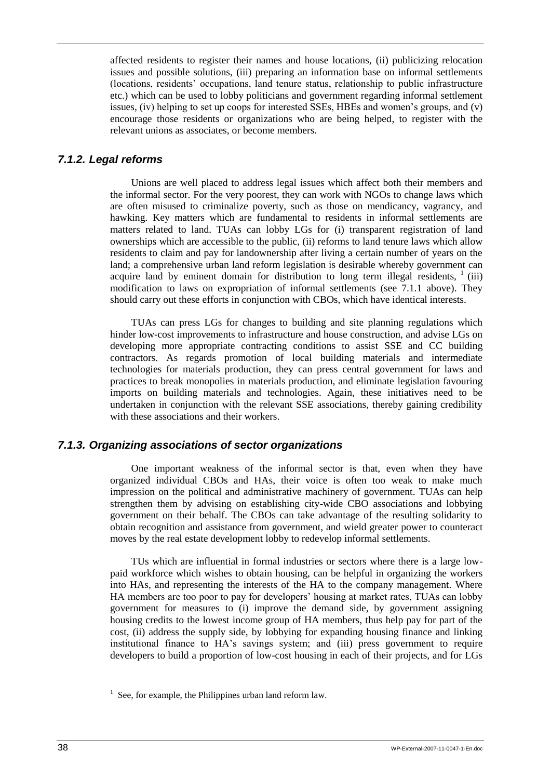affected residents to register their names and house locations, (ii) publicizing relocation issues and possible solutions, (iii) preparing an information base on informal settlements (locations, residents" occupations, land tenure status, relationship to public infrastructure etc.) which can be used to lobby politicians and government regarding informal settlement issues, (iv) helping to set up coops for interested SSEs. HBEs and women's groups, and  $(v)$ encourage those residents or organizations who are being helped, to register with the relevant unions as associates, or become members.

## <span id="page-45-0"></span>*7.1.2. Legal reforms*

Unions are well placed to address legal issues which affect both their members and the informal sector. For the very poorest, they can work with NGOs to change laws which are often misused to criminalize poverty, such as those on mendicancy, vagrancy, and hawking. Key matters which are fundamental to residents in informal settlements are matters related to land. TUAs can lobby LGs for (i) transparent registration of land ownerships which are accessible to the public, (ii) reforms to land tenure laws which allow residents to claim and pay for landownership after living a certain number of years on the land; a comprehensive urban land reform legislation is desirable whereby government can acquire land by eminent domain for distribution to long term illegal residents,  $\frac{1}{1}$  (iii) modification to laws on expropriation of informal settlements (see 7.1.1 above). They should carry out these efforts in conjunction with CBOs, which have identical interests.

TUAs can press LGs for changes to building and site planning regulations which hinder low-cost improvements to infrastructure and house construction, and advise LGs on developing more appropriate contracting conditions to assist SSE and CC building contractors. As regards promotion of local building materials and intermediate technologies for materials production, they can press central government for laws and practices to break monopolies in materials production, and eliminate legislation favouring imports on building materials and technologies. Again, these initiatives need to be undertaken in conjunction with the relevant SSE associations, thereby gaining credibility with these associations and their workers.

## <span id="page-45-1"></span>*7.1.3. Organizing associations of sector organizations*

One important weakness of the informal sector is that, even when they have organized individual CBOs and HAs, their voice is often too weak to make much impression on the political and administrative machinery of government. TUAs can help strengthen them by advising on establishing city-wide CBO associations and lobbying government on their behalf. The CBOs can take advantage of the resulting solidarity to obtain recognition and assistance from government, and wield greater power to counteract moves by the real estate development lobby to redevelop informal settlements.

TUs which are influential in formal industries or sectors where there is a large lowpaid workforce which wishes to obtain housing, can be helpful in organizing the workers into HAs, and representing the interests of the HA to the company management. Where HA members are too poor to pay for developers" housing at market rates, TUAs can lobby government for measures to (i) improve the demand side, by government assigning housing credits to the lowest income group of HA members, thus help pay for part of the cost, (ii) address the supply side, by lobbying for expanding housing finance and linking institutional finance to HA"s savings system; and (iii) press government to require developers to build a proportion of low-cost housing in each of their projects, and for LGs

 $1$  See, for example, the Philippines urban land reform law.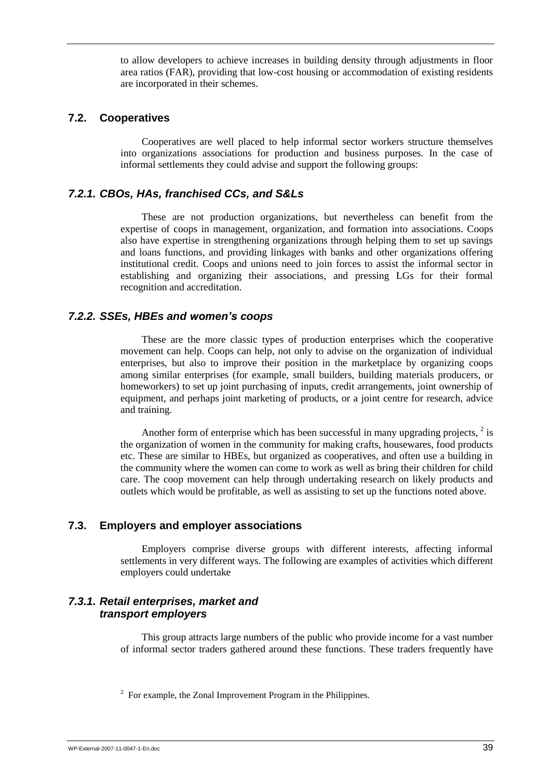to allow developers to achieve increases in building density through adjustments in floor area ratios (FAR), providing that low-cost housing or accommodation of existing residents are incorporated in their schemes.

### <span id="page-46-0"></span>**7.2. Cooperatives**

Cooperatives are well placed to help informal sector workers structure themselves into organizations associations for production and business purposes. In the case of informal settlements they could advise and support the following groups:

## <span id="page-46-1"></span>*7.2.1. CBOs, HAs, franchised CCs, and S&Ls*

These are not production organizations, but nevertheless can benefit from the expertise of coops in management, organization, and formation into associations. Coops also have expertise in strengthening organizations through helping them to set up savings and loans functions, and providing linkages with banks and other organizations offering institutional credit. Coops and unions need to join forces to assist the informal sector in establishing and organizing their associations, and pressing LGs for their formal recognition and accreditation.

## <span id="page-46-2"></span>*7.2.2. SSEs, HBEs and women's coops*

These are the more classic types of production enterprises which the cooperative movement can help. Coops can help, not only to advise on the organization of individual enterprises, but also to improve their position in the marketplace by organizing coops among similar enterprises (for example, small builders, building materials producers, or homeworkers) to set up joint purchasing of inputs, credit arrangements, joint ownership of equipment, and perhaps joint marketing of products, or a joint centre for research, advice and training.

Another form of enterprise which has been successful in many upgrading projects,  $2$  is the organization of women in the community for making crafts, housewares, food products etc. These are similar to HBEs, but organized as cooperatives, and often use a building in the community where the women can come to work as well as bring their children for child care. The coop movement can help through undertaking research on likely products and outlets which would be profitable, as well as assisting to set up the functions noted above.

## <span id="page-46-3"></span>**7.3. Employers and employer associations**

Employers comprise diverse groups with different interests, affecting informal settlements in very different ways. The following are examples of activities which different employers could undertake

## <span id="page-46-4"></span>*7.3.1. Retail enterprises, market and transport employers*

This group attracts large numbers of the public who provide income for a vast number of informal sector traders gathered around these functions. These traders frequently have

 $2^2$  For example, the Zonal Improvement Program in the Philippines.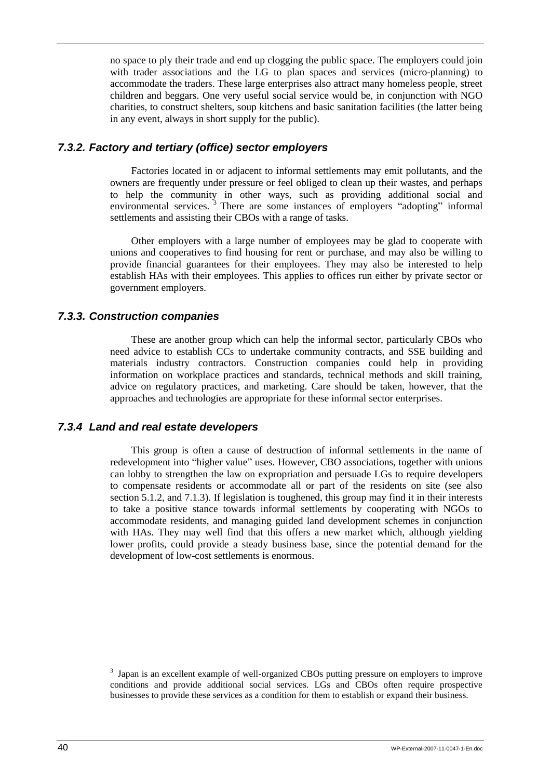no space to ply their trade and end up clogging the public space. The employers could join with trader associations and the LG to plan spaces and services (micro-planning) to accommodate the traders. These large enterprises also attract many homeless people, street children and beggars. One very useful social service would be, in conjunction with NGO charities, to construct shelters, soup kitchens and basic sanitation facilities (the latter being in any event, always in short supply for the public).

## <span id="page-47-0"></span>*7.3.2. Factory and tertiary (office) sector employers*

Factories located in or adjacent to informal settlements may emit pollutants, and the owners are frequently under pressure or feel obliged to clean up their wastes, and perhaps to help the community in other ways, such as providing additional social and environmental services.<sup>3</sup> There are some instances of employers "adopting" informal settlements and assisting their CBOs with a range of tasks.

Other employers with a large number of employees may be glad to cooperate with unions and cooperatives to find housing for rent or purchase, and may also be willing to provide financial guarantees for their employees. They may also be interested to help establish HAs with their employees. This applies to offices run either by private sector or government employers.

## <span id="page-47-1"></span>*7.3.3. Construction companies*

These are another group which can help the informal sector, particularly CBOs who need advice to establish CCs to undertake community contracts, and SSE building and materials industry contractors. Construction companies could help in providing information on workplace practices and standards, technical methods and skill training, advice on regulatory practices, and marketing. Care should be taken, however, that the approaches and technologies are appropriate for these informal sector enterprises.

## *7.3.4 Land and real estate developers*

This group is often a cause of destruction of informal settlements in the name of redevelopment into "higher value" uses. However, CBO associations, together with unions can lobby to strengthen the law on expropriation and persuade LGs to require developers to compensate residents or accommodate all or part of the residents on site (see also section 5.1.2, and 7.1.3). If legislation is toughened, this group may find it in their interests to take a positive stance towards informal settlements by cooperating with NGOs to accommodate residents, and managing guided land development schemes in conjunction with HAs. They may well find that this offers a new market which, although yielding lower profits, could provide a steady business base, since the potential demand for the development of low-cost settlements is enormous.

<sup>&</sup>lt;sup>3</sup> Japan is an excellent example of well-organized CBOs putting pressure on employers to improve conditions and provide additional social services. LGs and CBOs often require prospective businesses to provide these services as a condition for them to establish or expand their business.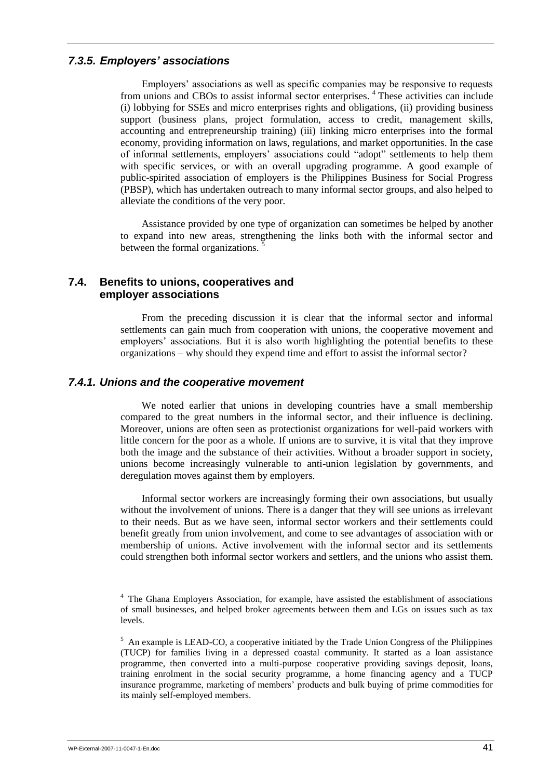## <span id="page-48-0"></span>*7.3.5. Employers' associations*

Employers" associations as well as specific companies may be responsive to requests from unions and CBOs to assist informal sector enterprises. <sup>4</sup> These activities can include (i) lobbying for SSEs and micro enterprises rights and obligations, (ii) providing business support (business plans, project formulation, access to credit, management skills, accounting and entrepreneurship training) (iii) linking micro enterprises into the formal economy, providing information on laws, regulations, and market opportunities. In the case of informal settlements, employers" associations could "adopt" settlements to help them with specific services, or with an overall upgrading programme. A good example of public-spirited association of employers is the Philippines Business for Social Progress (PBSP), which has undertaken outreach to many informal sector groups, and also helped to alleviate the conditions of the very poor.

Assistance provided by one type of organization can sometimes be helped by another to expand into new areas, strengthening the links both with the informal sector and between the formal organizations.

## <span id="page-48-1"></span>**7.4. Benefits to unions, cooperatives and employer associations**

From the preceding discussion it is clear that the informal sector and informal settlements can gain much from cooperation with unions, the cooperative movement and employers" associations. But it is also worth highlighting the potential benefits to these organizations – why should they expend time and effort to assist the informal sector?

## <span id="page-48-2"></span>*7.4.1. Unions and the cooperative movement*

We noted earlier that unions in developing countries have a small membership compared to the great numbers in the informal sector, and their influence is declining. Moreover, unions are often seen as protectionist organizations for well-paid workers with little concern for the poor as a whole. If unions are to survive, it is vital that they improve both the image and the substance of their activities. Without a broader support in society, unions become increasingly vulnerable to anti-union legislation by governments, and deregulation moves against them by employers.

Informal sector workers are increasingly forming their own associations, but usually without the involvement of unions. There is a danger that they will see unions as irrelevant to their needs. But as we have seen, informal sector workers and their settlements could benefit greatly from union involvement, and come to see advantages of association with or membership of unions. Active involvement with the informal sector and its settlements could strengthen both informal sector workers and settlers, and the unions who assist them.

<sup>4</sup> The Ghana Employers Association, for example, have assisted the establishment of associations of small businesses, and helped broker agreements between them and LGs on issues such as tax levels.

<sup>&</sup>lt;sup>5</sup> An example is LEAD-CO, a cooperative initiated by the Trade Union Congress of the Philippines (TUCP) for families living in a depressed coastal community. It started as a loan assistance programme, then converted into a multi-purpose cooperative providing savings deposit, loans, training enrolment in the social security programme, a home financing agency and a TUCP insurance programme, marketing of members" products and bulk buying of prime commodities for its mainly self-employed members.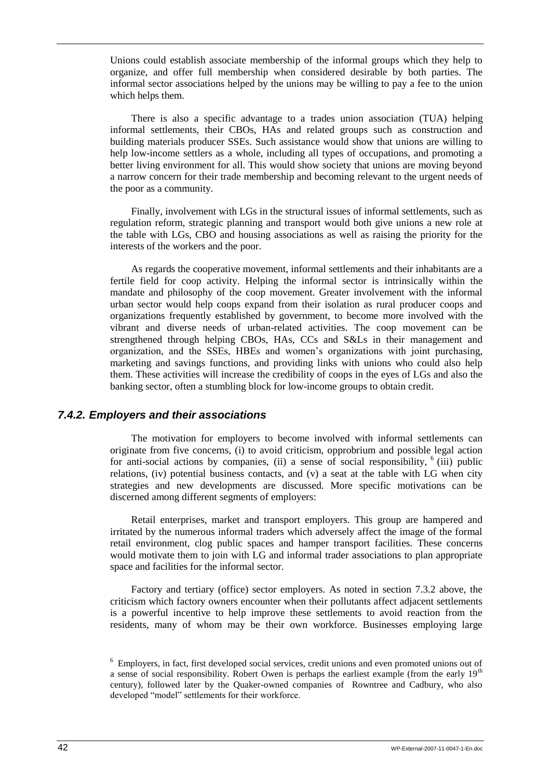Unions could establish associate membership of the informal groups which they help to organize, and offer full membership when considered desirable by both parties. The informal sector associations helped by the unions may be willing to pay a fee to the union which helps them.

There is also a specific advantage to a trades union association (TUA) helping informal settlements, their CBOs, HAs and related groups such as construction and building materials producer SSEs. Such assistance would show that unions are willing to help low-income settlers as a whole, including all types of occupations, and promoting a better living environment for all. This would show society that unions are moving beyond a narrow concern for their trade membership and becoming relevant to the urgent needs of the poor as a community.

Finally, involvement with LGs in the structural issues of informal settlements, such as regulation reform, strategic planning and transport would both give unions a new role at the table with LGs, CBO and housing associations as well as raising the priority for the interests of the workers and the poor.

As regards the cooperative movement, informal settlements and their inhabitants are a fertile field for coop activity. Helping the informal sector is intrinsically within the mandate and philosophy of the coop movement. Greater involvement with the informal urban sector would help coops expand from their isolation as rural producer coops and organizations frequently established by government, to become more involved with the vibrant and diverse needs of urban-related activities. The coop movement can be strengthened through helping CBOs, HAs, CCs and S&Ls in their management and organization, and the SSEs, HBEs and women"s organizations with joint purchasing, marketing and savings functions, and providing links with unions who could also help them. These activities will increase the credibility of coops in the eyes of LGs and also the banking sector, often a stumbling block for low-income groups to obtain credit.

### <span id="page-49-0"></span>*7.4.2. Employers and their associations*

The motivation for employers to become involved with informal settlements can originate from five concerns, (i) to avoid criticism, opprobrium and possible legal action for anti-social actions by companies, (ii) a sense of social responsibility,  $6$  (iii) public relations, (iv) potential business contacts, and (v) a seat at the table with LG when city strategies and new developments are discussed. More specific motivations can be discerned among different segments of employers:

Retail enterprises, market and transport employers. This group are hampered and irritated by the numerous informal traders which adversely affect the image of the formal retail environment, clog public spaces and hamper transport facilities. These concerns would motivate them to join with LG and informal trader associations to plan appropriate space and facilities for the informal sector.

Factory and tertiary (office) sector employers. As noted in section 7.3.2 above, the criticism which factory owners encounter when their pollutants affect adjacent settlements is a powerful incentive to help improve these settlements to avoid reaction from the residents, many of whom may be their own workforce. Businesses employing large

<sup>&</sup>lt;sup>6</sup> Employers, in fact, first developed social services, credit unions and even promoted unions out of a sense of social responsibility. Robert Owen is perhaps the earliest example (from the early  $19<sup>th</sup>$ century), followed later by the Quaker-owned companies of Rowntree and Cadbury, who also developed "model" settlements for their workforce.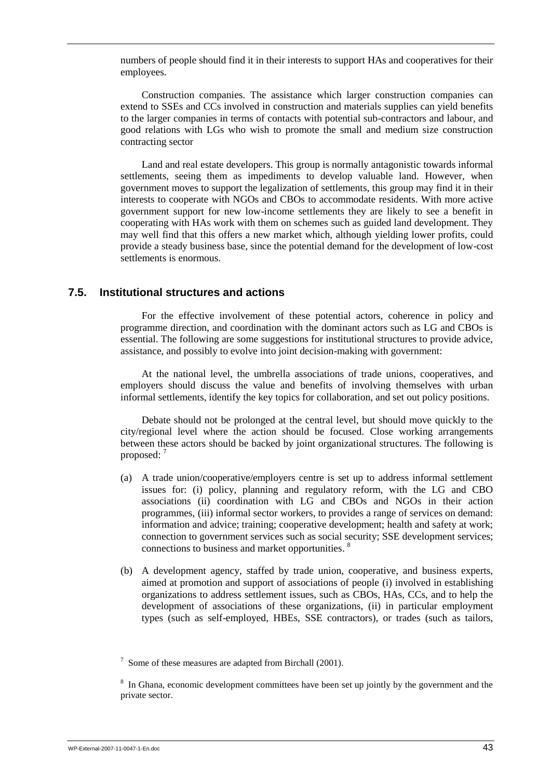numbers of people should find it in their interests to support HAs and cooperatives for their employees.

Construction companies. The assistance which larger construction companies can extend to SSEs and CCs involved in construction and materials supplies can yield benefits to the larger companies in terms of contacts with potential sub-contractors and labour, and good relations with LGs who wish to promote the small and medium size construction contracting sector

Land and real estate developers. This group is normally antagonistic towards informal settlements, seeing them as impediments to develop valuable land. However, when government moves to support the legalization of settlements, this group may find it in their interests to cooperate with NGOs and CBOs to accommodate residents. With more active government support for new low-income settlements they are likely to see a benefit in cooperating with HAs work with them on schemes such as guided land development. They may well find that this offers a new market which, although yielding lower profits, could provide a steady business base, since the potential demand for the development of low-cost settlements is enormous.

## <span id="page-50-0"></span>**7.5. Institutional structures and actions**

For the effective involvement of these potential actors, coherence in policy and programme direction, and coordination with the dominant actors such as LG and CBOs is essential. The following are some suggestions for institutional structures to provide advice, assistance, and possibly to evolve into joint decision-making with government:

At the national level, the umbrella associations of trade unions, cooperatives, and employers should discuss the value and benefits of involving themselves with urban informal settlements, identify the key topics for collaboration, and set out policy positions.

Debate should not be prolonged at the central level, but should move quickly to the city/regional level where the action should be focused. Close working arrangements between these actors should be backed by joint organizational structures. The following is proposed:<sup>7</sup>

- (a) A trade union/cooperative/employers centre is set up to address informal settlement issues for: (i) policy, planning and regulatory reform, with the LG and CBO associations (ii) coordination with LG and CBOs and NGOs in their action programmes, (iii) informal sector workers, to provides a range of services on demand: information and advice; training; cooperative development; health and safety at work; connection to government services such as social security; SSE development services; connections to business and market opportunities. <sup>8</sup>
- (b) A development agency, staffed by trade union, cooperative, and business experts, aimed at promotion and support of associations of people (i) involved in establishing organizations to address settlement issues, such as CBOs, HAs, CCs, and to help the development of associations of these organizations, (ii) in particular employment types (such as self-employed, HBEs, SSE contractors), or trades (such as tailors,

 $\frac{7}{1}$  Some of these measures are adapted from Birchall (2001).

<sup>&</sup>lt;sup>8</sup> In Ghana, economic development committees have been set up jointly by the government and the private sector.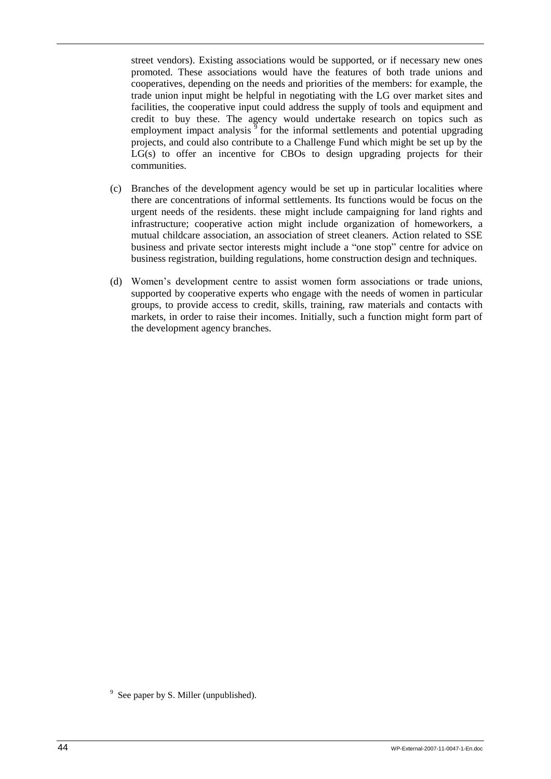street vendors). Existing associations would be supported, or if necessary new ones promoted. These associations would have the features of both trade unions and cooperatives, depending on the needs and priorities of the members: for example, the trade union input might be helpful in negotiating with the LG over market sites and facilities, the cooperative input could address the supply of tools and equipment and credit to buy these. The agency would undertake research on topics such as employment impact analysis  $\frac{5}{9}$  for the informal settlements and potential upgrading projects, and could also contribute to a Challenge Fund which might be set up by the  $LG(s)$  to offer an incentive for CBOs to design upgrading projects for their communities.

- (c) Branches of the development agency would be set up in particular localities where there are concentrations of informal settlements. Its functions would be focus on the urgent needs of the residents. these might include campaigning for land rights and infrastructure; cooperative action might include organization of homeworkers, a mutual childcare association, an association of street cleaners. Action related to SSE business and private sector interests might include a "one stop" centre for advice on business registration, building regulations, home construction design and techniques.
- (d) Women"s development centre to assist women form associations or trade unions, supported by cooperative experts who engage with the needs of women in particular groups, to provide access to credit, skills, training, raw materials and contacts with markets, in order to raise their incomes. Initially, such a function might form part of the development agency branches.

 $9^9$  See paper by S. Miller (unpublished).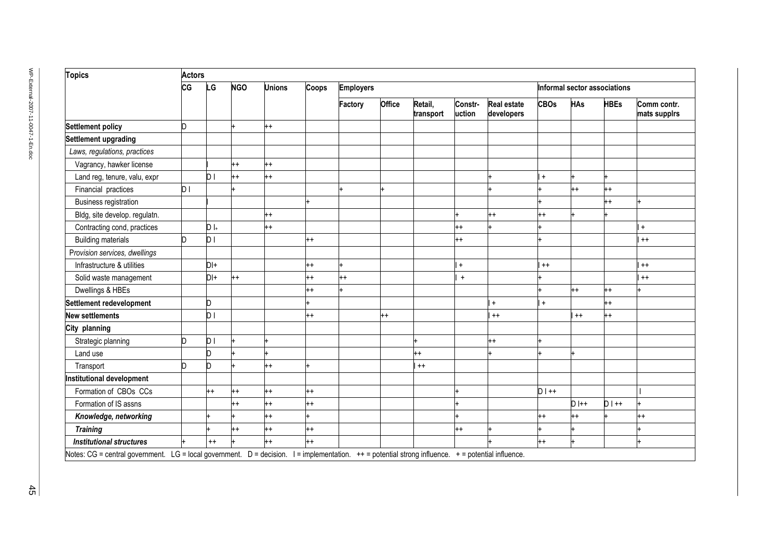| <b>Topics</b>                    |     | <b>Actors</b> |            |               |         |                  |         |                      |                   |                                  |                              |            |             |                             |
|----------------------------------|-----|---------------|------------|---------------|---------|------------------|---------|----------------------|-------------------|----------------------------------|------------------------------|------------|-------------|-----------------------------|
| CG                               |     | .G            | <b>NGO</b> | <b>Unions</b> | Coops   | <b>Employers</b> |         |                      |                   |                                  | Informal sector associations |            |             |                             |
|                                  |     |               |            |               |         | Factory          | Office  | Retail,<br>transport | Constr-<br>uction | <b>Real estate</b><br>developers | <b>CBOs</b>                  | <b>HAs</b> | <b>HBEs</b> | Comm contr.<br>mats suppirs |
| <b>Settlement policy</b>         | D   |               |            | $^{++}$       |         |                  |         |                      |                   |                                  |                              |            |             |                             |
| Settlement upgrading             |     |               |            |               |         |                  |         |                      |                   |                                  |                              |            |             |                             |
| Laws, regulations, practices     |     |               |            |               |         |                  |         |                      |                   |                                  |                              |            |             |                             |
| Vagrancy, hawker license         |     |               | $^{++}$    | $^{++}$       |         |                  |         |                      |                   |                                  |                              |            |             |                             |
| Land reg, tenure, valu, expr     |     | D I           | $+$        | $^{++}$       |         |                  |         |                      |                   |                                  | $\ddot{}$                    |            |             |                             |
| Financial practices              | D I |               |            |               |         |                  |         |                      |                   |                                  |                              | $++$       | $^{++}$     |                             |
| Business registration            |     |               |            |               |         |                  |         |                      |                   |                                  |                              |            | $^{++}$     |                             |
| Bldg, site develop. regulatn.    |     |               |            | $^{++}$       |         |                  |         |                      |                   | $++$                             | $++$                         |            |             |                             |
| Contracting cond, practices      |     | $D _{+}$      |            | $^{++}$       |         |                  |         |                      | $^{++}$           |                                  |                              |            |             | $\ddot{}$                   |
| <b>Building materials</b>        | h   | DΙ            |            |               | $++$    |                  |         |                      | $^{++}$           |                                  |                              |            |             | $^{++}$                     |
| Provision services, dwellings    |     |               |            |               |         |                  |         |                      |                   |                                  |                              |            |             |                             |
| Infrastructure & utilities       |     | DI+           |            |               | $^{++}$ |                  |         |                      | $\ddot{}$         |                                  | $^{++}$                      |            |             | $^{++}$                     |
| Solid waste management           |     | DI+           | $^{++}$    |               | $^{++}$ | $^{++}$          |         |                      | $+$               |                                  |                              |            |             | $^{++}$                     |
| Dwellings & HBEs                 |     |               |            |               | $++$    |                  |         |                      |                   |                                  |                              | $++$       | $^{++}$     |                             |
| Settlement redevelopment         |     |               |            |               |         |                  |         |                      |                   | $+$                              | $\ddot{}$                    |            | $^{++}$     |                             |
| <b>New settlements</b>           |     | DΙ            |            |               | $^{++}$ |                  | $^{++}$ |                      |                   | $^{++}$                          |                              | $^{++}$    | $^{++}$     |                             |
| City planning                    |     |               |            |               |         |                  |         |                      |                   |                                  |                              |            |             |                             |
| Strategic planning               | n.  | DΙ            |            |               |         |                  |         |                      |                   | $^{++}$                          |                              |            |             |                             |
| Land use                         |     |               |            |               |         |                  |         | $^{++}$              |                   |                                  |                              |            |             |                             |
| Transport                        | n   |               |            | $^{++}$       |         |                  |         | $^{++}$              |                   |                                  |                              |            |             |                             |
| <b>Institutional development</b> |     |               |            |               |         |                  |         |                      |                   |                                  |                              |            |             |                             |
| Formation of CBOs CCs            |     | $++$          | -+         | $^{++}$       | $^{++}$ |                  |         |                      |                   |                                  | $D$   ++                     |            |             |                             |
| Formation of IS assns            |     |               | $++$       | $^{++}$       | $^{++}$ |                  |         |                      |                   |                                  |                              | $D$ I++    | $D$   ++    |                             |
| Knowledge, networking            |     |               |            | $^{++}$       |         |                  |         |                      |                   |                                  | $++$                         | $++$       |             | $^{++}$                     |
| <b>Training</b>                  |     |               | $^{++}$    | $^{++}$       | $^{++}$ |                  |         |                      | $^{++}$           |                                  |                              |            |             |                             |
| <b>Institutional structures</b>  |     | $++$          |            | $^{++}$       | $^{++}$ |                  |         |                      |                   |                                  | $^{++}$                      |            |             |                             |

 $\frac{4}{16}$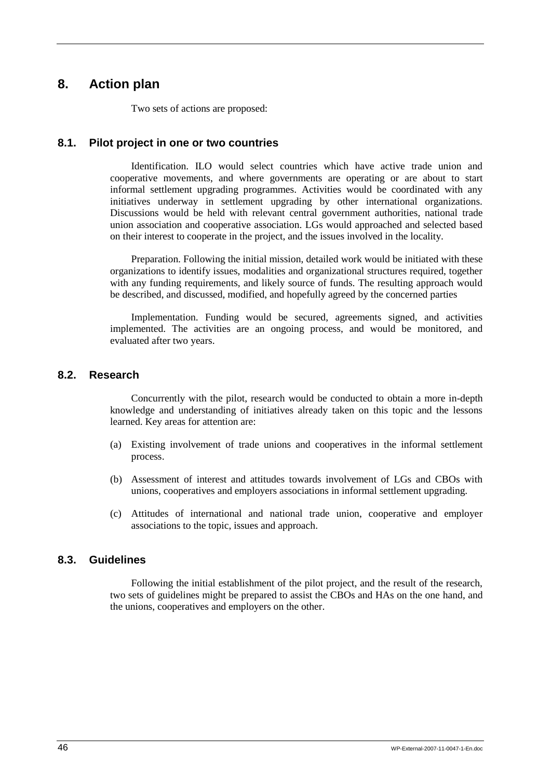## <span id="page-53-0"></span>**8. Action plan**

Two sets of actions are proposed:

## <span id="page-53-1"></span>**8.1. Pilot project in one or two countries**

Identification. ILO would select countries which have active trade union and cooperative movements, and where governments are operating or are about to start informal settlement upgrading programmes. Activities would be coordinated with any initiatives underway in settlement upgrading by other international organizations. Discussions would be held with relevant central government authorities, national trade union association and cooperative association. LGs would approached and selected based on their interest to cooperate in the project, and the issues involved in the locality.

Preparation. Following the initial mission, detailed work would be initiated with these organizations to identify issues, modalities and organizational structures required, together with any funding requirements, and likely source of funds. The resulting approach would be described, and discussed, modified, and hopefully agreed by the concerned parties

Implementation. Funding would be secured, agreements signed, and activities implemented. The activities are an ongoing process, and would be monitored, and evaluated after two years.

## <span id="page-53-2"></span>**8.2. Research**

Concurrently with the pilot, research would be conducted to obtain a more in-depth knowledge and understanding of initiatives already taken on this topic and the lessons learned. Key areas for attention are:

- (a) Existing involvement of trade unions and cooperatives in the informal settlement process.
- (b) Assessment of interest and attitudes towards involvement of LGs and CBOs with unions, cooperatives and employers associations in informal settlement upgrading.
- (c) Attitudes of international and national trade union, cooperative and employer associations to the topic, issues and approach.

## <span id="page-53-3"></span>**8.3. Guidelines**

Following the initial establishment of the pilot project, and the result of the research, two sets of guidelines might be prepared to assist the CBOs and HAs on the one hand, and the unions, cooperatives and employers on the other.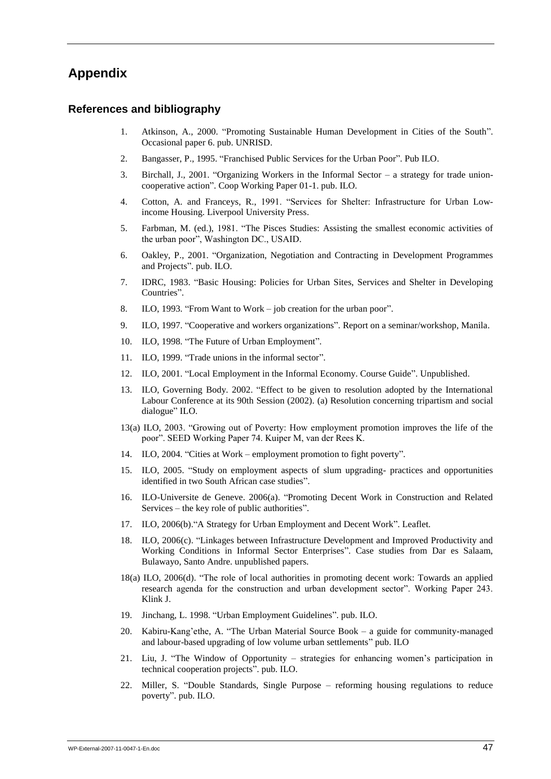## <span id="page-54-0"></span>**Appendix**

### **References and bibliography**

- 1. Atkinson, A., 2000. "Promoting Sustainable Human Development in Cities of the South". Occasional paper 6. pub. UNRISD.
- 2. Bangasser, P., 1995. "Franchised Public Services for the Urban Poor". Pub ILO.
- 3. Birchall, J., 2001. "Organizing Workers in the Informal Sector a strategy for trade unioncooperative action". Coop Working Paper 01-1. pub. ILO.
- 4. Cotton, A. and Franceys, R., 1991. "Services for Shelter: Infrastructure for Urban Lowincome Housing. Liverpool University Press.
- 5. Farbman, M. (ed.), 1981. "The Pisces Studies: Assisting the smallest economic activities of the urban poor", Washington DC., USAID.
- 6. Oakley, P., 2001. "Organization, Negotiation and Contracting in Development Programmes and Projects". pub. ILO.
- 7. IDRC, 1983. "Basic Housing: Policies for Urban Sites, Services and Shelter in Developing Countries".
- 8. ILO, 1993. "From Want to Work job creation for the urban poor".
- 9. ILO, 1997. "Cooperative and workers organizations". Report on a seminar/workshop, Manila.
- 10. ILO, 1998. "The Future of Urban Employment".
- 11. ILO, 1999. "Trade unions in the informal sector".
- 12. ILO, 2001. "Local Employment in the Informal Economy. Course Guide". Unpublished.
- 13. ILO, Governing Body. 2002. "Effect to be given to resolution adopted by the International Labour Conference at its 90th Session (2002). (a) Resolution concerning tripartism and social dialogue" ILO.
- 13(a) ILO, 2003. "Growing out of Poverty: How employment promotion improves the life of the poor". SEED Working Paper 74. Kuiper M, van der Rees K.
- 14. ILO, 2004. "Cities at Work employment promotion to fight poverty".
- 15. ILO, 2005. "Study on employment aspects of slum upgrading- practices and opportunities identified in two South African case studies".
- 16. ILO-Universite de Geneve. 2006(a). "Promoting Decent Work in Construction and Related Services – the key role of public authorities".
- 17. ILO, 2006(b)."A Strategy for Urban Employment and Decent Work". Leaflet.
- 18. ILO, 2006(c). "Linkages between Infrastructure Development and Improved Productivity and Working Conditions in Informal Sector Enterprises". Case studies from Dar es Salaam, Bulawayo, Santo Andre. unpublished papers.
- 18(a) ILO, 2006(d). "The role of local authorities in promoting decent work: Towards an applied research agenda for the construction and urban development sector". Working Paper 243. Klink J.
- 19. Jinchang, L. 1998. "Urban Employment Guidelines". pub. ILO.
- 20. Kabiru-Kang"ethe, A. "The Urban Material Source Book a guide for community-managed and labour-based upgrading of low volume urban settlements" pub. ILO
- 21. Liu, J. "The Window of Opportunity strategies for enhancing women"s participation in technical cooperation projects". pub. ILO.
- 22. Miller, S. "Double Standards, Single Purpose reforming housing regulations to reduce poverty". pub. ILO.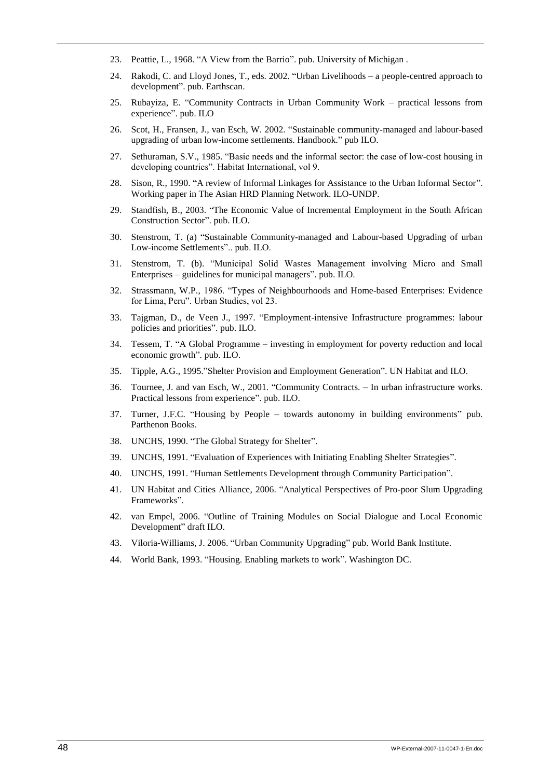- 23. Peattie, L., 1968. "A View from the Barrio". pub. University of Michigan .
- 24. Rakodi, C. and Lloyd Jones, T., eds. 2002. "Urban Livelihoods a people-centred approach to development". pub. Earthscan.
- 25. Rubayiza, E. "Community Contracts in Urban Community Work practical lessons from experience". pub. ILO
- 26. Scot, H., Fransen, J., van Esch, W. 2002. "Sustainable community-managed and labour-based upgrading of urban low-income settlements. Handbook." pub ILO.
- 27. Sethuraman, S.V., 1985. "Basic needs and the informal sector: the case of low-cost housing in developing countries". Habitat International, vol 9.
- 28. Sison, R., 1990. "A review of Informal Linkages for Assistance to the Urban Informal Sector". Working paper in The Asian HRD Planning Network. ILO-UNDP.
- 29. Standfish, B., 2003. "The Economic Value of Incremental Employment in the South African Construction Sector". pub. ILO.
- 30. Stenstrom, T. (a) "Sustainable Community-managed and Labour-based Upgrading of urban Low-income Settlements".. pub. ILO.
- 31. Stenstrom, T. (b). "Municipal Solid Wastes Management involving Micro and Small Enterprises – guidelines for municipal managers". pub. ILO.
- 32. Strassmann, W.P., 1986. "Types of Neighbourhoods and Home-based Enterprises: Evidence for Lima, Peru". Urban Studies, vol 23.
- 33. Tajgman, D., de Veen J., 1997. "Employment-intensive Infrastructure programmes: labour policies and priorities". pub. ILO.
- 34. Tessem, T. "A Global Programme investing in employment for poverty reduction and local economic growth". pub. ILO.
- 35. Tipple, A.G., 1995."Shelter Provision and Employment Generation". UN Habitat and ILO.
- 36. Tournee, J. and van Esch, W., 2001. "Community Contracts. In urban infrastructure works. Practical lessons from experience". pub. ILO.
- 37. Turner, J.F.C. "Housing by People towards autonomy in building environments" pub. Parthenon Books.
- 38. UNCHS, 1990. "The Global Strategy for Shelter".
- 39. UNCHS, 1991. "Evaluation of Experiences with Initiating Enabling Shelter Strategies".
- 40. UNCHS, 1991. "Human Settlements Development through Community Participation".
- 41. UN Habitat and Cities Alliance, 2006. "Analytical Perspectives of Pro-poor Slum Upgrading Frameworks".
- 42. van Empel, 2006. "Outline of Training Modules on Social Dialogue and Local Economic Development" draft ILO.
- 43. Viloria-Williams, J. 2006. "Urban Community Upgrading" pub. World Bank Institute.
- 44. World Bank, 1993. "Housing. Enabling markets to work". Washington DC.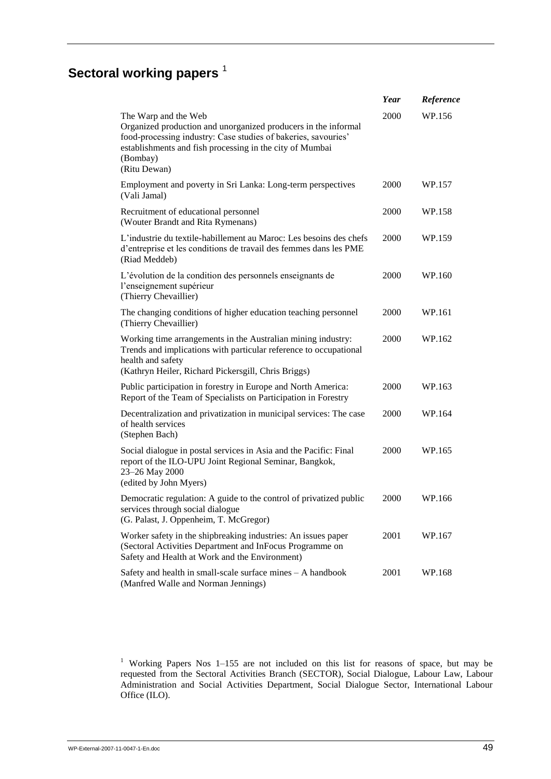# **Sectoral working papers**<sup>1</sup>

|                                                                                                                                                                                                                                                  | Year | Reference |
|--------------------------------------------------------------------------------------------------------------------------------------------------------------------------------------------------------------------------------------------------|------|-----------|
| The Warp and the Web<br>Organized production and unorganized producers in the informal<br>food-processing industry: Case studies of bakeries, savouries'<br>establishments and fish processing in the city of Mumbai<br>(Bombay)<br>(Ritu Dewan) | 2000 | WP.156    |
| Employment and poverty in Sri Lanka: Long-term perspectives<br>(Vali Jamal)                                                                                                                                                                      | 2000 | WP.157    |
| Recruitment of educational personnel<br>(Wouter Brandt and Rita Rymenans)                                                                                                                                                                        | 2000 | WP.158    |
| L'industrie du textile-habillement au Maroc: Les besoins des chefs<br>d'entreprise et les conditions de travail des femmes dans les PME<br>(Riad Meddeb)                                                                                         | 2000 | WP.159    |
| L'évolution de la condition des personnels enseignants de<br>l'enseignement supérieur<br>(Thierry Chevaillier)                                                                                                                                   | 2000 | WP.160    |
| The changing conditions of higher education teaching personnel<br>(Thierry Chevaillier)                                                                                                                                                          | 2000 | WP.161    |
| Working time arrangements in the Australian mining industry:<br>Trends and implications with particular reference to occupational<br>health and safety<br>(Kathryn Heiler, Richard Pickersgill, Chris Briggs)                                    | 2000 | WP.162    |
| Public participation in forestry in Europe and North America:<br>Report of the Team of Specialists on Participation in Forestry                                                                                                                  | 2000 | WP.163    |
| Decentralization and privatization in municipal services: The case<br>of health services<br>(Stephen Bach)                                                                                                                                       | 2000 | WP.164    |
| Social dialogue in postal services in Asia and the Pacific: Final<br>report of the ILO-UPU Joint Regional Seminar, Bangkok,<br>23-26 May 2000<br>(edited by John Myers)                                                                          | 2000 | WP.165    |
| Democratic regulation: A guide to the control of privatized public<br>services through social dialogue<br>(G. Palast, J. Oppenheim, T. McGregor)                                                                                                 | 2000 | WP.166    |
| Worker safety in the shipbreaking industries: An issues paper<br>(Sectoral Activities Department and InFocus Programme on<br>Safety and Health at Work and the Environment)                                                                      | 2001 | WP.167    |
| Safety and health in small-scale surface mines - A handbook<br>(Manfred Walle and Norman Jennings)                                                                                                                                               | 2001 | WP.168    |

<sup>1</sup> Working Papers Nos  $1-155$  are not included on this list for reasons of space, but may be requested from the Sectoral Activities Branch (SECTOR), Social Dialogue, Labour Law, Labour Administration and Social Activities Department, Social Dialogue Sector, International Labour Office (ILO).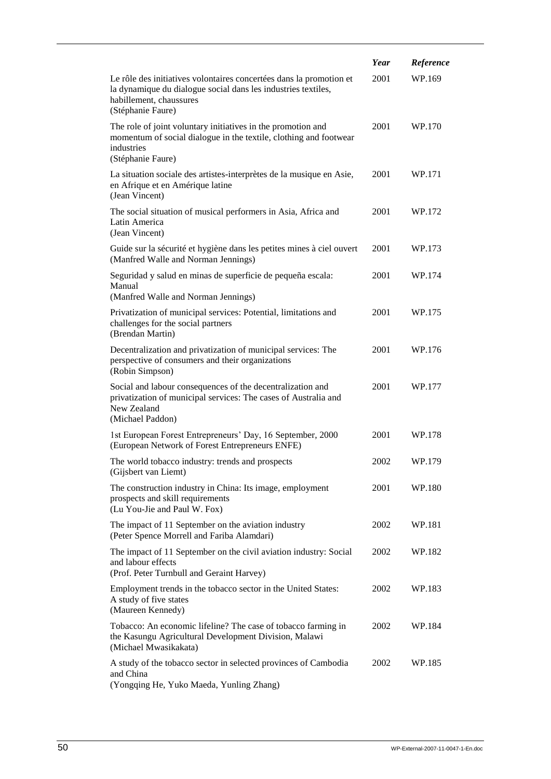|                                                                                                                                                                                      | Year | Reference |
|--------------------------------------------------------------------------------------------------------------------------------------------------------------------------------------|------|-----------|
| Le rôle des initiatives volontaires concertées dans la promotion et<br>la dynamique du dialogue social dans les industries textiles,<br>habillement, chaussures<br>(Stéphanie Faure) | 2001 | WP.169    |
| The role of joint voluntary initiatives in the promotion and<br>momentum of social dialogue in the textile, clothing and footwear<br>industries<br>(Stéphanie Faure)                 | 2001 | WP.170    |
| La situation sociale des artistes-interprètes de la musique en Asie,<br>en Afrique et en Amérique latine<br>(Jean Vincent)                                                           | 2001 | WP.171    |
| The social situation of musical performers in Asia, Africa and<br>Latin America<br>(Jean Vincent)                                                                                    | 2001 | WP.172    |
| Guide sur la sécurité et hygiène dans les petites mines à ciel ouvert<br>(Manfred Walle and Norman Jennings)                                                                         | 2001 | WP.173    |
| Seguridad y salud en minas de superficie de pequeña escala:<br>Manual<br>(Manfred Walle and Norman Jennings)                                                                         | 2001 | WP.174    |
| Privatization of municipal services: Potential, limitations and<br>challenges for the social partners<br>(Brendan Martin)                                                            | 2001 | WP.175    |
| Decentralization and privatization of municipal services: The<br>perspective of consumers and their organizations<br>(Robin Simpson)                                                 | 2001 | WP.176    |
| Social and labour consequences of the decentralization and<br>privatization of municipal services: The cases of Australia and<br>New Zealand<br>(Michael Paddon)                     | 2001 | WP.177    |
| 1st European Forest Entrepreneurs' Day, 16 September, 2000<br>(European Network of Forest Entrepreneurs ENFE)                                                                        | 2001 | WP.178    |
| The world tobacco industry: trends and prospects<br>(Gijsbert van Liemt)                                                                                                             | 2002 | WP.179    |
| The construction industry in China: Its image, employment<br>prospects and skill requirements<br>(Lu You-Jie and Paul W. Fox)                                                        | 2001 | WP.180    |
| The impact of 11 September on the aviation industry<br>(Peter Spence Morrell and Fariba Alamdari)                                                                                    | 2002 | WP.181    |
| The impact of 11 September on the civil aviation industry: Social<br>and labour effects<br>(Prof. Peter Turnbull and Geraint Harvey)                                                 | 2002 | WP.182    |
| Employment trends in the tobacco sector in the United States:<br>A study of five states<br>(Maureen Kennedy)                                                                         | 2002 | WP.183    |
| Tobacco: An economic lifeline? The case of tobacco farming in<br>the Kasungu Agricultural Development Division, Malawi<br>(Michael Mwasikakata)                                      | 2002 | WP.184    |
| A study of the tobacco sector in selected provinces of Cambodia<br>and China<br>(Yongqing He, Yuko Maeda, Yunling Zhang)                                                             | 2002 | WP.185    |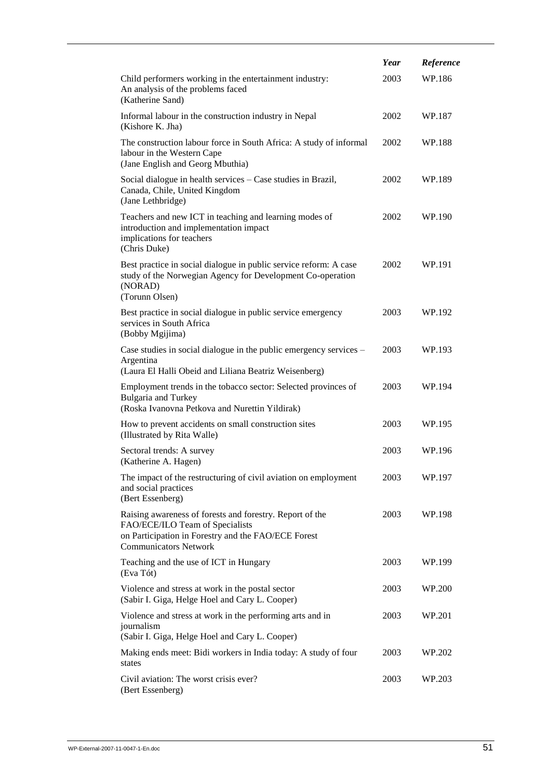|                                                                                                                                                                                    | Year | Reference |
|------------------------------------------------------------------------------------------------------------------------------------------------------------------------------------|------|-----------|
| Child performers working in the entertainment industry:<br>An analysis of the problems faced<br>(Katherine Sand)                                                                   | 2003 | WP.186    |
| Informal labour in the construction industry in Nepal<br>(Kishore K. Jha)                                                                                                          | 2002 | WP.187    |
| The construction labour force in South Africa: A study of informal<br>labour in the Western Cape<br>(Jane English and Georg Mbuthia)                                               | 2002 | WP.188    |
| Social dialogue in health services - Case studies in Brazil,<br>Canada, Chile, United Kingdom<br>(Jane Lethbridge)                                                                 | 2002 | WP.189    |
| Teachers and new ICT in teaching and learning modes of<br>introduction and implementation impact<br>implications for teachers<br>(Chris Duke)                                      | 2002 | WP.190    |
| Best practice in social dialogue in public service reform: A case<br>study of the Norwegian Agency for Development Co-operation<br>(NORAD)<br>(Torunn Olsen)                       | 2002 | WP.191    |
| Best practice in social dialogue in public service emergency<br>services in South Africa<br>(Bobby Mgijima)                                                                        | 2003 | WP.192    |
| Case studies in social dialogue in the public emergency services -<br>Argentina<br>(Laura El Halli Obeid and Liliana Beatriz Weisenberg)                                           | 2003 | WP.193    |
| Employment trends in the tobacco sector: Selected provinces of<br><b>Bulgaria and Turkey</b><br>(Roska Ivanovna Petkova and Nurettin Yildirak)                                     | 2003 | WP.194    |
| How to prevent accidents on small construction sites<br>(Illustrated by Rita Walle)                                                                                                | 2003 | WP.195    |
| Sectoral trends: A survey<br>(Katherine A. Hagen)                                                                                                                                  | 2003 | WP.196    |
| The impact of the restructuring of civil aviation on employment<br>and social practices<br>(Bert Essenberg)                                                                        | 2003 | WP.197    |
| Raising awareness of forests and forestry. Report of the<br>FAO/ECE/ILO Team of Specialists<br>on Participation in Forestry and the FAO/ECE Forest<br><b>Communicators Network</b> | 2003 | WP.198    |
| Teaching and the use of ICT in Hungary<br>(Eva Tót)                                                                                                                                | 2003 | WP.199    |
| Violence and stress at work in the postal sector<br>(Sabir I. Giga, Helge Hoel and Cary L. Cooper)                                                                                 | 2003 | WP.200    |
| Violence and stress at work in the performing arts and in<br>journalism<br>(Sabir I. Giga, Helge Hoel and Cary L. Cooper)                                                          | 2003 | WP.201    |
| Making ends meet: Bidi workers in India today: A study of four<br>states                                                                                                           | 2003 | WP.202    |
| Civil aviation: The worst crisis ever?<br>(Bert Essenberg)                                                                                                                         | 2003 | WP.203    |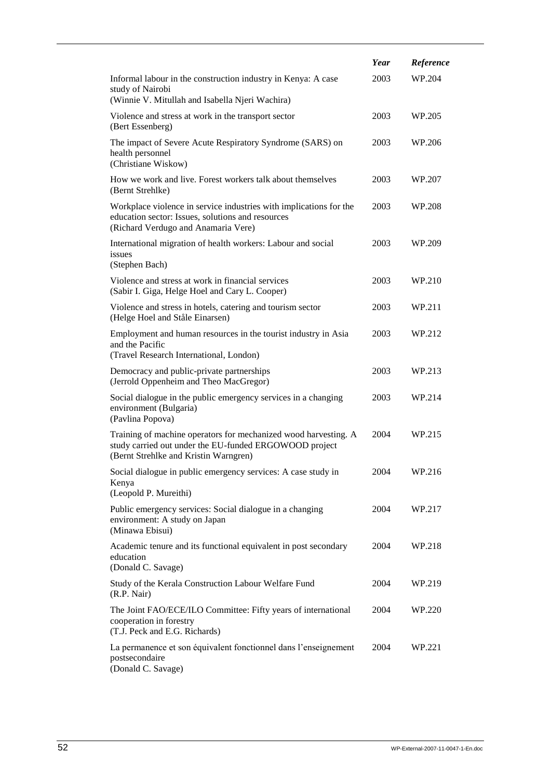|                                                                                                                                                                    | Year | Reference |
|--------------------------------------------------------------------------------------------------------------------------------------------------------------------|------|-----------|
| Informal labour in the construction industry in Kenya: A case<br>study of Nairobi                                                                                  | 2003 | WP.204    |
| (Winnie V. Mitullah and Isabella Njeri Wachira)                                                                                                                    |      |           |
| Violence and stress at work in the transport sector<br>(Bert Essenberg)                                                                                            | 2003 | WP.205    |
| The impact of Severe Acute Respiratory Syndrome (SARS) on<br>health personnel<br>(Christiane Wiskow)                                                               | 2003 | WP.206    |
| How we work and live. Forest workers talk about themselves<br>(Bernt Strehlke)                                                                                     | 2003 | WP.207    |
| Workplace violence in service industries with implications for the<br>education sector: Issues, solutions and resources<br>(Richard Verdugo and Anamaria Vere)     | 2003 | WP.208    |
| International migration of health workers: Labour and social<br>issues<br>(Stephen Bach)                                                                           | 2003 | WP.209    |
| Violence and stress at work in financial services<br>(Sabir I. Giga, Helge Hoel and Cary L. Cooper)                                                                | 2003 | WP.210    |
| Violence and stress in hotels, catering and tourism sector<br>(Helge Hoel and Ståle Einarsen)                                                                      | 2003 | WP.211    |
| Employment and human resources in the tourist industry in Asia<br>and the Pacific<br>(Travel Research International, London)                                       | 2003 | WP.212    |
| Democracy and public-private partnerships<br>(Jerrold Oppenheim and Theo MacGregor)                                                                                | 2003 | WP.213    |
| Social dialogue in the public emergency services in a changing<br>environment (Bulgaria)<br>(Pavlina Popova)                                                       | 2003 | WP.214    |
| Training of machine operators for mechanized wood harvesting. A<br>study carried out under the EU-funded ERGOWOOD project<br>(Bernt Strehlke and Kristin Warngren) | 2004 | WP.215    |
| Social dialogue in public emergency services: A case study in<br>Kenya<br>(Leopold P. Mureithi)                                                                    | 2004 | WP.216    |
| Public emergency services: Social dialogue in a changing<br>environment: A study on Japan<br>(Minawa Ebisui)                                                       | 2004 | WP.217    |
| Academic tenure and its functional equivalent in post secondary<br>education<br>(Donald C. Savage)                                                                 | 2004 | WP.218    |
| Study of the Kerala Construction Labour Welfare Fund<br>(R.P. Nair)                                                                                                | 2004 | WP.219    |
| The Joint FAO/ECE/ILO Committee: Fifty years of international<br>cooperation in forestry<br>(T.J. Peck and E.G. Richards)                                          | 2004 | WP.220    |
| La permanence et son équivalent fonctionnel dans l'enseignement<br>postsecondaire<br>(Donald C. Savage)                                                            | 2004 | WP.221    |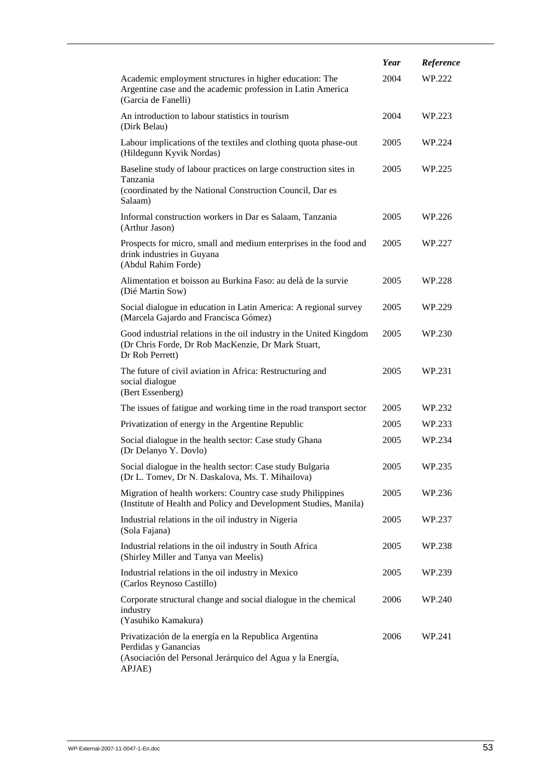|                                                                                                                                                       | Year | Reference |
|-------------------------------------------------------------------------------------------------------------------------------------------------------|------|-----------|
| Academic employment structures in higher education: The<br>Argentine case and the academic profession in Latin America<br>(Garcia de Fanelli)         | 2004 | WP.222    |
| An introduction to labour statistics in tourism<br>(Dirk Belau)                                                                                       | 2004 | WP.223    |
| Labour implications of the textiles and clothing quota phase-out<br>(Hildegunn Kyvik Nordas)                                                          | 2005 | WP.224    |
| Baseline study of labour practices on large construction sites in<br>Tanzania<br>(coordinated by the National Construction Council, Dar es<br>Salaam) | 2005 | WP.225    |
| Informal construction workers in Dar es Salaam, Tanzania<br>(Arthur Jason)                                                                            | 2005 | WP.226    |
| Prospects for micro, small and medium enterprises in the food and<br>drink industries in Guyana<br>(Abdul Rahim Forde)                                | 2005 | WP.227    |
| Alimentation et boisson au Burkina Faso: au delà de la survie<br>(Dié Martin Sow)                                                                     | 2005 | WP.228    |
| Social dialogue in education in Latin America: A regional survey<br>(Marcela Gajardo and Francisca Gómez)                                             | 2005 | WP.229    |
| Good industrial relations in the oil industry in the United Kingdom<br>(Dr Chris Forde, Dr Rob MacKenzie, Dr Mark Stuart,<br>Dr Rob Perrett)          | 2005 | WP.230    |
| The future of civil aviation in Africa: Restructuring and<br>social dialogue<br>(Bert Essenberg)                                                      | 2005 | WP.231    |
| The issues of fatigue and working time in the road transport sector                                                                                   | 2005 | WP.232    |
| Privatization of energy in the Argentine Republic                                                                                                     | 2005 | WP.233    |
| Social dialogue in the health sector: Case study Ghana<br>(Dr Delanyo Y. Dovlo)                                                                       | 2005 | WP.234    |
| Social dialogue in the health sector: Case study Bulgaria<br>(Dr L. Tomev, Dr N. Daskalova, Ms. T. Mihailova)                                         | 2005 | WP.235    |
| Migration of health workers: Country case study Philippines<br>(Institute of Health and Policy and Development Studies, Manila)                       | 2005 | WP.236    |
| Industrial relations in the oil industry in Nigeria<br>(Sola Fajana)                                                                                  | 2005 | WP.237    |
| Industrial relations in the oil industry in South Africa<br>(Shirley Miller and Tanya van Meelis)                                                     | 2005 | WP.238    |
| Industrial relations in the oil industry in Mexico<br>(Carlos Reynoso Castillo)                                                                       | 2005 | WP.239    |
| Corporate structural change and social dialogue in the chemical<br>industry<br>(Yasuhiko Kamakura)                                                    | 2006 | WP.240    |
| Privatización de la energía en la Republica Argentina<br>Perdidas y Ganancias<br>(Asociación del Personal Jerárquico del Agua y la Energía,<br>APJAE) | 2006 | WP.241    |